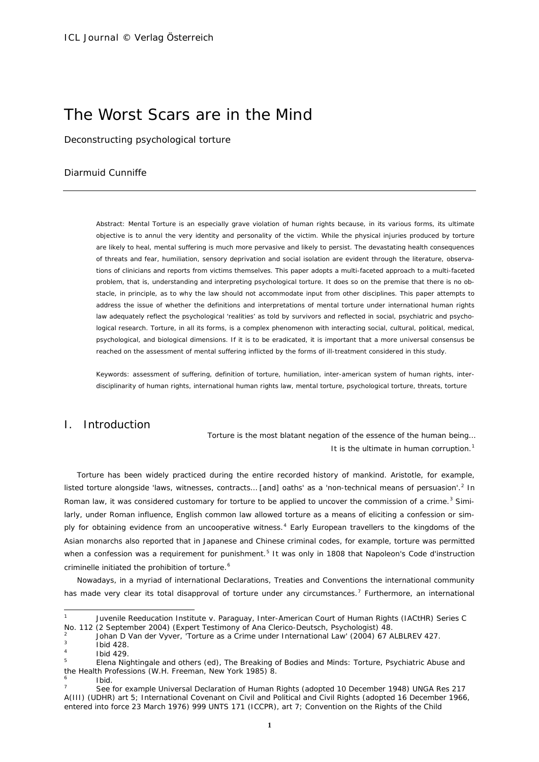# The Worst Scars are in the Mind

Deconstructing psychological torture

# Diarmuid Cunniffe

*Abstract:* Mental Torture is an especially grave violation of human rights because, in its various forms, its ultimate objective is to annul the very identity and personality of the victim. While the physical injuries produced by torture are likely to heal, mental suffering is much more pervasive and likely to persist. The devastating health consequences of threats and fear, humiliation, sensory deprivation and social isolation are evident through the literature, observations of clinicians and reports from victims themselves. This paper adopts a multi-faceted approach to a multi-faceted problem, that is, understanding and interpreting psychological torture. It does so on the premise that there is no obstacle, in principle, as to why the law should not accommodate input from other disciplines. This paper attempts to address the issue of whether the definitions and interpretations of mental torture under international human rights law adequately reflect the psychological 'realities' as told by survivors and reflected in social, psychiatric and psychological research. Torture, in all its forms, is a complex phenomenon with interacting social, cultural, political, medical, psychological, and biological dimensions. If it is to be eradicated, it is important that a more universal consensus be reached on the assessment of mental suffering inflicted by the forms of ill-treatment considered in this study.

*Keywords:* assessment of suffering, definition of torture, humiliation, inter-american system of human rights, interdisciplinarity of human rights, international human rights law, mental torture, psychological torture, threats, torture

# I. Introduction

*Torture is the most blatant negation of the essence of the human being… It is the ultimate in human corruption.*[1](#page-0-0)

Torture has been widely practiced during the entire recorded history of mankind. Aristotle, for example, listed torture alongside 'laws, witnesses, contracts... [and] oaths' as a 'non-technical means of persuasion'.<sup>[2](#page-0-1)</sup> In Roman law, it was considered customary for torture to be applied to uncover the commission of a crime.<sup>[3](#page-0-2)</sup> Similarly, under Roman influence, English common law allowed torture as a means of eliciting a confession or sim-ply for obtaining evidence from an uncooperative witness.<sup>[4](#page-0-3)</sup> Early European travellers to the kingdoms of the Asian monarchs also reported that in Japanese and Chinese criminal codes, for example, torture was permitted when a confession was a requirement for punishment.<sup>[5](#page-0-4)</sup> It was only in 1808 that Napoleon's *Code d'instruction criminelle* initiated the prohibition of torture.<sup>[6](#page-0-5)</sup>

Nowadays, in a myriad of international Declarations, Treaties and Conventions the international community has made very clear its total disapproval of torture under any circumstances.<sup>[7](#page-0-6)</sup> Furthermore, an international

<span id="page-0-0"></span> $\overline{1}$ <sup>1</sup> *Juvenile Reeducation Institute v. Paraguay*, Inter-American Court of Human Rights (IACtHR) Series C No. 112 (2 September 2004) (Expert Testimony of Ana Clerico-Deutsch, Psychologist) 48.

<span id="page-0-1"></span><sup>2</sup> Johan D Van der Vyver, 'Torture as a Crime under International Law' (2004) 67 ALBLREV 427.

<span id="page-0-3"></span><span id="page-0-2"></span><sup>3</sup> Ibid 428.

**Ibid 429.** 

<span id="page-0-4"></span><sup>5</sup> Elena Nightingale and others (ed), *The Breaking of Bodies and Minds: Torture, Psychiatric Abuse and the Health Professions* (W.H. Freeman, New York 1985) 8.

<sup>6</sup> Ibid.

<span id="page-0-6"></span><span id="page-0-5"></span><sup>7</sup> See for example Universal Declaration of Human Rights (adopted 10 December 1948) UNGA Res 217 A(III) (UDHR) art 5; International Covenant on Civil and Political and Civil Rights (adopted 16 December 1966, entered into force 23 March 1976) 999 UNTS 171 (ICCPR), art 7; Convention on the Rights of the Child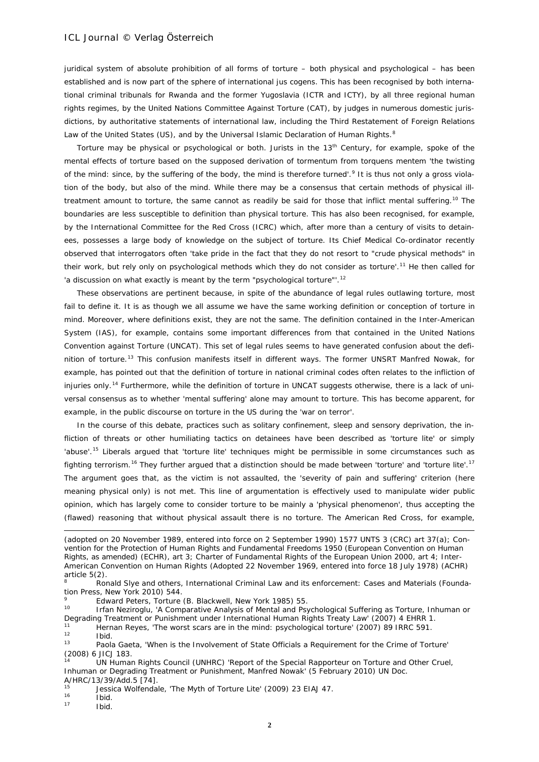juridical system of absolute prohibition of all forms of torture – both physical and psychological – has been established and is now part of the sphere of international *jus cogens*. This has been recognised by both international criminal tribunals for Rwanda and the former Yugoslavia (ICTR and ICTY), by all three regional human rights regimes, by the United Nations Committee Against Torture (CAT), by judges in numerous domestic jurisdictions, by authoritative statements of international law, including the Third Restatement of Foreign Relations Law of the United States (US), and by the Universal Islamic Declaration of Human Rights.<sup>[8](#page-1-0)</sup>

Torture may be physical or psychological or both. Jurists in the 13<sup>th</sup> Century, for example, spoke of the mental effects of torture based on the supposed derivation of *tormentum* from *torquens mentem* 'the twisting of the mind: since, by the suffering of the body, the mind is therefore turned'.<sup>[9](#page-1-1)</sup> It is thus not only a gross violation of the body, but also of the mind. While there may be a consensus that certain methods of physical ill-treatment amount to torture, the same cannot as readily be said for those that inflict mental suffering.<sup>[10](#page-1-2)</sup> The boundaries are less susceptible to definition than physical torture. This has also been recognised, for example, by the International Committee for the Red Cross (ICRC) which, after more than a century of visits to detainees, possesses a large body of knowledge on the subject of torture. Its Chief Medical Co-ordinator recently observed that interrogators often 'take pride in the fact that they do not resort to "crude physical methods" in their work, but rely only on psychological methods which they do not consider as torture'.<sup>[11](#page-1-3)</sup> He then called for 'a discussion on what exactly is meant by the term "psychological torture"'.<sup>[12](#page-1-4)</sup>

These observations are pertinent because, in spite of the abundance of legal rules outlawing torture, most fail to define it. It is as though we all assume we have the same working definition or conception of torture in mind. Moreover, where definitions exist, they are not the same. The definition contained in the Inter-American System (IAS), for example, contains some important differences from that contained in the United Nations Convention against Torture (UNCAT). This set of legal rules seems to have generated confusion about the defi-nition of torture.<sup>[13](#page-1-5)</sup> This confusion manifests itself in different ways. The former UNSRT Manfred Nowak, for example, has pointed out that the definition of torture in national criminal codes often relates to the infliction of *injuries* only.[14](#page-1-6) Furthermore, while the definition of torture in UNCAT suggests otherwise, there is a lack of universal consensus as to whether 'mental suffering' alone may amount to torture. This has become apparent, for example, in the public discourse on torture in the US during the 'war on terror'.

In the course of this debate, practices such as solitary confinement, sleep and sensory deprivation, the infliction of threats or other humiliating tactics on detainees have been described as 'torture lite' or simply 'abuse'.[15](#page-1-7) Liberals argued that 'torture lite' techniques might be permissible in some circumstances such as fighting terrorism.<sup>[16](#page-1-8)</sup> They further argued that a distinction should be made between 'torture' and 'torture lite'.<sup>[17](#page-1-9)</sup> The argument goes that, as the victim is not assaulted, the 'severity of pain and suffering' criterion (here meaning physical only) is not met. This line of argumentation is effectively used to manipulate wider public opinion, which has largely come to consider torture to be mainly a 'physical phenomenon', thus accepting the (flawed) reasoning that without physical assault there is no torture. The American Red Cross, for example,

<sup>9</sup> Edward Peters, *Torture* (B. Blackwell, New York 1985) 55.<br><sup>10</sup> Lifen Naziragly, 'A Comparative Apolygie of Mantel and Day

<span id="page-1-2"></span><span id="page-1-1"></span>Irfan Neziroglu, 'A Comparative Analysis of Mental and Psychological Suffering as Torture, Inhuman or Degrading Treatment or Punishment under International Human Rights Treaty Law' (2007) 4 EHRR 1. <sup>11</sup> Hernan Reyes, 'The worst scars are in the mind: psychological torture' (2007) 89 IRRC 591.

-

<span id="page-1-6"></span><sup>14</sup> UN Human Rights Council (UNHRC) 'Report of the Special Rapporteur on Torture and Other Cruel, Inhuman or Degrading Treatment or Punishment, Manfred Nowak' (5 February 2010) UN Doc.

A/HRC/13/39/Add.5 [74].

 $\frac{16}{17}$  Ibid.

<sup>(</sup>adopted on 20 November 1989, entered into force on 2 September 1990) 1577 UNTS 3 (CRC) art 37(a); Convention for the Protection of Human Rights and Fundamental Freedoms 1950 (European Convention on Human Rights, as amended) (ECHR), art 3; Charter of Fundamental Rights of the European Union 2000, art 4; Inter-American Convention on Human Rights (Adopted 22 November 1969, entered into force 18 July 1978) (ACHR) article 5(2).

<span id="page-1-0"></span><sup>8</sup> Ronald Slye and others, *International Criminal Law and its enforcement: Cases and Materials* (Foundation Press, New York 2010) 544.

<span id="page-1-5"></span><span id="page-1-4"></span><span id="page-1-3"></span> $\frac{12}{13}$  Ibid. Paola Gaeta, 'When is the Involvement of State Officials a Requirement for the Crime of Torture' (2008) 6 JICJ 183.

<span id="page-1-8"></span><span id="page-1-7"></span><sup>&</sup>lt;sup>15</sup> Jessica Wolfendale, 'The Myth of Torture Lite' (2009) 23 EIAJ 47.

<span id="page-1-9"></span>Ibid.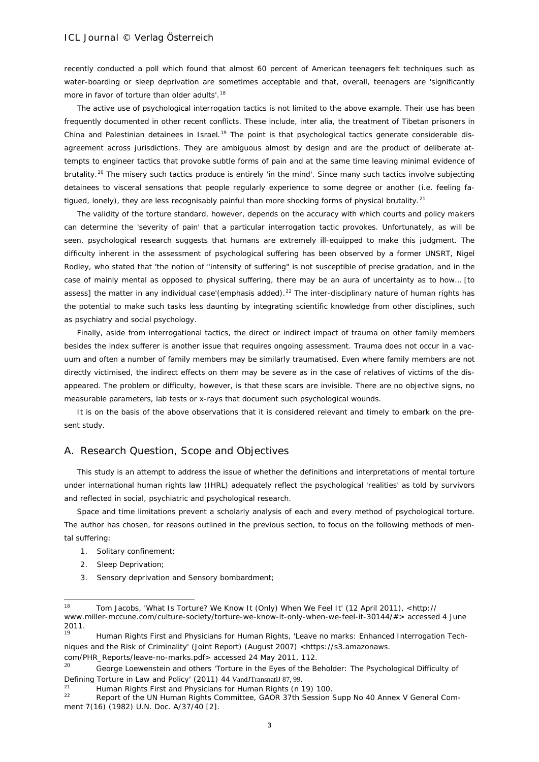recently conducted a poll which found that almost 60 percent of American teenagers felt techniques such as water-boarding or sleep deprivation are sometimes acceptable and that, overall, teenagers are 'significantly more in favor of torture than older adults'.<sup>[18](#page-2-0)</sup>

The active use of psychological interrogation tactics is not limited to the above example. Their use has been frequently documented in other recent conflicts. These include, *inter alia*, the treatment of Tibetan prisoners in China and Palestinian detainees in Israel.<sup>[19](#page-2-1)</sup> The point is that psychological tactics generate considerable disagreement across jurisdictions. They are ambiguous almost by design and are the product of deliberate attempts to engineer tactics that provoke subtle forms of pain and at the same time leaving minimal evidence of brutality.<sup>[20](#page-2-2)</sup> The misery such tactics produce is entirely 'in the mind'. Since many such tactics involve subjecting detainees to visceral sensations that people regularly experience to some degree or another (i.e. feeling fa-tigued, lonely), they are less recognisably painful than more shocking forms of physical brutality.<sup>[21](#page-2-3)</sup>

The validity of the torture standard, however, depends on the accuracy with which courts and policy makers can determine the 'severity of pain' that a particular interrogation tactic provokes. Unfortunately, as will be seen, psychological research suggests that humans are extremely ill-equipped to make this judgment. The difficulty inherent in the assessment of psychological suffering has been observed by a former UNSRT, Nigel Rodley, who stated that 'the notion of "intensity of suffering" is not susceptible of precise gradation, and in the case of mainly *mental* as opposed to physical suffering, there may be an aura of uncertainty as to how… [to assess] the matter in any individual case'(emphasis added).<sup>[22](#page-2-4)</sup> The inter-disciplinary nature of human rights has the potential to make such tasks less daunting by integrating scientific knowledge from other disciplines, such as psychiatry and social psychology.

Finally, aside from interrogational tactics, the direct or indirect impact of trauma on other family members besides the index sufferer is another issue that requires ongoing assessment. Trauma does not occur in a vacuum and often a number of family members may be similarly traumatised. Even where family members are not directly victimised, the indirect effects on them may be severe as in the case of relatives of victims of the disappeared. The problem or difficulty, however, is that these scars are invisible. There are no objective signs, no measurable parameters, lab tests or x-rays that document such psychological wounds.

It is on the basis of the above observations that it is considered relevant and timely to embark on the present study.

### A. Research Question, Scope and Objectives

This study is an attempt to address the issue of whether the definitions and interpretations of mental torture under international human rights law (IHRL) adequately reflect the psychological 'realities' as told by survivors and reflected in social, psychiatric and psychological research.

Space and time limitations prevent a scholarly analysis of each and every method of psychological torture. The author has chosen, for reasons outlined in the previous section, to focus on the following methods of mental suffering:

- 1. Solitary confinement;
- 2. Sleep Deprivation;
- 3. Sensory deprivation and Sensory bombardment;

<span id="page-2-0"></span><sup>18</sup> <sup>18</sup> Tom Jacobs, 'What Is Torture? We Know It (Only) When We Feel It' (12 April 2011), <http:// www.miller-mccune.com/culture-society/torture-we-know-it-only-when-we-feel-it-30144/#> accessed 4 June 2011.

<span id="page-2-1"></span><sup>19</sup> Human Rights First and Physicians for Human Rights, 'Leave no marks: Enhanced Interrogation Techniques and the Risk of Criminality' (Joint Report) (August 2007) <https://s3.amazonaws.

<span id="page-2-2"></span>com/PHR\_Reports/leave-no-marks.pdf> accessed 24 May 2011, 112. <sup>20</sup> George Loewenstein and others 'Torture in the Eyes of the Beholder: The Psychological Difficulty of

Defining Torture in Law and Policy' (2011) 44 VandJTransnatlJ 87, 99.

<span id="page-2-3"></span><sup>&</sup>lt;sup>21</sup> Human Rights First and Physicians for Human Rights (n 19) 100.<br><sup>22</sup> Depart of the UN Human Bights Committee, GAOB 27th Session 1

<span id="page-2-4"></span>Report of the UN Human Rights Committee, GAOR 37th Session Supp No 40 Annex V General Comment 7(16) (1982) U.N. Doc. A/37/40 [2].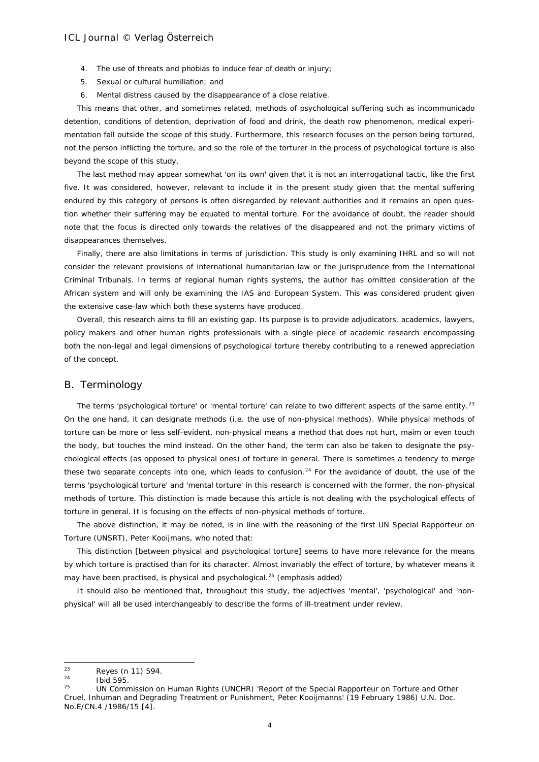- 4. The use of threats and phobias to induce fear of death or injury;
- 5. Sexual or cultural humiliation; and
- 6. Mental distress caused by the disappearance of a close relative.

This means that other, and sometimes related, methods of psychological suffering such as incommunicado detention, conditions of detention, deprivation of food and drink, the death row phenomenon, medical experimentation fall outside the scope of this study. Furthermore, this research focuses on the person being tortured, not the person inflicting the torture, and so the role of the torturer in the process of psychological torture is also beyond the scope of this study.

The last method may appear somewhat 'on its own' given that it is not an interrogational tactic, like the first five. It was considered, however, relevant to include it in the present study given that the mental suffering endured by this category of persons is often disregarded by relevant authorities and it remains an open question whether their suffering may be equated to mental torture. For the avoidance of doubt, the reader should note that the focus is directed only towards the *relatives* of the disappeared and not the primary victims of disappearances themselves.

Finally, there are also limitations in terms of jurisdiction. This study is only examining IHRL and so will not consider the relevant provisions of international humanitarian law or the jurisprudence from the International Criminal Tribunals. In terms of regional human rights systems, the author has omitted consideration of the African system and will only be examining the IAS and European System. This was considered prudent given the extensive case-law which both these systems have produced.

Overall, this research aims to fill an existing gap. Its purpose is to provide adjudicators, academics, lawyers, policy makers and other human rights professionals with a single piece of academic research encompassing both the non-legal and legal dimensions of psychological torture thereby contributing to a renewed appreciation of the concept.

#### B. Terminology

The terms 'psychological torture' or 'mental torture' can relate to two different aspects of the same entity.<sup>[23](#page-3-0)</sup> On the one hand, it can designate methods (i.e. the use of *non-physical* methods). While *physical methods* of torture can be more or less self-evident, *non-physical* means a method that does not hurt, maim or even touch the body, but touches the mind instead. On the other hand, the term can also be taken to designate the psychological *effects* (as opposed to physical ones) of torture in general. There is sometimes a tendency to merge these two separate concepts into one, which leads to confusion.<sup>[24](#page-3-1)</sup> For the avoidance of doubt, the use of the terms 'psychological torture' and 'mental torture' in this research is concerned with the former, the *non-physical methods* of torture. This distinction is made because this article is not dealing with the psychological effects of torture in general. It is focusing on the *effects* of *non-physical methods* of torture.

The above distinction, it may be noted, is in line with the reasoning of the first UN Special Rapporteur on Torture (UNSRT), Peter Kooijmans, who noted that:

This distinction [between physical and psychological torture] seems to have more relevance for the *means* by which torture is practised than for its character. Almost invariably the effect of torture, by whatever means it may have been practised, is physical and psychological.<sup>[25](#page-3-2)</sup> (emphasis added)

It should also be mentioned that, throughout this study, the adjectives 'mental', 'psychological' and 'nonphysical' will all be used interchangeably to describe the forms of ill-treatment under review.

<span id="page-3-0"></span><sup>23</sup>  $\frac{23}{24}$  Reyes (n 11) 594.

<span id="page-3-1"></span> $\frac{24}{25}$  Ibid 595

<span id="page-3-2"></span><sup>25</sup> UN Commission on Human Rights (UNCHR) 'Report of the Special Rapporteur on Torture and Other Cruel, Inhuman and Degrading Treatment or Punishment, Peter Kooijmanns' (19 February 1986) U.N. Doc. No.E/CN.4 /1986/15 [4].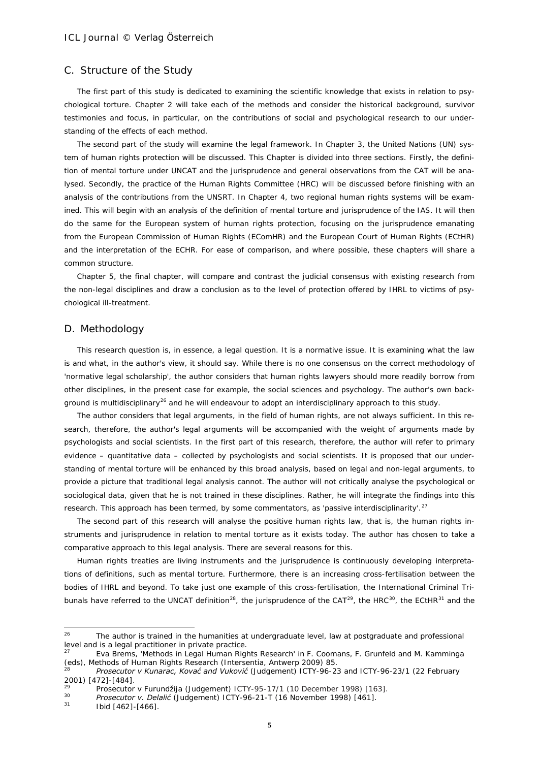### C. Structure of the Study

The first part of this study is dedicated to examining the scientific knowledge that exists in relation to psychological torture. Chapter 2 will take each of the methods and consider the historical background, survivor testimonies and focus, in particular, on the contributions of social and psychological research to our understanding of the effects of each method.

The second part of the study will examine the legal framework. In Chapter 3, the United Nations (UN) system of human rights protection will be discussed. This Chapter is divided into three sections. Firstly, the definition of mental torture under UNCAT and the jurisprudence and general observations from the CAT will be analysed. Secondly, the practice of the Human Rights Committee (HRC) will be discussed before finishing with an analysis of the contributions from the UNSRT. In Chapter 4, two regional human rights systems will be examined. This will begin with an analysis of the definition of mental torture and jurisprudence of the IAS. It will then do the same for the European system of human rights protection, focusing on the jurisprudence emanating from the European Commission of Human Rights (EComHR) and the European Court of Human Rights (ECtHR) and the interpretation of the ECHR. For ease of comparison, and where possible, these chapters will share a common structure.

Chapter 5, the final chapter, will compare and contrast the judicial consensus with existing research from the non-legal disciplines and draw a conclusion as to the level of protection offered by IHRL to victims of psychological ill-treatment.

#### D. Methodology

This research question is, in essence, a legal question. It is a normative issue. It is examining what the law is and what, in the author's view, it should say. While there is no one consensus on the correct methodology of 'normative legal scholarship', the author considers that human rights lawyers should more readily borrow from other disciplines, in the present case for example, the social sciences and psychology. The author's own back-ground is multidisciplinary<sup>[26](#page-4-0)</sup> and he will endeavour to adopt an interdisciplinary approach to this study.

The author considers that legal arguments, in the field of human rights, are not always sufficient. In this research, therefore, the author's legal arguments will be accompanied with the weight of arguments made by psychologists and social scientists. In the first part of this research, therefore, the author will refer to primary evidence – quantitative data – collected by psychologists and social scientists. It is proposed that our understanding of mental torture will be enhanced by this broad analysis, based on legal and non-legal arguments, to provide a picture that traditional legal analysis cannot. The author will not critically analyse the psychological or sociological data, given that he is not trained in these disciplines. Rather, he will integrate the findings into this research. This approach has been termed, by some commentators, as 'passive interdisciplinarity'.<sup>[27](#page-4-1)</sup>

The second part of this research will analyse the *positive* human rights law, that is, the human rights instruments and jurisprudence in relation to mental torture as it exists today. The author has chosen to take a comparative approach to this legal analysis. There are several reasons for this.

Human rights treaties are living instruments and the jurisprudence is continuously developing interpretations of definitions, such as mental torture. Furthermore, there is an increasing cross-fertilisation between the bodies of IHRL and beyond. To take just one example of this cross-fertilisation, the International Criminal Tri-bunals have referred to the UNCAT definition<sup>28</sup>, the jurisprudence of the CAT<sup>[29](#page-4-3)</sup>, the HRC<sup>[30](#page-4-4)</sup>, the ECtHR<sup>31</sup> and the

<span id="page-4-0"></span> $26$ The author is trained in the humanities at undergraduate level, law at postgraduate and professional level and is a legal practitioner in private practice.

<span id="page-4-1"></span><sup>27</sup> Eva Brems, 'Methods in Legal Human Rights Research' in F. Coomans, F. Grunfeld and M. Kamminga (eds), *Methods of Human Rights Research* (Intersentia, Antwerp 2009) 85.

<span id="page-4-2"></span><sup>28</sup> *Prosecutor v Kunarac, Kovać and Vuković* (Judgement) ICTY-96-23 and ICTY-96-23/1 (22 February 2001) [472]-[484].

<sup>&</sup>lt;sup>29</sup> *Prosecutor v Furundžija* (Judgement) ICTY-95-17/1 (10 December 1998) [163].<br><sup>30</sup> *Prosecutor v. Delalić* (Judgement) ICTY-96-21 T (16 November 1999) [461]

<span id="page-4-4"></span><span id="page-4-3"></span><sup>30</sup> *Prosecutor v. Delalić* (Judgement) ICTY-96-21-T (16 November 1998) [461].

<span id="page-4-5"></span>Ibid [462]-[466].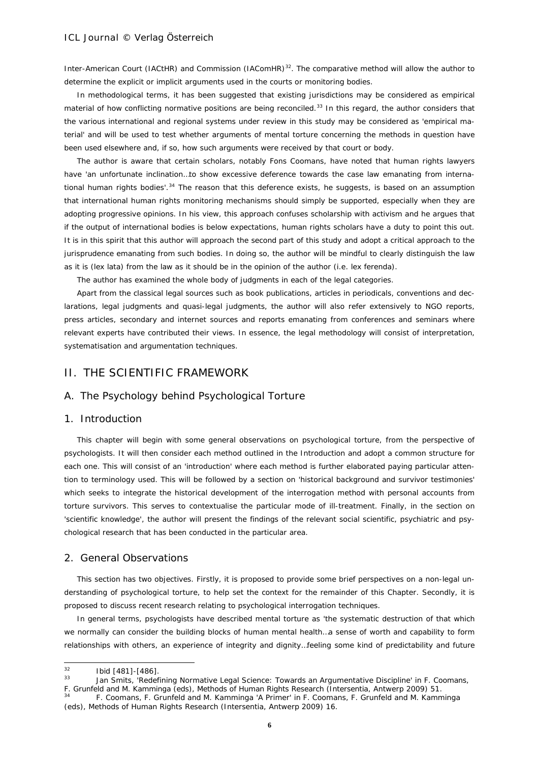Inter-American Court (IACtHR) and Commission (IAComHR)<sup>32</sup>. The comparative method will allow the author to determine the explicit or implicit arguments used in the courts or monitoring bodies.

In methodological terms, it has been suggested that existing jurisdictions may be considered as *empirical material* of how conflicting normative positions are being reconciled.[33](#page-5-1) In this regard, the author considers that the various international and regional systems under review in this study may be considered as 'empirical material' and will be used to test whether arguments of mental torture concerning the methods in question have been used elsewhere and, if so, how such arguments were received by that court or body.

The author is aware that certain scholars, notably Fons Coomans, have noted that human rights lawyers have 'an unfortunate inclination...to show excessive deference towards the case law emanating from international human rights bodies'. $34$  The reason that this deference exists, he suggests, is based on an assumption that international human rights monitoring mechanisms should simply be supported, especially when they are adopting progressive opinions. In his view, this approach confuses scholarship with activism and he argues that if the output of international bodies is below expectations, human rights scholars have a duty to point this out. It is in this spirit that this author will approach the second part of this study and adopt a critical approach to the jurisprudence emanating from such bodies. In doing so, the author will be mindful to clearly distinguish the law as it is (*lex lata)* from the law as it should be in the opinion of the author (i.e. *lex ferenda*).

The author has examined the whole body of judgments in each of the legal categories.

Apart from the classical legal sources such as book publications, articles in periodicals, conventions and declarations, legal judgments and quasi-legal judgments, the author will also refer extensively to NGO reports, press articles, secondary and internet sources and reports emanating from conferences and seminars where relevant experts have contributed their views. In essence, the legal methodology will consist of interpretation, systematisation and argumentation techniques.

# II. THE SCIENTIFIC FRAMEWORK

### A. The Psychology behind Psychological Torture

#### 1. Introduction

This chapter will begin with some general observations on psychological torture, from the perspective of psychologists. It will then consider each method outlined in the Introduction and adopt a common structure for each one. This will consist of an 'introduction' where each method is further elaborated paying particular attention to terminology used. This will be followed by a section on 'historical background and survivor testimonies' which seeks to integrate the historical development of the interrogation method with personal accounts from torture survivors. This serves to contextualise the particular mode of ill-treatment. Finally, in the section on 'scientific knowledge', the author will present the findings of the relevant social scientific, psychiatric and psychological research that has been conducted in the particular area.

# 2. General Observations

This section has two objectives. Firstly, it is proposed to provide some brief perspectives on a non-legal understanding of psychological torture, to help set the context for the remainder of this Chapter. Secondly, it is proposed to discuss recent research relating to psychological interrogation techniques.

In general terms, psychologists have described mental torture as 'the systematic destruction of that which we normally can consider the building blocks of human mental health…a sense of worth and capability to form relationships with others, an experience of integrity and dignity…feeling some kind of predictability and future

<span id="page-5-0"></span> $32$  $\frac{32}{33}$  Ibid [481]-[486].

<span id="page-5-1"></span>Jan Smits, 'Redefining Normative Legal Science: Towards an Argumentative Discipline' in F. Coomans, F. Grunfeld and M. Kamminga (eds), *Methods of Human Rights Research* (Intersentia, Antwerp 2009) 51.

<span id="page-5-2"></span><sup>34</sup> F. Coomans, F. Grunfeld and M. Kamminga 'A Primer' in F. Coomans, F. Grunfeld and M. Kamminga (eds), *Methods of Human Rights Research* (Intersentia, Antwerp 2009) 16.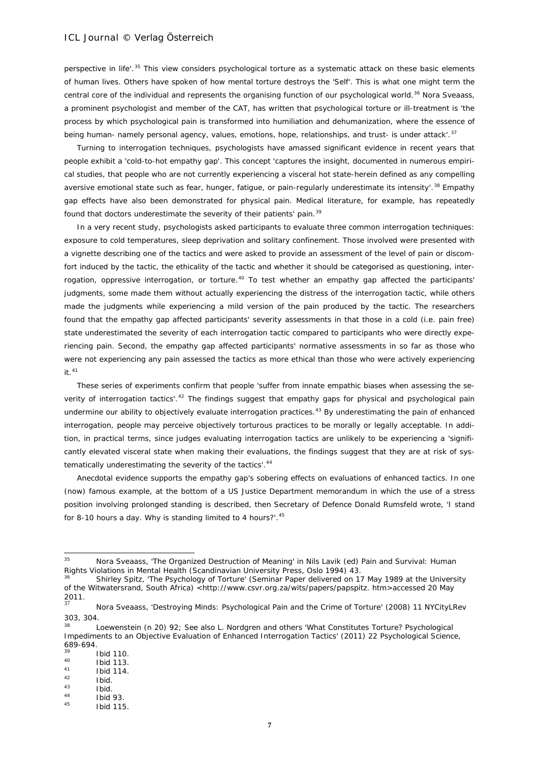perspective in life'.<sup>[35](#page-6-0)</sup> This view considers psychological torture as a systematic attack on these basic elements of human lives. Others have spoken of how mental torture destroys the 'Self'. This is what one might term the central core of the individual and represents the organising function of our psychological world.<sup>[36](#page-6-1)</sup> Nora Sveaass, a prominent psychologist and member of the CAT, has written that psychological torture or ill-treatment is 'the process by which psychological pain is transformed into humiliation and dehumanization, where the essence of being human- namely personal agency, values, emotions, hope, relationships, and trust- is under attack'.<sup>[37](#page-6-2)</sup>

Turning to interrogation techniques, psychologists have amassed significant evidence in recent years that people exhibit a 'cold-to-hot empathy gap'. This concept 'captures the insight, documented in numerous empirical studies, that people who are not currently experiencing a visceral hot state-herein defined as any compelling aversive emotional state such as fear, hunger, fatigue, or pain-regularly underestimate its intensity'.<sup>[38](#page-6-3)</sup> Empathy gap effects have also been demonstrated for physical pain. Medical literature, for example, has repeatedly found that doctors underestimate the severity of their patients' pain.<sup>[39](#page-6-4)</sup>

In a very recent study, psychologists asked participants to evaluate three common interrogation techniques: exposure to cold temperatures, sleep deprivation and solitary confinement. Those involved were presented with a vignette describing one of the tactics and were asked to provide an assessment of the level of pain or discomfort induced by the tactic, the ethicality of the tactic and whether it should be categorised as questioning, inter-rogation, oppressive interrogation, or torture.<sup>[40](#page-6-5)</sup> To test whether an empathy gap affected the participants' judgments, some made them without actually experiencing the distress of the interrogation tactic, while others made the judgments while experiencing a mild version of the pain produced by the tactic. The researchers found that the empathy gap affected participants' severity assessments in that those in a cold (i.e. pain free) state underestimated the severity of each interrogation tactic compared to participants who were directly experiencing pain. Second, the empathy gap affected participants' normative assessments in so far as those who were not experiencing any pain assessed the tactics as more ethical than those who were actively experiencing it.[41](#page-6-6)

These series of experiments confirm that people 'suffer from innate empathic biases when assessing the se-verity of interrogation tactics'.<sup>[42](#page-6-7)</sup> The findings suggest that empathy gaps for physical and psychological pain undermine our ability to objectively evaluate interrogation practices.<sup>[43](#page-6-8)</sup> By underestimating the pain of enhanced interrogation, people may perceive objectively torturous practices to be morally or legally acceptable. In addition, in practical terms, since judges evaluating interrogation tactics are unlikely to be experiencing a 'significantly elevated visceral state when making their evaluations, the findings suggest that they are at risk of sys-tematically underestimating the severity of the tactics'.<sup>[44](#page-6-9)</sup>

Anecdotal evidence supports the empathy gap's sobering effects on evaluations of enhanced tactics. In one (now) famous example, at the bottom of a US Justice Department memorandum in which the use of a stress position involving prolonged standing is described, then Secretary of Defence Donald Rumsfeld wrote, 'I stand for 8-10 hours a day. Why is standing limited to 4 hours?'.<sup>[45](#page-6-10)</sup>

<span id="page-6-0"></span><sup>35</sup> <sup>35</sup> Nora Sveaass, 'The Organized Destruction of Meaning' in Nils Lavik (ed) *Pain and Survival: Human Rights Violations in Mental Health* (Scandinavian University Press, Oslo 1994) 43.

<span id="page-6-1"></span><sup>36</sup> Shirley Spitz, 'The Psychology of Torture' (Seminar Paper delivered on 17 May 1989 at the [University](http://www.wits.ac.za/)  [of the Witwatersrand,](http://www.wits.ac.za/) South Africa) [<http://www.csvr.org.za/wits/papers/papspitz. htm>](http://www.csvr.org.za/wits/papers/papspitz.%20htm)accessed 20 May  $\frac{2011}{37}$ .

<span id="page-6-2"></span><sup>37</sup> Nora Sveaass, 'Destroying Minds: Psychological Pain and the Crime of Torture' (2008) 11 NYCityLRev 303, 304.

<span id="page-6-3"></span><sup>&</sup>lt;sup>38</sup> Loewenstein (n 20) 92; See also L. Nordgren and others 'What Constitutes Torture? Psychological Impediments to an Objective Evaluation of Enhanced Interrogation Tactics' (2011) 22 Psychological Science, 689-694.

 $\frac{39}{40}$  Ibid 110.

<span id="page-6-6"></span><span id="page-6-5"></span><span id="page-6-4"></span> $^{40}$  Ibid 113.

 $^{41}$  Ibid 114.

 $\frac{42}{43}$  Ibid.

<span id="page-6-9"></span><span id="page-6-8"></span><span id="page-6-7"></span> $\begin{array}{ccc} 43 & & & \text{lbid.} \\ 44 & & & \text{lbid.} \end{array}$ 

 $144$  Ibid 93.

<span id="page-6-10"></span>**Ibid 115.**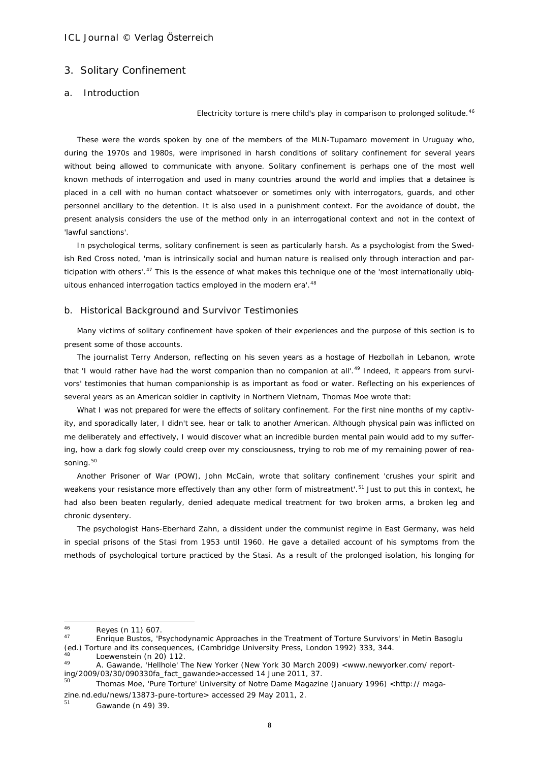### 3. Solitary Confinement

# a. Introduction

#### *Electricity torture is mere child's play in comparison to prolonged solitude.*[46](#page-7-0)

These were the words spoken by one of the members of the MLN-Tupamaro movement in Uruguay who, during the 1970s and 1980s, were imprisoned in harsh conditions of solitary confinement for several years without being allowed to communicate with anyone. Solitary confinement is perhaps one of the most well known methods of interrogation and used in many countries around the world and implies that a detainee is placed in a cell with no human contact whatsoever or sometimes only with interrogators, guards, and other personnel ancillary to the detention. It is also used in a punishment context. For the avoidance of doubt, the present analysis considers the use of the method only in an interrogational context and not in the context of 'lawful sanctions'.

In psychological terms, solitary confinement is seen as particularly harsh. As a psychologist from the Swedish Red Cross noted, 'man is intrinsically social and human nature is realised only through interaction and par-ticipation with others'.<sup>[47](#page-7-1)</sup> This is the essence of what makes this technique one of the 'most internationally ubiq-uitous enhanced interrogation tactics employed in the modern era'.<sup>[48](#page-7-2)</sup>

#### b. Historical Background and Survivor Testimonies

Many victims of solitary confinement have spoken of their experiences and the purpose of this section is to present some of those accounts.

The journalist Terry Anderson, reflecting on his seven years as a hostage of Hezbollah in Lebanon, wrote that 'I would rather have had the worst companion than no companion at all'.<sup>[49](#page-7-3)</sup> Indeed, it appears from survivors' testimonies that human companionship is as important as food or water. Reflecting on his experiences of several years as an American soldier in captivity in Northern Vietnam, Thomas Moe wrote that:

What I was not prepared for were the effects of solitary confinement. For the first nine months of my captivity, and sporadically later, I didn't see, hear or talk to another American. Although physical pain was inflicted on me deliberately and effectively, I would discover what an incredible burden mental pain would add to my suffering, how a dark fog slowly could creep over my consciousness, trying to rob me of my remaining power of rea-soning.<sup>[50](#page-7-4)</sup>

Another Prisoner of War (POW), John McCain, wrote that solitary confinement 'crushes your spirit and weakens your resistance more effectively than any other form of mistreatment'.<sup>[51](#page-7-5)</sup> Just to put this in context, he had also been beaten regularly, denied adequate medical treatment for two broken arms, a broken leg and chronic dysentery.

The psychologist Hans-Eberhard Zahn, a dissident under the communist regime in East Germany, was held in special prisons of the Stasi from 1953 until 1960. He gave a detailed account of his symptoms from the methods of psychological torture practiced by the Stasi. As a result of the prolonged isolation, his longing for

<sup>46</sup> 

<span id="page-7-1"></span><span id="page-7-0"></span><sup>&</sup>lt;sup>46</sup> Reyes (n 11) 607.<br><sup>47</sup> Enrique Bustos, 'Psychodynamic Approaches in the Treatment of Torture Survivors' in Metin Basoglu (ed.) *Torture and its consequences*, (Cambridge University Press, London 1992) 333, 344.

<span id="page-7-3"></span><span id="page-7-2"></span> $^{48}$  Loewenstein (n 20) 112.

<sup>49</sup> A. Gawande, 'Hellhole' *The New Yorker* (New York 30 March 2009) [<www.newyorker.com/ report](http://www.newyorker.com/%20reporting/2009/03/30/090330fa_fact_gawande)[ing/2009/03/30/090330fa\\_fact\\_gawande>](http://www.newyorker.com/%20reporting/2009/03/30/090330fa_fact_gawande)accessed 14 June 2011, 37.

<span id="page-7-4"></span><sup>50</sup> Thomas Moe, 'Pure Torture' University of Notre Dame Magazine (January 1996) <http:// magazine.nd.edu/news/13873-pure-torture> accessed 29 May 2011, 2.

<span id="page-7-5"></span> $51$  Gawande (n 49) 39.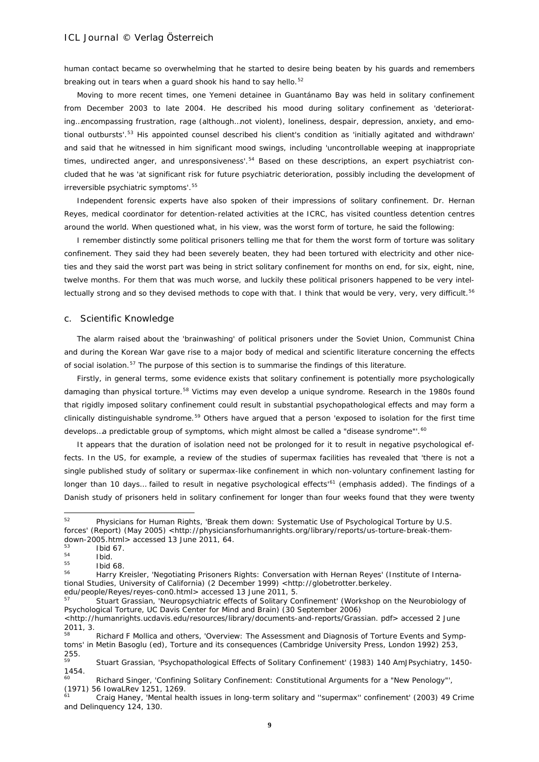human contact became so overwhelming that he started to desire being beaten by his guards and remembers breaking out in tears when a guard shook his hand to say hello.<sup>[52](#page-8-0)</sup>

Moving to more recent times, one Yemeni detainee in Guantánamo Bay was held in solitary confinement from December 2003 to late 2004. He described his mood during solitary confinement as 'deteriorating…encompassing frustration, rage (although…not violent), loneliness, despair, depression, anxiety, and emo-tional outbursts'.<sup>[53](#page-8-1)</sup> His appointed counsel described his client's condition as 'initially agitated and withdrawn' and said that he witnessed in him significant mood swings, including 'uncontrollable weeping at inappropriate times, undirected anger, and unresponsiveness'.<sup>[54](#page-8-2)</sup> Based on these descriptions, an expert psychiatrist concluded that he was 'at significant risk for future psychiatric deterioration, possibly including the development of irreversible psychiatric symptoms'.<sup>[55](#page-8-3)</sup>

Independent forensic experts have also spoken of their impressions of solitary confinement. Dr. Hernan Reyes, medical coordinator for detention-related activities at the ICRC, has visited countless detention centres around the world. When questioned what, in his view, was the worst form of torture, he said the following:

I remember distinctly some political prisoners telling me that for them the worst form of torture was solitary confinement. They said they had been severely beaten, they had been tortured with electricity and other niceties and they said the worst part was being in strict solitary confinement for months on end, for six, eight, nine, twelve months. For them that was much worse, and luckily these political prisoners happened to be very intel-lectually strong and so they devised methods to cope with that. I think that would be very, very, very difficult.<sup>[56](#page-8-4)</sup>

#### c. Scientific Knowledge

The alarm raised about the 'brainwashing' of political prisoners under the Soviet Union, Communist China and during the Korean War gave rise to a major body of medical and scientific literature concerning the effects of social isolation.<sup>[57](#page-8-5)</sup> The purpose of this section is to summarise the findings of this literature.

Firstly, in general terms, some evidence exists that solitary confinement is potentially more psychologically damaging than physical torture.<sup>[58](#page-8-6)</sup> Victims may even develop a unique syndrome. Research in the 1980s found that rigidly imposed solitary confinement could result in substantial psychopathological effects and may form a clinically distinguishable syndrome.<sup>[59](#page-8-7)</sup> Others have argued that a person 'exposed to isolation for the first time develops...a predictable group of symptoms, which might almost be called a "disease syndrome"'.<sup>[60](#page-8-8)</sup>

It appears that the duration of isolation need not be prolonged for it to result in negative psychological effects. In the US, for example, a review of the studies of supermax facilities has revealed that 'there is not a single published study of solitary or supermax-like confinement in which non-voluntary confinement lasting for longer *than 10 days...* failed to result in negative psychological effects'<sup>[61](#page-8-9)</sup> (emphasis added). The findings of a Danish study of prisoners held in solitary confinement for *longer than four weeks* found that they were twenty

<span id="page-8-0"></span><sup>52</sup> <sup>52</sup> Physicians for Human Rights, 'Break them down: Systematic Use of Psychological Torture by U.S. forces' (Report) (May 2005) <http://physiciansforhumanrights.org/library/reports/us-torture-break-themdown-2005.html> accessed 13 June 2011, 64.

<span id="page-8-1"></span> $\frac{53}{54}$  Ibid 67.

<span id="page-8-2"></span> $\frac{54}{55}$  Ibid.

<span id="page-8-4"></span><span id="page-8-3"></span> $^{55}$  Ibid 68.

Harry Kreisler, 'Negotiating Prisoners Rights: Conversation with Hernan Reyes' (Institute of International Studies, University of California) (2 December 1999) <http://globetrotter.berkeley. edu/people/Reyes/reyes-con0.html> accessed 13 June 2011, 5.

<span id="page-8-5"></span>Stuart Grassian, 'Neuropsychiatric effects of Solitary Confinement' (Workshop on the Neurobiology of Psychological Torture, UC Davis Center for Mind and Brain) (30 September 2006)

[<sup>&</sup>lt;http://humanrights.ucdavis.edu/resources/library/documents-and-reports/Grassian. pdf>](http://humanrights.ucdavis.edu/resources/library/documents-and-reports/Grassian.%20pdf) accessed 2 June 2011, 3.

<span id="page-8-6"></span>Richard F Mollica and others, 'Overview: The Assessment and Diagnosis of Torture Events and Symptoms' in Metin Basoglu (ed), Torture and its consequences (Cambridge University Press, London 1992) 253, 255.

<span id="page-8-7"></span><sup>59</sup> Stuart Grassian, 'Psychopathological Effects of Solitary Confinement' (1983) 140 AmJPsychiatry, 1450- 1454.

<span id="page-8-8"></span>Richard Singer, 'Confining Solitary Confinement: Constitutional Arguments for a "New Penology"', (1971) 56 IowaLRev 1251, 1269.

<span id="page-8-9"></span><sup>61</sup> Craig Haney, 'Mental health issues in long-term solitary and ''supermax'' confinement' (2003) 49 Crime and Delinquency 124, 130.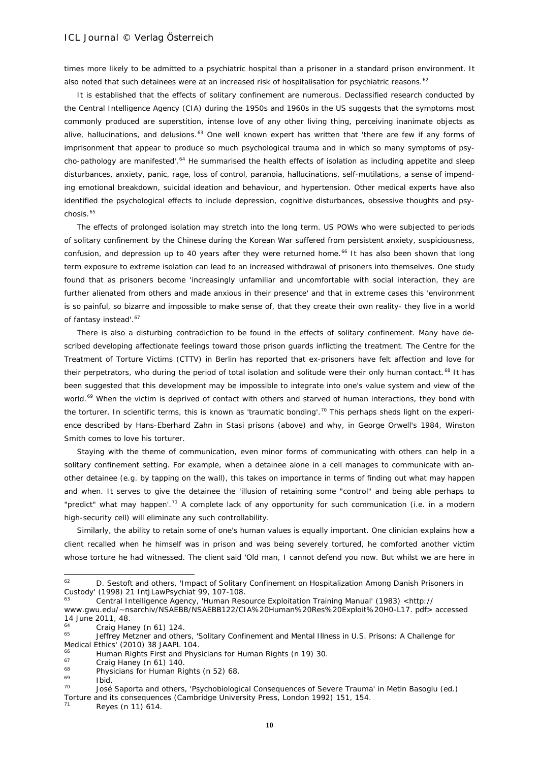times more likely to be admitted to a psychiatric hospital than a prisoner in a standard prison environment. It also noted that such detainees were at an increased risk of hospitalisation for psychiatric reasons.<sup>[62](#page-9-0)</sup>

It is established that the effects of solitary confinement are numerous. Declassified research conducted by the Central Intelligence Agency (CIA) during the 1950s and 1960s in the US suggests that the symptoms most commonly produced are superstition, intense love of any other living thing, perceiving inanimate objects as alive, hallucinations, and delusions.<sup>[63](#page-9-1)</sup> One well known expert has written that 'there are few if any forms of imprisonment that appear to produce so much psychological trauma and in which so many symptoms of psy-cho-pathology are manifested'.<sup>[64](#page-9-2)</sup> He summarised the health effects of isolation as including appetite and sleep disturbances, anxiety, panic, rage, loss of control, paranoia, hallucinations, self-mutilations, a sense of impending emotional breakdown, suicidal ideation and behaviour, and hypertension. Other medical experts have also identified the psychological effects to include depression, cognitive disturbances, obsessive thoughts and psy-chosis.<sup>[65](#page-9-3)</sup>

The effects of prolonged isolation may stretch into the long term. US POWs who were subjected to periods of solitary confinement by the Chinese during the Korean War suffered from persistent anxiety, suspiciousness, confusion, and depression up to 40 years after they were returned home.<sup>[66](#page-9-4)</sup> It has also been shown that long term exposure to extreme isolation can lead to an increased withdrawal of prisoners into themselves. One study found that as prisoners become 'increasingly unfamiliar and uncomfortable with social interaction, they are further alienated from others and made anxious in their presence' and that in extreme cases this 'environment is so painful, so bizarre and impossible to make sense of, that they create their own reality- they live in a world of fantasy instead'.<sup>[67](#page-9-5)</sup>

There is also a disturbing contradiction to be found in the effects of solitary confinement. Many have described developing affectionate feelings toward those prison guards inflicting the treatment. The Centre for the Treatment of Torture Victims (CTTV) in Berlin has reported that ex-prisoners have felt affection and love for their perpetrators, who during the period of total isolation and solitude were their only human contact.<sup>[68](#page-9-6)</sup> It has been suggested that this development may be impossible to integrate into one's value system and view of the world.<sup>[69](#page-9-7)</sup> When the victim is deprived of contact with others and starved of human interactions, they bond with the torturer. In scientific terms, this is known as 'traumatic bonding'.<sup>[70](#page-9-8)</sup> This perhaps sheds light on the experience described by Hans-Eberhard Zahn in Stasi prisons (above) and why, in George Orwell's *1984,* Winston Smith comes to love his torturer.

Staying with the theme of communication, even minor forms of communicating with others can help in a solitary confinement setting. For example, when a detainee alone in a cell manages to communicate with another detainee (e.g. by tapping on the wall), this takes on importance in terms of finding out what may happen and when. It serves to give the detainee the 'illusion of retaining some "control" and being able perhaps to "predict" what may happen'.<sup>[71](#page-9-9)</sup> A complete lack of any opportunity for such communication (i.e. in a modern high-security cell) will eliminate any such controllability.

Similarly, the ability to retain some of one's human values is equally important. One clinician explains how a client recalled when he himself was in prison and was being severely tortured, he comforted another victim whose torture he had witnessed. The client said 'Old man, I cannot defend you now. But whilst we are here in

<span id="page-9-0"></span><sup>62</sup> D. Sestoft and others, 'Impact of Solitary Confinement on Hospitalization Among Danish Prisoners in Custody' (1998) 21 IntJLawPsychiat 99, 107-108.

<sup>63</sup> Central Intelligence Agency, 'Human Resource Exploitation Training Manual' (1983) <http://

<span id="page-9-1"></span>www.gwu.edu/~nsarchiv/NSAEBB/NSAEBB122/CIA%20Human%20Res%20Exploit%20H0-L17. pdf> accessed 14 June 2011, 48.

<span id="page-9-2"></span> $^{64}$  Craig Haney (n 61) 124.

<span id="page-9-3"></span>Jeffrey Metzner and others, 'Solitary Confinement and Mental Illness in U.S. Prisons: A Challenge for Medical Ethics' (2010) 38 [JAAPL](http://www.jaapl.org/content/vol38/issue1/index.dtl?etoc) 104.

<span id="page-9-4"></span><sup>&</sup>lt;sup>66</sup> Human Rights First and Physicians for Human Rights (n 19) 30.<br> $^{67}$  Crais Hanov (n 41) 140

<span id="page-9-6"></span><span id="page-9-5"></span> $^{67}$  Craig Haney (n 61) 140.

 $^{68}$  Physicians for Human Rights (n 52) 68.

 $\frac{69}{70}$  Ibid.

<span id="page-9-8"></span><span id="page-9-7"></span>José Saporta and others, 'Psychobiological Consequences of Severe Trauma' in Metin Basoglu (ed.) *Torture and its consequences* (Cambridge University Press, London 1992) 151, 154.

<span id="page-9-9"></span>Reyes (n 11) 614.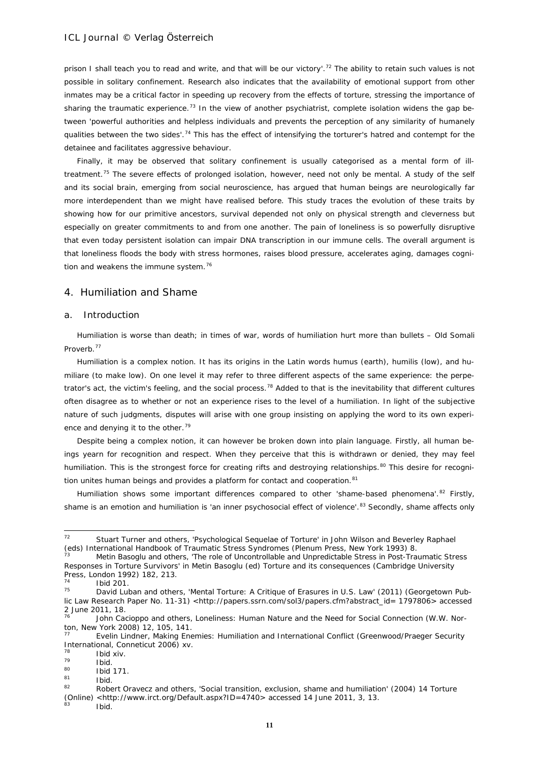prison I shall teach you to read and write, and that will be our victory'.<sup>[72](#page-10-0)</sup> The ability to retain such values is not possible in solitary confinement. Research also indicates that the availability of emotional support from other inmates may be a critical factor in speeding up recovery from the effects of torture, stressing the importance of sharing the traumatic experience.<sup>[73](#page-10-1)</sup> In the view of another psychiatrist, complete isolation widens the gap between 'powerful authorities and helpless individuals and prevents the perception of any similarity of humanely qualities between the two sides'.<sup>[74](#page-10-2)</sup> This has the effect of intensifying the torturer's hatred and contempt for the detainee and facilitates aggressive behaviour.

Finally, it may be observed that solitary confinement is usually categorised as a mental form of illtreatment.[75](#page-10-3) The severe effects of prolonged isolation, however, need not only be *mental*. A study of the self and its social brain, emerging from social neuroscience, has argued that human beings are neurologically far more interdependent than we might have realised before. This study traces the evolution of these traits by showing how for our primitive ancestors, survival depended not only on physical strength and cleverness but especially on greater commitments to and from one another. The pain of loneliness is so powerfully disruptive that even today persistent isolation can impair DNA transcription in our immune cells. The overall argument is that loneliness floods the body with stress hormones, raises blood pressure, accelerates aging, damages cogni-tion and weakens the immune system.<sup>[76](#page-10-4)</sup>

# 4. Humiliation and Shame

### a. Introduction

*Humiliation is worse than death; in times of war, words of humiliation hurt more than bullets – Old Somali Proverb.*[77](#page-10-5)

Humiliation is a complex notion. It has its origins in the Latin words *humus* (earth), *humilis* (low), and *humiliare* (to make low). On one level it may refer to three different aspects of the same experience: the perpe-trator's act, the victim's feeling, and the social process.<sup>[78](#page-10-6)</sup> Added to that is the inevitability that different cultures often disagree as to whether or not an experience rises to the level of a humiliation. In light of the subjective nature of such judgments, disputes will arise with one group insisting on applying the word to its own experi-ence and denying it to the other.<sup>[79](#page-10-7)</sup>

Despite being a complex notion, it can however be broken down into plain language. Firstly, all human beings yearn for recognition and respect. When they perceive that this is withdrawn or denied, they may feel humiliation. This is the strongest force for creating rifts and destroying relationships.<sup>[80](#page-10-8)</sup> This desire for recogni-tion unites human beings and provides a platform for contact and cooperation.<sup>[81](#page-10-9)</sup>

Humiliation shows some important differences compared to other 'shame-based phenomena'.<sup>[82](#page-10-10)</sup> Firstly, shame is an emotion and humiliation is 'an inner psychosocial effect of violence'.<sup>[83](#page-10-11)</sup> Secondly, shame affects only

 $\frac{78}{79}$  Ibid xiv.

<span id="page-10-0"></span> $72$ Stuart Turner and others, 'Psychological Sequelae of Torture' in John Wilson and Beverley Raphael (eds) *International Handbook of Traumatic Stress Syndromes* (Plenum Press, New York 1993) 8.

<span id="page-10-1"></span><sup>73</sup> Metin Basoglu and others, 'The role of Uncontrollable and Unpredictable Stress in Post-Traumatic Stress Responses in Torture Survivors' in Metin Basoglu (ed) *Torture and its consequences* (Cambridge University Press, London 1992) 182, 213.

 $^{74}$  Ibid 201.

<span id="page-10-3"></span><span id="page-10-2"></span>David Luban and others, 'Mental Torture: A Critique of Erasures in U.S. Law' (2011) (Georgetown Pub-lic Law Research Paper No. 11-31) [<http://papers.ssrn.com/sol3/papers.cfm?abstract\\_id= 1797806>](http://papers.ssrn.com/sol3/papers.cfm?abstract_id=%201797806) accessed 2 June 2011, 18.

<span id="page-10-4"></span>John Cacioppo and others, Loneliness: Human Nature and the Need for Social Connection (W.W. Norton, New York 2008) 12, 105, 141.

<span id="page-10-5"></span><sup>77</sup> Evelin Lindner, Making Enemies: Humiliation and International Conflict (Greenwood/Praeger Security International, Conneticut 2006) xv.

<span id="page-10-8"></span><span id="page-10-7"></span><span id="page-10-6"></span> $\frac{79}{80}$  Ibid.

 $\frac{80}{81}$  Ibid 171.

<span id="page-10-10"></span><span id="page-10-9"></span> $\frac{81}{82}$  Ibid. <sup>82</sup> Robert Oravecz and others, 'Social transition, exclusion, shame and humiliation' (2004) 14 Torture (Online) <http://www.irct.org/Default.aspx?ID=4740> accessed 14 June 2011, 3, 13.

<span id="page-10-11"></span>Ibid.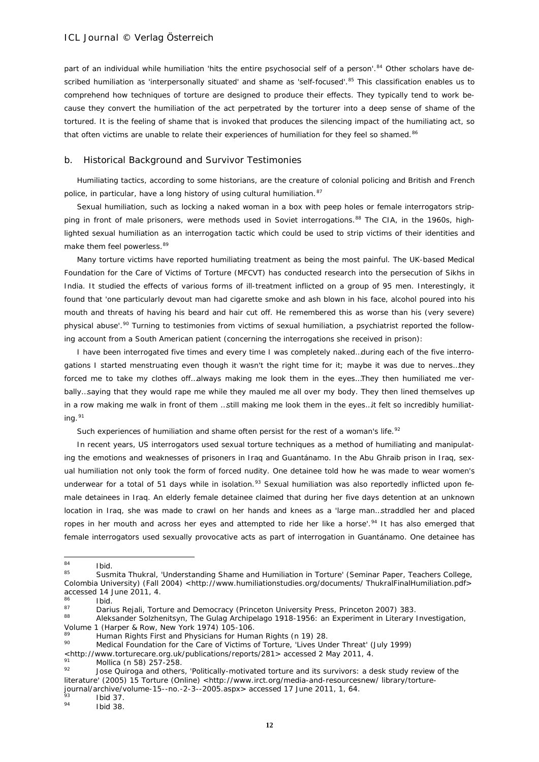part of an individual while humiliation 'hits the entire psychosocial self of a person'.<sup>[84](#page-11-0)</sup> Other scholars have de-scribed humiliation as 'interpersonally situated' and shame as 'self-focused'.<sup>[85](#page-11-1)</sup> This classification enables us to comprehend how techniques of torture are designed to produce their effects. They typically tend to work because they convert the humiliation of the act perpetrated by the torturer into a deep sense of shame of the tortured. It is the feeling of shame that is invoked that produces the silencing impact of the humiliating act, so that often victims are unable to relate their experiences of humiliation for they feel so shamed.<sup>[86](#page-11-2)</sup>

#### b. Historical Background and Survivor Testimonies

Humiliating tactics, according to some historians, are the creature of colonial policing and British and French police, in particular, have a long history of using cultural humiliation. [87](#page-11-3)

Sexual humiliation, such as locking a naked woman in a box with peep holes or female interrogators strip-ping in front of male prisoners, were methods used in Soviet interrogations.<sup>[88](#page-11-4)</sup> The CIA, in the 1960s, highlighted sexual humiliation as an interrogation tactic which could be used to strip victims of their identities and make them feel powerless.<sup>[89](#page-11-5)</sup>

Many torture victims have reported humiliating treatment as being the most painful. The UK-based Medical Foundation for the Care of Victims of Torture (MFCVT) has conducted research into the persecution of Sikhs in India. It studied the effects of various forms of ill-treatment inflicted on a group of 95 men. Interestingly, it found that 'one particularly devout man had cigarette smoke and ash blown in his face, alcohol poured into his mouth and threats of having his beard and hair cut off. He remembered this as worse than his (very severe) physical abuse'.<sup>[90](#page-11-6)</sup> Turning to testimonies from victims of sexual humiliation, a psychiatrist reported the following account from a South American patient (concerning the interrogations she received in prison):

I have been interrogated five times and every time I was completely naked…during each of the five interrogations I started menstruating even though it wasn't the right time for it; maybe it was due to nerves…they forced me to take my clothes off…always making me look them in the eyes…They then humiliated me verbally…saying that they would rape me while they mauled me all over my body. They then lined themselves up in a row making me walk in front of them …still making me look them in the eyes…it felt so incredibly humiliat-ing.<sup>[91](#page-11-7)</sup>

Such experiences of humiliation and shame often persist for the rest of a woman's life.<sup>[92](#page-11-8)</sup>

In recent years, US interrogators used sexual torture techniques as a method of humiliating and manipulating the emotions and weaknesses of prisoners in Iraq and Guantánamo. In the Abu Ghraib prison in Iraq, sexual humiliation not only took the form of forced nudity. One detainee told how he was made to wear women's underwear for a total of 51 days while in isolation.<sup>[93](#page-11-9)</sup> Sexual humiliation was also reportedly inflicted upon female detainees in Iraq. An elderly female detainee claimed that during her five days detention at an unknown location in Iraq, she was made to crawl on her hands and knees as a 'large man…straddled her and placed ropes in her mouth and across her eyes and attempted to ride her like a horse'.<sup>[94](#page-11-10)</sup> It has also emerged that female interrogators used sexually provocative acts as part of interrogation in Guantánamo. One detainee has

<span id="page-11-4"></span>Aleksander Solzhenitsyn, The Gulag Archipelago 1918-1956: an Experiment in Literary Investigation, Volume 1 (Harper & Row, New York 1974) 105-106.

<span id="page-11-0"></span><sup>84</sup>  $\frac{84}{85}$  Ibid.

<span id="page-11-1"></span>Susmita Thukral, 'Understanding Shame and Humiliation in Torture' (Seminar Paper, Teachers College, Colombia University) (Fall 2004) [<http://www.humiliationstudies.org/documents/ ThukralFinalHumiliation.pdf>](http://www.humiliationstudies.org/documents/%20ThukralFinalHumiliation.pdf) accessed 14 June 2011, 4.

<span id="page-11-2"></span> $\frac{86}{87}$  Ibid.

<span id="page-11-3"></span><sup>87</sup> Darius Rejali, Torture and Democracy (Princeton University Press, Princeton 2007) 383.<br>88 Aleksandar Salzbanitaur, The Gular Archivelane 1919 1954: en Europineent in Literary.

<span id="page-11-5"></span><sup>&</sup>lt;sup>89</sup> Human Rights First and Physicians for Human Rights (n 19) 28.

<span id="page-11-6"></span><sup>90</sup> Medical Foundation for the Care of Victims of Torture, 'Lives Under Threat' (July 1999)

[<sup>&</sup>lt;http://www.torturecare.org.uk/publications/reports/281>](http://www.torturecare.org.uk/publications/reports/281) accessed 2 May 2011, 4.

 $\frac{91}{92}$  Mollica (n 58) 257-258.

<span id="page-11-8"></span><span id="page-11-7"></span>Jose Quiroga and others, 'Politically-motivated torture and its survivors: a desk study review of the literature' (2005) 15 Torture (Online) <http://www.irct.org/media-and-resourcesnew/ library/torturejournal/archive/volume-15--no.-2-3--2005.aspx> accessed 17 June 2011, 1, 64.

<span id="page-11-9"></span> $\frac{93}{94}$  Ibid 37.

<span id="page-11-10"></span>Ibid 38.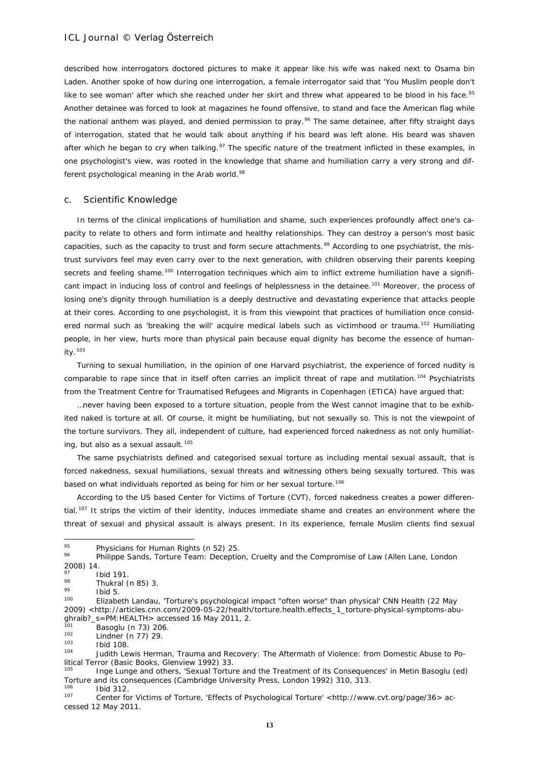described how interrogators doctored pictures to make it appear like his wife was naked next to Osama bin Laden. Another spoke of how during one interrogation, a female interrogator said that 'You Muslim people don't like to see woman' after which she reached under her skirt and threw what appeared to be blood in his face.<sup>[95](#page-12-0)</sup> Another detainee was forced to look at magazines he found offensive, to stand and face the American flag while the national anthem was played, and denied permission to pray.<sup>[96](#page-12-1)</sup> The same detainee, after fifty straight days of interrogation, stated that he would talk about anything if his beard was left alone. His beard was shaven after which he began to cry when talking.<sup>[97](#page-12-2)</sup> The specific nature of the treatment inflicted in these examples, in one psychologist's view, was rooted in the knowledge that shame and humiliation carry a very strong and dif-ferent psychological meaning in the Arab world.<sup>[98](#page-12-3)</sup>

#### c. Scientific Knowledge

In terms of the clinical implications of humiliation and shame, such experiences profoundly affect one's capacity to relate to others and form intimate and healthy relationships. They can destroy a person's most basic capacities, such as the capacity to trust and form secure attachments.<sup>[99](#page-12-4)</sup> According to one psychiatrist, the mistrust survivors feel may even carry over to the next generation, with children observing their parents keeping secrets and feeling shame.<sup>[100](#page-12-5)</sup> Interrogation techniques which aim to inflict extreme humiliation have a signifi-cant impact in inducing loss of control and feelings of helplessness in the detainee.<sup>[101](#page-12-6)</sup> Moreover, the process of losing one's dignity through humiliation is a deeply destructive and devastating experience that attacks people at their cores. According to one psychologist, it is from this viewpoint that practices of humiliation once considered normal such as 'breaking the will' acquire medical labels such as *victimhood* or *trauma*. [102](#page-12-7) Humiliating people, in her view, hurts more than physical pain because equal dignity has become the essence of humanity.[103](#page-12-8)

Turning to sexual humiliation, in the opinion of one Harvard psychiatrist, the experience of forced nudity is comparable to rape since that in itself often carries an implicit threat of rape and mutilation.<sup>[104](#page-12-9)</sup> Psychiatrists from the Treatment Centre for Traumatised Refugees and Migrants in Copenhagen (ETICA) have argued that:

…never having been exposed to a torture situation, people from the West cannot imagine that to be exhibited naked is torture at all. Of course, it might be humiliating, but not sexually so. This is not the viewpoint of the torture survivors. They all, independent of culture, had experienced forced nakedness as not only humiliat-ing, but also as a sexual assault.<sup>[105](#page-12-10)</sup>

The same psychiatrists defined and categorised sexual torture as including mental sexual assault, that is forced nakedness, sexual humiliations, sexual threats and witnessing others being sexually tortured. This was based on what individuals reported as being for him or her sexual torture.<sup>[106](#page-12-11)</sup>

According to the US based Center for Victims of Torture (CVT), forced nakedness creates a power differential.[107](#page-12-12) It strips the victim of their identity, induces immediate shame and creates an environment where the threat of sexual and physical assault is always present. In its experience, female Muslim clients find sexual

<span id="page-12-0"></span><sup>95</sup> <sup>95</sup> Physicians for Human Rights (n 52) 25.<br><sup>96</sup> Phillippe Carola Testure Testus Decential

<span id="page-12-1"></span><sup>96</sup> Philippe Sands, Torture Team: Deception, Cruelty and the Compromise of Law (Allen Lane, London 2008) 14.

<span id="page-12-2"></span> $\frac{97}{98}$  Ibid 191.

 $\frac{98}{99}$  Thukral (n 85) 3.

<span id="page-12-5"></span><span id="page-12-4"></span><span id="page-12-3"></span> $\frac{99}{100}$  Ibid 5.

Elizabeth Landau, 'Torture's psychological impact "often worse" than physical' CNN Health (22 May 2009) [<http://articles.cnn.com/2009-05-22/health/torture.health.effects\\_1\\_torture-physical-symptoms-abu](http://articles.cnn.com/2009-05-22/health/torture.health.effects_1_torture-physical-symptoms-abu-ghraib?_s=PM:HEALTH)ghraib?\_s=PM: HEALTH> accessed 16 May 2011, 2.

<span id="page-12-6"></span> $\frac{101}{102}$  Basoglu (n 73) 206.

<span id="page-12-7"></span> $^{102}$  Lindner (n 77) 29.

<span id="page-12-8"></span> $\frac{103}{104}$  Ibid 108

<span id="page-12-9"></span>Judith Lewis Herman, Trauma and Recovery: The Aftermath of Violence: from Domestic Abuse to Political Terror (Basic Books, Glenview 1992) 33.

<sup>105</sup> Inge Lunge and others, 'Sexual Torture and the Treatment of its Consequences' in Metin Basoglu (ed) *Torture and its consequences* (Cambridge University Press, London 1992) 310, 313.

<span id="page-12-12"></span><span id="page-12-11"></span><span id="page-12-10"></span> $\frac{106}{107}$  Ibid 312. <sup>107</sup> Center for Victims of Torture, 'Effects of Psychological Torture' [<http://www.cvt.org/page/36>](http://www.cvt.org/page/36) accessed 12 May 2011.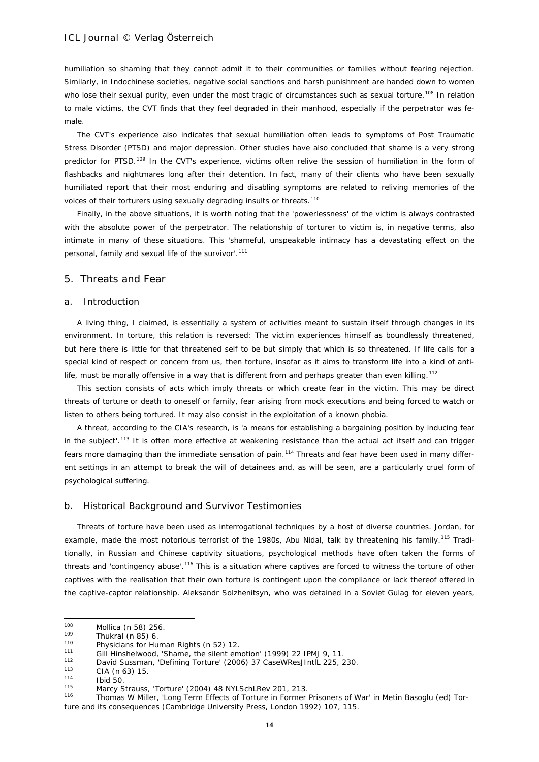humiliation so shaming that they cannot admit it to their communities or families without fearing rejection. Similarly, in Indochinese societies, negative social sanctions and harsh punishment are handed down to women who lose their sexual purity, even under the most tragic of circumstances such as sexual torture.<sup>[108](#page-13-0)</sup> In relation to male victims, the CVT finds that they feel degraded in their manhood, especially if the perpetrator was female.

The CVT's experience also indicates that sexual humiliation often leads to symptoms of Post Traumatic Stress Disorder (PTSD) and major depression. Other studies have also concluded that shame is a very strong predictor for PTSD.<sup>[109](#page-13-1)</sup> In the CVT's experience, victims often relive the session of humiliation in the form of flashbacks and nightmares long after their detention. In fact, many of their clients who have been sexually humiliated report that their most enduring and disabling symptoms are related to reliving memories of the voices of their torturers using sexually degrading insults or threats.<sup>[110](#page-13-2)</sup>

Finally, in the above situations, it is worth noting that the 'powerlessness' of the victim is always contrasted with the absolute power of the perpetrator. The relationship of torturer to victim is, in negative terms, also intimate in many of these situations. This 'shameful, unspeakable intimacy has a devastating effect on the personal, family and sexual life of the survivor'.<sup>[111](#page-13-3)</sup>

#### 5. Threats and Fear

# a. Introduction

*A living thing, I claimed, is essentially a system of activities meant to sustain itself through changes in its environment. In torture, this relation is reversed: The victim experiences himself as boundlessly threatened, but here there is little for that threatened self to be but simply that which is so threatened. If life calls for a special kind of respect or concern from us, then torture, insofar as it aims to transform life into a kind of antilife, must be morally offensive in a way that is different from and perhaps greater than even killing.*[112](#page-13-4)

This section consists of acts which imply threats or which create fear in the victim. This may be direct threats of torture or death to oneself or family, fear arising from mock executions and being forced to watch or listen to others being tortured. It may also consist in the exploitation of a known phobia.

A threat, according to the CIA's research, is 'a means for establishing a bargaining position by inducing fear in the subject'.<sup>[113](#page-13-5)</sup> It is often more effective at weakening resistance than the actual act itself and can trigger fears more damaging than the immediate sensation of pain.<sup>[114](#page-13-6)</sup> Threats and fear have been used in many different settings in an attempt to break the will of detainees and, as will be seen, are a particularly cruel form of psychological suffering.

#### b. Historical Background and Survivor Testimonies

Threats of torture have been used as interrogational techniques by a host of diverse countries. Jordan, for example, made the most notorious terrorist of the 1980s, Abu Nidal, talk by threatening his family.<sup>[115](#page-13-7)</sup> Traditionally, in Russian and Chinese captivity situations, psychological methods have often taken the forms of threats and 'contingency abuse'.[116](#page-13-8) This is a situation where captives are forced to witness the torture of other captives with the realisation that their own torture is contingent upon the compliance or lack thereof offered in the captive-captor relationship. Aleksandr Solzhenitsyn, who was detained in a Soviet Gulag for eleven years,

<span id="page-13-0"></span><sup>108</sup>  $\frac{108}{108}$  Mollica (n 58) 256.

<span id="page-13-1"></span> $\frac{109}{110}$  Thukral (n 85) 6.

<sup>&</sup>lt;sup>110</sup> Physicians for Human Rights (n 52) 12.

<span id="page-13-4"></span><span id="page-13-3"></span><span id="page-13-2"></span><sup>&</sup>lt;sup>111</sup> Gill Hinshelwood, 'Shame, the silent emotion' (1999) 22 IPMJ 9, 11.<br><sup>112</sup> David Sussman, 'Defining Terture' (2004) 27 CaseWhee Until 225, 2

<sup>112</sup> David Sussman, 'Defining Torture' (2006) 37 CaseWResJIntlL 225, 230.

<span id="page-13-5"></span> $\frac{113}{114}$  CIA (n 63) 15.

<span id="page-13-6"></span> $114$  Ibid 50.

<span id="page-13-8"></span><span id="page-13-7"></span><sup>115</sup> Marcy Strauss, 'Torture' (2004) 48 NYLSchLRev 201, 213.<br>116 Thomas W Miller, 'Long Term Effects of Torture in Former

<sup>116</sup> Thomas W Miller, 'Long Term Effects of Torture in Former Prisoners of War' in Metin Basoglu (ed) *Torture and its consequences* (Cambridge University Press, London 1992) 107, 115.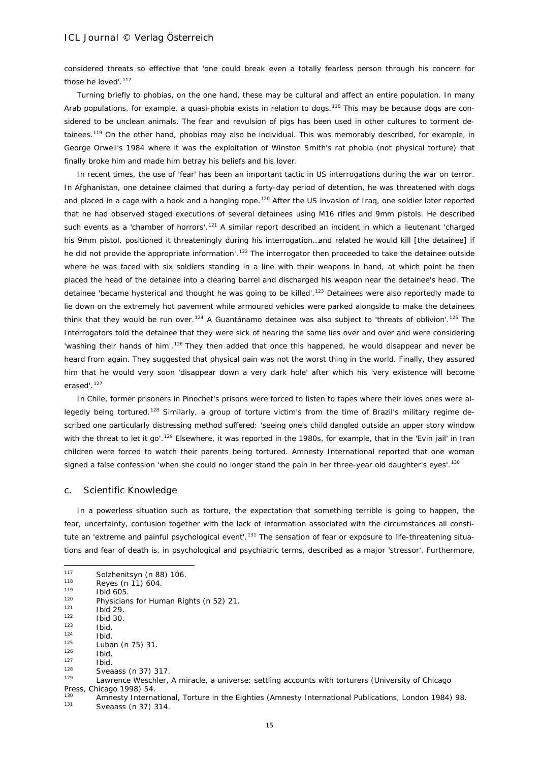considered threats so effective that 'one could break even a totally fearless person through his concern for those he loved'.<sup>[117](#page-14-0)</sup>

Turning briefly to phobias, on the one hand, these may be cultural and affect an entire population. In many Arab populations, for example, a quasi-phobia exists in relation to dogs.<sup>[118](#page-14-1)</sup> This may be because dogs are considered to be unclean animals. The fear and revulsion of pigs has been used in other cultures to torment de-tainees.<sup>[119](#page-14-2)</sup> On the other hand, phobias may also be individual. This was memorably described, for example, in George Orwell's *1984* where it was the exploitation of Winston Smith's rat phobia (not physical torture) that finally broke him and made him betray his beliefs and his lover.

In recent times, the use of 'fear' has been an important tactic in US interrogations during the war on terror. In Afghanistan, one detainee claimed that during a forty-day period of detention, he was threatened with dogs and placed in a cage with a hook and a hanging rope.<sup>[120](#page-14-3)</sup> After the US invasion of Irag, one soldier later reported that he had observed staged executions of several detainees using M16 rifles and 9mm pistols. He described such events as a 'chamber of horrors'.<sup>[121](#page-14-4)</sup> A similar report described an incident in which a lieutenant 'charged his 9mm pistol, positioned it threateningly during his interrogation…and related he would kill [the detainee] if he did not provide the appropriate information'.<sup>[122](#page-14-5)</sup> The interrogator then proceeded to take the detainee outside where he was faced with six soldiers standing in a line with their weapons in hand, at which point he then placed the head of the detainee into a clearing barrel and discharged his weapon near the detainee's head. The detainee 'became hysterical and thought he was going to be killed'.<sup>[123](#page-14-6)</sup> Detainees were also reportedly made to lie down on the extremely hot pavement while armoured vehicles were parked alongside to make the detainees think that they would be run over.<sup>[124](#page-14-7)</sup> A Guantánamo detainee was also subject to 'threats of oblivion'.<sup>[125](#page-14-8)</sup> The Interrogators told the detainee that they were sick of hearing the same lies over and over and were considering 'washing their hands of him'.<sup>[126](#page-14-9)</sup> They then added that once this happened, he would disappear and never be heard from again. They suggested that physical pain was not the worst thing in the world. Finally, they assured him that he would very soon 'disappear down a very dark hole' after which his 'very existence will become erased'.<sup>[127](#page-14-10)</sup>

In Chile, former prisoners in Pinochet's prisons were forced to listen to tapes where their loves ones were al-legedly being tortured.<sup>[128](#page-14-11)</sup> Similarly, a group of torture victim's from the time of Brazil's military regime described one particularly distressing method suffered: 'seeing one's child dangled outside an upper story window with the threat to let it go'.<sup>[129](#page-14-12)</sup> Elsewhere, it was reported in the 1980s, for example, that in the 'Evin jail' in Iran children were forced to watch their parents being tortured. Amnesty International reported that one woman signed a false confession 'when she could no longer stand the pain in her three-year old daughter's eyes'.<sup>[130](#page-14-13)</sup>

#### c. Scientific Knowledge

In a powerless situation such as torture, the expectation that something terrible is going to happen, the fear, uncertainty, confusion together with the lack of information associated with the circumstances all consti-tute an 'extreme and painful psychological event'.<sup>[131](#page-14-14)</sup> The sensation of fear or exposure to life-threatening situations and fear of death is, in psychological and psychiatric terms, described as a major 'stressor'. Furthermore,

<span id="page-14-2"></span> $\frac{119}{120}$  Ibid 605.

 $\frac{126}{127}$  Ibid.

 $\frac{128}{129}$  Sveaass (n 37) 317.

<span id="page-14-0"></span> $117$  $^{117}$  Solzhenitsyn (n 88) 106.

<span id="page-14-1"></span> $118$  Reyes (n 11) 604.

<span id="page-14-3"></span><sup>&</sup>lt;sup>120</sup> Physicians for Human Rights (n 52) 21.

<span id="page-14-4"></span> $121$  Ibid 29.

<span id="page-14-5"></span> $\frac{122}{123}$  Ibid 30.

<span id="page-14-6"></span> $123$  Ibid.

<span id="page-14-8"></span><span id="page-14-7"></span> $\frac{124}{125}$  Ibid.  $125$  Luban (n 75) 31.

<span id="page-14-11"></span><span id="page-14-10"></span><span id="page-14-9"></span> $\frac{127}{128}$  Ibid.

<span id="page-14-12"></span><sup>129</sup> Lawrence Weschler, *A miracle, a universe: settling accounts with torturers* (University of Chicago Press, Chicago 1998) 54.

<span id="page-14-14"></span><span id="page-14-13"></span><sup>130</sup> Amnesty International, *Torture in the Eighties* (Amnesty International Publications, London 1984) 98. Sveaass (n 37) 314.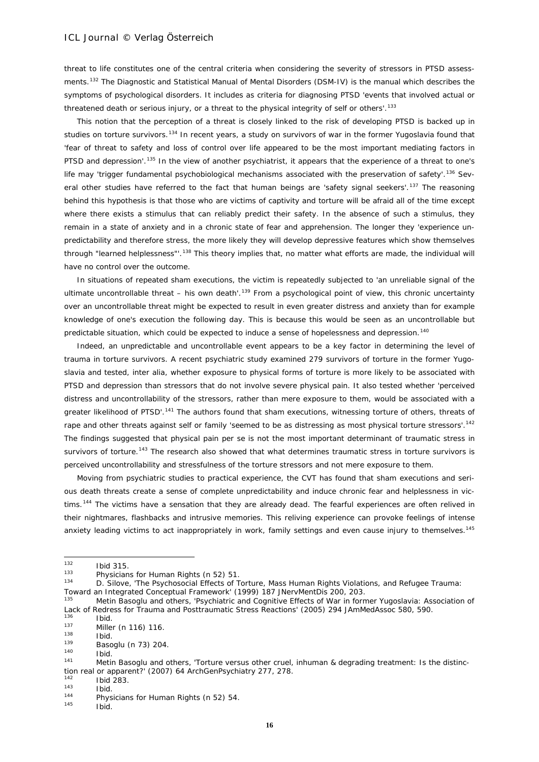threat to life constitutes one of the central criteria when considering the severity of stressors in PTSD assessments.[132](#page-15-0) The Diagnostic and Statistical Manual of Mental Disorders (DSM-IV) is the manual which describes the symptoms of psychological disorders. It includes as criteria for diagnosing PTSD 'events that involved actual or threatened death or serious injury, or a threat to the physical integrity of self or others'.<sup>[133](#page-15-1)</sup>

This notion that the perception of a threat is closely linked to the risk of developing PTSD is backed up in studies on torture survivors.<sup>[134](#page-15-2)</sup> In recent years, a study on survivors of war in the former Yugoslavia found that 'fear of threat to safety and loss of control over life appeared to be the most important mediating factors in PTSD and depression'.<sup>[135](#page-15-3)</sup> In the view of another psychiatrist, it appears that the experience of a threat to one's life may 'trigger fundamental psychobiological mechanisms associated with the preservation of safety'.<sup>[136](#page-15-4)</sup> Sev-eral other studies have referred to the fact that human beings are 'safety signal seekers'.<sup>[137](#page-15-5)</sup> The reasoning behind this hypothesis is that those who are victims of captivity and torture will be afraid all of the time except where there exists a stimulus that can reliably predict their safety. In the absence of such a stimulus, they remain in a state of anxiety and in a chronic state of fear and apprehension. The longer they 'experience unpredictability and therefore stress, the more likely they will develop depressive features which show themselves through "learned helplessness"'.[138](#page-15-6) This theory implies that, no matter what efforts are made, the individual will have no control over the outcome.

In situations of repeated sham executions, the victim is repeatedly subjected to 'an unreliable signal of the ultimate uncontrollable threat – his own death'.<sup>[139](#page-15-7)</sup> From a psychological point of view, this chronic uncertainty over an uncontrollable threat might be expected to result in even greater distress and anxiety than for example knowledge of one's execution the following day. This is because this would be seen as an uncontrollable but *predictable* situation, which could be expected to induce a sense of hopelessness and depression.[140](#page-15-8)

Indeed, an unpredictable and uncontrollable event appears to be a key factor in determining the level of trauma in torture survivors. A recent psychiatric study examined 279 survivors of torture in the former Yugoslavia and tested, *inter alia*, whether exposure to physical forms of torture is more likely to be associated with PTSD and depression than stressors that do not involve severe physical pain. It also tested whether 'perceived distress and uncontrollability of the stressors, rather than mere exposure to them, would be associated with a greater likelihood of PTSD'.<sup>[141](#page-15-9)</sup> The authors found that sham executions, witnessing torture of others, threats of rape and other threats against self or family 'seemed to be as distressing as most physical torture stressors'.<sup>[142](#page-15-10)</sup> The findings suggested that physical pain *per se* is not the most important determinant of traumatic stress in survivors of torture.<sup>[143](#page-15-11)</sup> The research also showed that what determines traumatic stress in torture survivors is *perceived* uncontrollability and stressfulness of the torture stressors and not mere *exposure* to them.

Moving from psychiatric studies to practical experience, the CVT has found that sham executions and serious death threats create a sense of complete unpredictability and induce chronic fear and helplessness in vic-tims.<sup>[144](#page-15-12)</sup> The victims have a sensation that they are already dead. The fearful experiences are often relived in their nightmares, flashbacks and intrusive memories. This reliving experience can provoke feelings of intense anxiety leading victims to act inappropriately in work, family settings and even cause injury to themselves.<sup>[145](#page-15-13)</sup>

<span id="page-15-0"></span> $132$  $\frac{132}{133}$  Ibid 315.

<span id="page-15-1"></span><sup>&</sup>lt;sup>133</sup> Physicians for Human Rights (n 52) 51.<br><sup>134</sup> D. Silove, 'The Povebecocial Effects of T

<span id="page-15-2"></span><sup>134</sup> D. Silove, 'The Psychosocial Effects of Torture, Mass Human Rights Violations, and Refugee Trauma: Toward an Integrated Conceptual Framework' (1999) 187 JNervMentDis 200, 203.

<span id="page-15-3"></span>Metin Basoglu and others, 'Psychiatric and Cognitive Effects of War in former Yugoslavia: Association of Lack of Redress for Trauma and Posttraumatic Stress Reactions' (2005) 294 JAmMedAssoc 580, 590.

<span id="page-15-4"></span> $\frac{136}{137}$  Ibid.

<span id="page-15-5"></span> $137$  Miller (n 116) 116.<br>
138 Ibid.<br>
139 Desember (n 73) 200

<span id="page-15-8"></span><span id="page-15-7"></span><span id="page-15-6"></span> $139$  Basoglu (n 73) 204.<br>  $140$  Ibid.<br>  $141$  Metin Basoglu and o

<span id="page-15-9"></span>Metin Basoglu and others, 'Torture versus other cruel, inhuman & degrading treatment: Is the distinction real or apparent?' (2007) 64 ArchGenPsychiatry 277, 278.

<span id="page-15-10"></span> $\frac{142}{143}$  Ibid 283.

<span id="page-15-12"></span><span id="page-15-11"></span>

 $143$  Ibid.<br> **144** Physicians for Human Rights (n 52) 54.

<span id="page-15-13"></span>Ibid.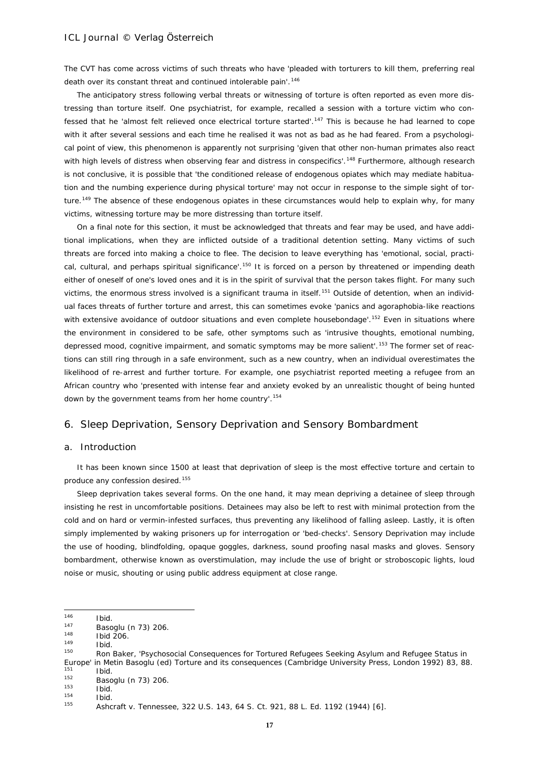The CVT has come across victims of such threats who have 'pleaded with torturers to kill them, preferring real death over its constant threat and continued intolerable pain'.<sup>[146](#page-16-0)</sup>

The anticipatory stress following verbal threats or witnessing of torture is often reported as even more distressing than torture itself. One psychiatrist, for example, recalled a session with a torture victim who confessed that he 'almost felt relieved once electrical torture started'.[147](#page-16-1) This is because he had learned to cope with it after several sessions and each time he realised it was not as bad as he had feared. From a psychological point of view, this phenomenon is apparently not surprising 'given that other non-human primates also react with high levels of distress when observing fear and distress in conspecifics'.<sup>[148](#page-16-2)</sup> Furthermore, although research is not conclusive, it is possible that 'the conditioned release of endogenous opiates which may mediate habituation and the numbing experience during physical torture' may not occur in response to the simple sight of tor-ture.<sup>[149](#page-16-3)</sup> The absence of these endogenous opiates in these circumstances would help to explain why, for many victims, witnessing torture may be more distressing than torture itself.

On a final note for this section, it must be acknowledged that threats and fear may be used, and have additional implications, when they are inflicted outside of a traditional detention setting. Many victims of such threats are forced into making a choice to flee. The decision to leave everything has 'emotional, social, practi-cal, cultural, and perhaps spiritual significance'.<sup>[150](#page-16-4)</sup> It is forced on a person by threatened or impending death either of oneself of one's loved ones and it is in the spirit of survival that the person takes flight. For many such victims, the enormous stress involved is a significant trauma in itself.<sup>[151](#page-16-5)</sup> Outside of detention, when an individual faces threats of further torture and arrest, this can sometimes evoke 'panics and agoraphobia-like reactions with extensive avoidance of outdoor situations and even complete housebondage'.<sup>[152](#page-16-6)</sup> Even in situations where the environment in considered to be safe, other symptoms such as 'intrusive thoughts, emotional numbing, depressed mood, cognitive impairment, and somatic symptoms may be more salient'.<sup>[153](#page-16-7)</sup> The former set of reactions can still ring through in a safe environment, such as a new country, when an individual overestimates the likelihood of re-arrest and further torture. For example, one psychiatrist reported meeting a refugee from an African country who 'presented with intense fear and anxiety evoked by an unrealistic thought of being hunted down by the government teams from her home country'.<sup>[154](#page-16-8)</sup>

# 6. Sleep Deprivation, Sensory Deprivation and Sensory Bombardment

#### a. Introduction

*It has been known since 1500 at least that deprivation of sleep is the most effective torture and certain to produce any confession desired.*[155](#page-16-9)

Sleep deprivation takes several forms. On the one hand, it may mean depriving a detainee of sleep through insisting he rest in uncomfortable positions. Detainees may also be left to rest with minimal protection from the cold and on hard or vermin-infested surfaces, thus preventing any likelihood of falling asleep. Lastly, it is often simply implemented by waking prisoners up for interrogation or 'bed-checks'. Sensory Deprivation may include the use of hooding, blindfolding, opaque goggles, darkness, sound proofing nasal masks and gloves. Sensory bombardment, otherwise known as overstimulation, may include the use of bright or stroboscopic lights, loud noise or music, shouting or using public address equipment at close range.

<span id="page-16-0"></span><sup>146</sup>  $\frac{146}{147}$  Ibid.

<span id="page-16-1"></span><sup>147</sup> Basoglu (n 73) 206.<br>
148 Ibid 206.<br>
149 Ibid.

<span id="page-16-3"></span><span id="page-16-2"></span>

<span id="page-16-4"></span>Ron Baker, 'Psychosocial Consequences for Tortured Refugees Seeking Asylum and Refugee Status in Europe' in Metin Basoglu (ed) *Torture and its consequences* (Cambridge University Press, London 1992) 83, 88.  $\frac{151}{152}$  Ibid.

<span id="page-16-6"></span><span id="page-16-5"></span> $152$  Basoglu (n 73) 206.<br>  $153$  Ibid.<br>  $154$  Ibid.

<span id="page-16-9"></span><span id="page-16-8"></span><span id="page-16-7"></span>

 $154$  Ibid.<br> $155$  Ache

<sup>155</sup> *Ashcraft v. Tennessee*, 322 U.S. 143, 64 S. Ct. 921, 88 L. Ed. 1192 (1944) [6].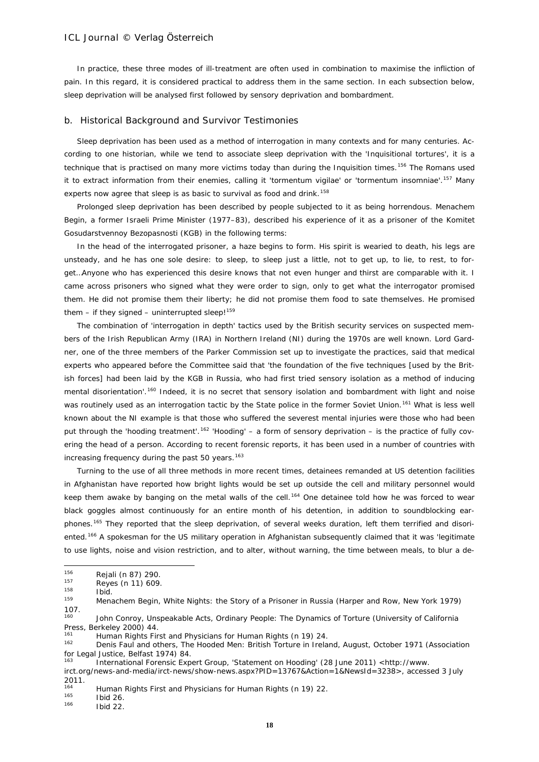In practice, these three modes of ill-treatment are often used in combination to maximise the infliction of pain. In this regard, it is considered practical to address them in the same section. In each subsection below, sleep deprivation will be analysed first followed by sensory deprivation and bombardment.

#### b. Historical Background and Survivor Testimonies

Sleep deprivation has been used as a method of interrogation in many contexts and for many centuries. According to one historian, while we tend to associate sleep deprivation with the 'Inquisitional tortures', it is a technique that is practised on many more victims today than during the Inquisition times.<sup>[156](#page-17-0)</sup> The Romans used it to extract information from their enemies, calling it 'tormentum vigilae' or 'tormentum insomniae'.[157](#page-17-1) Many experts now agree that sleep is as basic to survival as food and drink.<sup>[158](#page-17-2)</sup>

Prolonged sleep deprivation has been described by people subjected to it as being horrendous. Menachem Begin, a former Israeli Prime Minister (1977–83), described his experience of it as a prisoner of the *Komitet Gosudarstvennoy Bezopasnosti* (KGB) in the following terms:

In the head of the interrogated prisoner, a haze begins to form. His spirit is wearied to death, his legs are unsteady, and he has one sole desire: to sleep, to sleep just a little, not to get up, to lie, to rest, to forget…Anyone who has experienced this desire knows that not even hunger and thirst are comparable with it. I came across prisoners who signed what they were order to sign, only to get what the interrogator promised them. He did not promise them their liberty; he did not promise them food to sate themselves. He promised them – if they signed – uninterrupted sleep! $159$ 

The combination of 'interrogation in depth' tactics used by the British security services on suspected members of the Irish Republican Army (IRA) in Northern Ireland (NI) during the 1970s are well known. Lord Gardner, one of the three members of the Parker Commission set up to investigate the practices, said that medical experts who appeared before the Committee said that 'the foundation of the five techniques [used by the British forces] had been laid by the KGB in Russia, who had first tried sensory isolation as a method of inducing mental disorientation'.[160](#page-17-4) Indeed, it is no secret that sensory isolation and bombardment with light and noise was routinely used as an interrogation tactic by the State police in the former Soviet Union.<sup>[161](#page-17-5)</sup> What is less well known about the NI example is that those who suffered the severest mental injuries were those who had been put through the 'hooding treatment'.<sup>[162](#page-17-6)</sup> 'Hooding' – a form of sensory deprivation – is the practice of fully covering the head of a person. According to recent forensic reports, it has been used in a number of countries with increasing frequency during the past 50 years.<sup>[163](#page-17-7)</sup>

Turning to the use of all three methods in more recent times, detainees remanded at US detention facilities in Afghanistan have reported how bright lights would be set up outside the cell and military personnel would keep them awake by banging on the metal walls of the cell.<sup>[164](#page-17-8)</sup> One detainee told how he was forced to wear black goggles almost continuously for an entire month of his detention, in addition to soundblocking ear-phones.<sup>[165](#page-17-9)</sup> They reported that the sleep deprivation, of several weeks duration, left them terrified and disori-ented.<sup>[166](#page-17-10)</sup> A spokesman for the US military operation in Afghanistan subsequently claimed that it was 'legitimate to use lights, noise and vision restriction, and to alter, without warning, the time between meals, to blur a de-

<span id="page-17-9"></span> $165$  Ibid 26.

<span id="page-17-10"></span>**Ibid 22.** 

<span id="page-17-0"></span><sup>156</sup>  $^{156}$  Rejali (n 87) 290.

<span id="page-17-1"></span> $157$  Reyes (n 11) 609.

<span id="page-17-2"></span> $158$  Ibid.

<span id="page-17-3"></span><sup>159</sup> Menachem Begin, *White Nights: the Story of a Prisoner in Russia* (Harper and Row, New York 1979)  $107.160$ 

<span id="page-17-4"></span>John Conroy, *Unspeakable Acts, Ordinary People: The Dynamics of Torture* (University of California Press, Berkeley 2000) 44.

<span id="page-17-5"></span><sup>161</sup> Human Rights First and Physicians for Human Rights (n 19) 24.

<span id="page-17-6"></span><sup>162</sup> Denis Faul and others, *The Hooded Men: British Torture in Ireland*, *August, October 1971* (Association for Legal Justice, Belfast 1974) 84.

<sup>163</sup> International Forensic Expert Group, 'Statement on Hooding' (28 June 2011) <http://www.

<span id="page-17-7"></span>irct.org/news-and-media/irct-news/show-news.aspx?PID=13767&Action=1&NewsId=3238>, accessed 3 July  $2011.$ 

<span id="page-17-8"></span><sup>&</sup>lt;sup>164</sup> Human Rights First and Physicians for Human Rights (n 19) 22.<br><sup>165</sup> Hold 26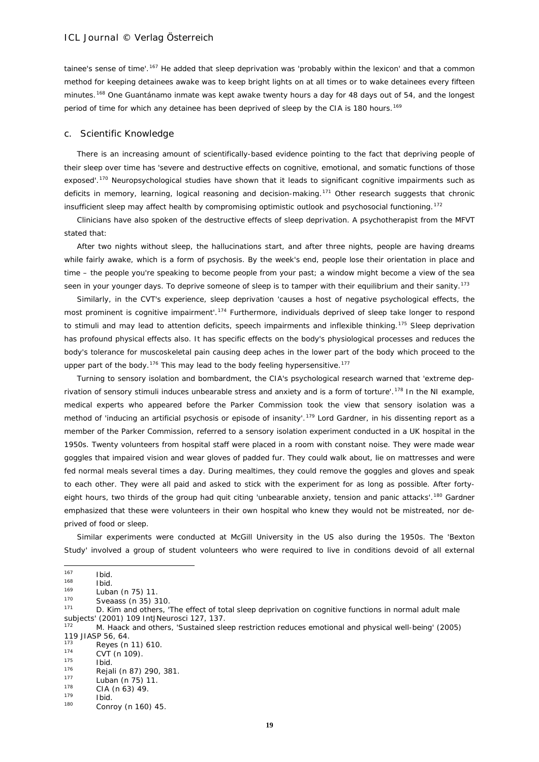tainee's sense of time'.<sup>[167](#page-18-0)</sup> He added that sleep deprivation was 'probably within the lexicon' and that a common method for keeping detainees awake was to keep bright lights on at all times or to wake detainees every fifteen minutes.<sup>[168](#page-18-1)</sup> One Guantánamo inmate was kept awake twenty hours a day for 48 days out of 54, and the longest period of time for which any detainee has been deprived of sleep by the CIA is 180 hours.<sup>[169](#page-18-2)</sup>

#### c. Scientific Knowledge

There is an increasing amount of scientifically-based evidence pointing to the fact that depriving people of their sleep over time has 'severe and destructive effects on cognitive, emotional, and somatic functions of those exposed'.[170](#page-18-3) Neuropsychological studies have shown that it leads to significant cognitive impairments such as deficits in memory, learning, logical reasoning and decision-making.<sup>[171](#page-18-4)</sup> Other research suggests that chronic insufficient sleep may affect health by compromising optimistic outlook and psychosocial functioning.[172](#page-18-5)

Clinicians have also spoken of the destructive effects of sleep deprivation. A psychotherapist from the MFVT stated that:

After two nights without sleep, the hallucinations start, and after three nights, people are having dreams while fairly awake, which is a form of psychosis. By the week's end, people lose their orientation in place and time – the people you're speaking to become people from your past; a window might become a view of the sea seen in your younger days. To deprive someone of sleep is to tamper with their equilibrium and their sanity.<sup>[173](#page-18-6)</sup>

Similarly, in the CVT's experience, sleep deprivation 'causes a host of negative psychological effects, the most prominent is cognitive impairment'.[174](#page-18-7) Furthermore, individuals deprived of sleep take longer to respond to stimuli and may lead to attention deficits, speech impairments and inflexible thinking.<sup>[175](#page-18-8)</sup> Sleep deprivation has profound physical effects also. It has specific effects on the body's physiological processes and reduces the body's tolerance for muscoskeletal pain causing deep aches in the lower part of the body which proceed to the upper part of the body.<sup>[176](#page-18-9)</sup> This may lead to the body feeling hypersensitive.<sup>[177](#page-18-10)</sup>

Turning to sensory isolation and bombardment, the CIA's psychological research warned that 'extreme dep-rivation of sensory stimuli induces unbearable stress and anxiety and is a form of torture'.<sup>[178](#page-18-11)</sup> In the NI example, medical experts who appeared before the Parker Commission took the view that sensory isolation was a method of 'inducing an artificial psychosis or episode of insanity'.<sup>[179](#page-18-12)</sup> Lord Gardner, in his dissenting report as a member of the Parker Commission, referred to a sensory isolation experiment conducted in a UK hospital in the 1950s. Twenty volunteers from hospital staff were placed in a room with constant noise. They were made wear goggles that impaired vision and wear gloves of padded fur. They could walk about, lie on mattresses and were fed normal meals several times a day. During mealtimes, they could remove the goggles and gloves and speak to each other. They were all paid and asked to stick with the experiment for as long as possible. After forty-eight hours, two thirds of the group had quit citing 'unbearable anxiety, tension and panic attacks'.<sup>[180](#page-18-13)</sup> Gardner emphasized that these were volunteers in their own hospital who knew they would not be mistreated, nor deprived of food or sleep.

Similar experiments were conducted at McGill University in the US also during the 1950s. The 'Bexton Study' involved a group of student volunteers who were required to live in conditions devoid of all external

<span id="page-18-0"></span><sup>167</sup>  $167$  Ibid.<br> $168$  Ibid.

<span id="page-18-1"></span> $\frac{168}{169}$  Ibid.

<span id="page-18-2"></span> $\frac{169}{170}$  Luban (n 75) 11.

<span id="page-18-3"></span> $^{170}$  Sveaass (n 35) 310.

<span id="page-18-4"></span>D. Kim and others, 'The effect of total sleep deprivation on cognitive functions in normal adult male subjects' (2001) 109 IntJNeurosci 127, 137.

<span id="page-18-5"></span><sup>172</sup> M. Haack and others, 'Sustained sleep restriction reduces emotional and physical well-being' (2005) 119 JIASP 56, 64.

<span id="page-18-6"></span> $7^{173}$  Reyes (n 11) 610.

<span id="page-18-7"></span> $174$  CVT (n 109).

<span id="page-18-9"></span><span id="page-18-8"></span> $175$  Ibid.<br> $176$  Dais  $176$  Rejali (n 87) 290, 381.

 $177$  Luban (n 75) 11.

<span id="page-18-11"></span><span id="page-18-10"></span> $^{178}$  CIA (n 63) 49.

<span id="page-18-12"></span> $\frac{179}{180}$  Ibid.

<span id="page-18-13"></span>Conroy (n 160) 45.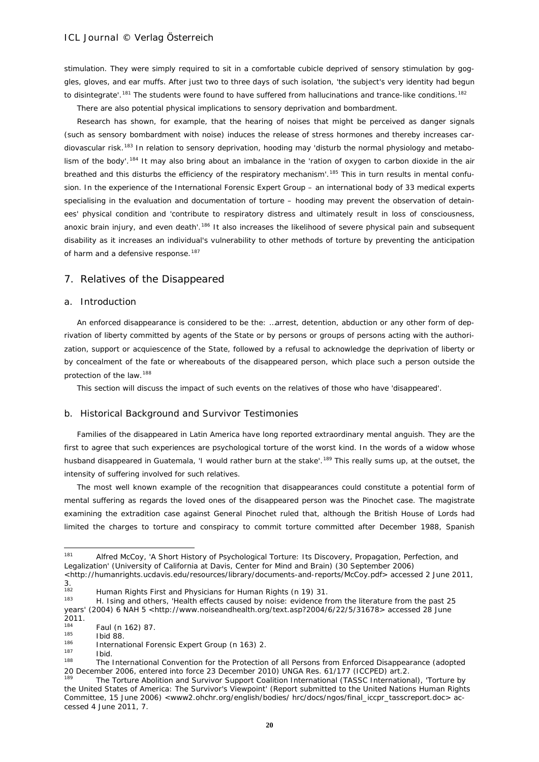stimulation. They were simply required to sit in a comfortable cubicle deprived of sensory stimulation by goggles, gloves, and ear muffs. After just two to three days of such isolation, 'the subject's very identity had begun to disintegrate'.<sup>[181](#page-19-0)</sup> The students were found to have suffered from hallucinations and trance-like conditions.<sup>[182](#page-19-1)</sup>

There are also potential *physical* implications to sensory deprivation and bombardment.

Research has shown, for example, that the hearing of noises that might be perceived as danger signals (such as sensory bombardment with noise) induces the release of stress hormones and thereby increases car-diovascular risk.<sup>[183](#page-19-2)</sup> In relation to sensory deprivation, hooding may 'disturb the normal physiology and metabo-lism of the body'.<sup>[184](#page-19-3)</sup> It may also bring about an imbalance in the 'ration of oxygen to carbon dioxide in the air breathed and this disturbs the efficiency of the respiratory mechanism'.<sup>[185](#page-19-4)</sup> This in turn results in mental confusion. In the experience of the International Forensic Expert Group – an international body of 33 medical experts specialising in the evaluation and documentation of torture – hooding may prevent the observation of detainees' physical condition and 'contribute to respiratory distress and ultimately result in loss of consciousness, anoxic brain injury, and even death'.<sup>[186](#page-19-5)</sup> It also increases the likelihood of severe physical pain and subsequent disability as it increases an individual's vulnerability to other methods of torture by preventing the anticipation of harm and a defensive response.<sup>[187](#page-19-6)</sup>

### 7. Relatives of the Disappeared

### a. Introduction

An enforced disappearance is considered to be the: …arrest, detention, abduction or any other form of deprivation of liberty committed by agents of the State or by persons or groups of persons acting with the authorization, support or acquiescence of the State, followed by a refusal to acknowledge the deprivation of liberty or by concealment of the fate or whereabouts of the disappeared person, which place such a person outside the protection of the law.[188](#page-19-7)

This section will discuss the impact of such events on the relatives of those who have 'disappeared'.

# b. Historical Background and Survivor Testimonies

Families of the disappeared in Latin America have long reported extraordinary mental anguish. They are the first to agree that such experiences are psychological torture of the worst kind. In the words of a widow whose husband disappeared in Guatemala, 'I would rather burn at the stake'.<sup>[189](#page-19-8)</sup> This really sums up, at the outset, the intensity of suffering involved for such relatives.

The most well known example of the recognition that disappearances could constitute a potential form of mental suffering as regards the loved ones of the disappeared person was the *Pinochet* case. The magistrate examining the extradition case against General Pinochet ruled that, although the British House of Lords had limited the charges to torture and conspiracy to commit torture committed after December 1988, Spanish

<span id="page-19-0"></span><sup>181</sup> <sup>181</sup> Alfred McCoy, 'A Short History of Psychological Torture: Its Discovery, Propagation, Perfection, and Legalization' (University of California at Davis, Center for Mind and Brain) (30 September 2006)

[<sup>&</sup>lt;http://humanrights.ucdavis.edu/resources/library/documents-and-reports/McCoy.pdf>](http://humanrights.ucdavis.edu/resources/library/documents-and-reports/McCoy.pdf) accessed 2 June 2011,  $3.182$ 

<span id="page-19-1"></span><sup>&</sup>lt;sup>182</sup> Human Rights First and Physicians for Human Rights (n 19) 31.

<span id="page-19-2"></span><sup>183</sup> H. Ising and others, 'Health effects caused by noise: evidence from the literature from the past 25 years' (2004) 6 NAH 5 [<http://www.noiseandhealth.org/text.asp?2004/6/22/5/31678>](http://www.noiseandhealth.org/text.asp?2004/6/22/5/31678) accessed 28 June

<sup>2011.</sup>  $\frac{184}{185}$  Faul (n 162) 87.

<span id="page-19-4"></span><span id="page-19-3"></span> $^{185}$  Ibid 88.

<span id="page-19-5"></span> $186$  International Forensic Expert Group (n 163) 2.

<span id="page-19-6"></span> $\frac{187}{188}$  Ibid.

<span id="page-19-7"></span>The International Convention for the Protection of all Persons from Enforced Disappearance (adopted 20 December 2006, entered into force 23 December 2010) UNGA Res. 61/177 (ICCPED) art.2.

<span id="page-19-8"></span>The Torture Abolition and Survivor Support Coalition International (TASSC International), 'Torture by the United States of America: The Survivor's Viewpoint' (Report submitted to the United Nations Human Rights Committee, 15 June 2006) <www2.ohchr.org/english/bodies/ hrc/docs/ngos/final\_iccpr\_tasscreport.doc> accessed 4 June 2011, 7.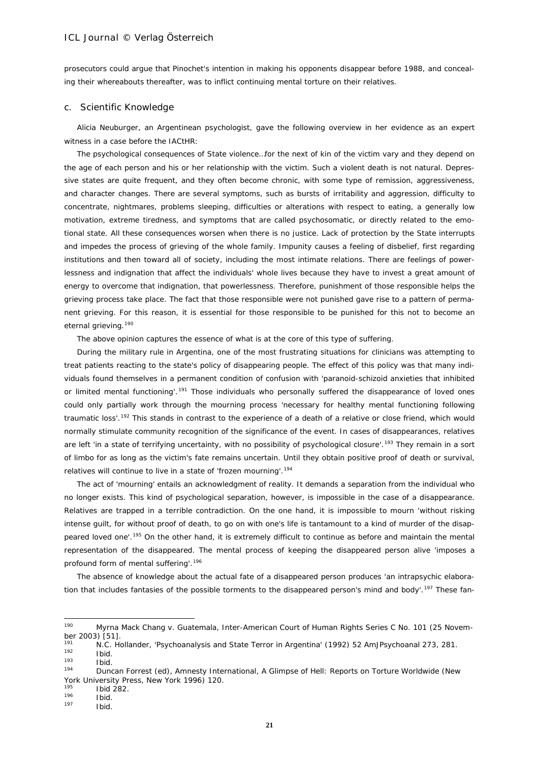prosecutors could argue that Pinochet's intention in making his opponents disappear before 1988, and concealing their whereabouts thereafter, was to inflict continuing mental torture on their relatives.

#### c. Scientific Knowledge

Alicia Neuburger, an Argentinean psychologist, gave the following overview in her evidence as an expert witness in a case before the IACtHR:

The psychological consequences of State violence…for the next of kin of the victim vary and they depend on the age of each person and his or her relationship with the victim. Such a violent death is not natural. Depressive states are quite frequent, and they often become chronic, with some type of remission, aggressiveness, and character changes. There are several symptoms, such as bursts of irritability and aggression, difficulty to concentrate, nightmares, problems sleeping, difficulties or alterations with respect to eating, a generally low motivation, extreme tiredness, and symptoms that are called psychosomatic, or directly related to the emotional state. All these consequences worsen when there is no justice. Lack of protection by the State interrupts and impedes the process of grieving of the whole family. Impunity causes a feeling of disbelief, first regarding institutions and then toward all of society, including the most intimate relations. There are feelings of powerlessness and indignation that affect the individuals' whole lives because they have to invest a great amount of energy to overcome that indignation, that powerlessness. Therefore, punishment of those responsible helps the grieving process take place. The fact that those responsible were not punished gave rise to a pattern of permanent grieving. For this reason, it is essential for those responsible to be punished for this not to become an eternal grieving.<sup>[190](#page-20-0)</sup>

The above opinion captures the essence of what is at the core of this type of suffering.

During the military rule in Argentina, one of the most frustrating situations for clinicians was attempting to treat patients reacting to the state's policy of disappearing people. The effect of this policy was that many individuals found themselves in a permanent condition of confusion with 'paranoid-schizoid anxieties that inhibited or limited mental functioning'.<sup>[191](#page-20-1)</sup> Those individuals who personally suffered the disappearance of loved ones could only partially work through the mourning process 'necessary for healthy mental functioning following traumatic loss'.<sup>[192](#page-20-2)</sup> This stands in contrast to the experience of a death of a relative or close friend, which would normally stimulate community recognition of the significance of the event. In cases of disappearances, relatives are left 'in a state of terrifying uncertainty, with no possibility of psychological closure'.<sup>[193](#page-20-3)</sup> They remain in a sort of limbo for as long as the victim's fate remains uncertain. Until they obtain positive proof of death or survival, relatives will continue to live in a state of 'frozen mourning'.<sup>[194](#page-20-4)</sup>

The act of 'mourning' entails an acknowledgment of reality. It demands a separation from the individual who no longer exists. This kind of psychological separation, however, is impossible in the case of a disappearance. Relatives are trapped in a terrible contradiction. On the one hand, it is impossible to mourn 'without risking intense guilt, for without proof of death, to go on with one's life is tantamount to a kind of murder of the disap-peared loved one'.<sup>[195](#page-20-5)</sup> On the other hand, it is extremely difficult to continue as before and maintain the mental representation of the disappeared. The mental process of keeping the disappeared person alive 'imposes a profound form of mental suffering'.[196](#page-20-6)

The absence of knowledge about the actual fate of a disappeared person produces 'an intrapsychic elabora-tion that includes fantasies of the possible torments to the disappeared person's mind and body'.<sup>[197](#page-20-7)</sup> These fan-

 $\frac{192}{193}$  Ibid.

<span id="page-20-5"></span> $^{195}$  Ibid 282.

<span id="page-20-6"></span> $\frac{196}{197}$  Ibid.

<span id="page-20-0"></span><sup>190</sup> Myrna Mack Chang v. Guatemala, Inter-American Court of Human Rights Series C No. 101 (25 November 2003) [51].

<span id="page-20-2"></span><span id="page-20-1"></span><sup>191</sup> N.C. Hollander, 'Psychoanalysis and State Terror in Argentina' (1992) 52 AmJPsychoanal 273, 281.

<span id="page-20-3"></span> $\frac{193}{194}$  Ibid.

<span id="page-20-4"></span><sup>194</sup> Duncan Forrest (ed), *Amnesty International, A Glimpse of Hell: Reports on Torture Worldwide* (New York University Press, New York 1996) 120.

<span id="page-20-7"></span>Ibid.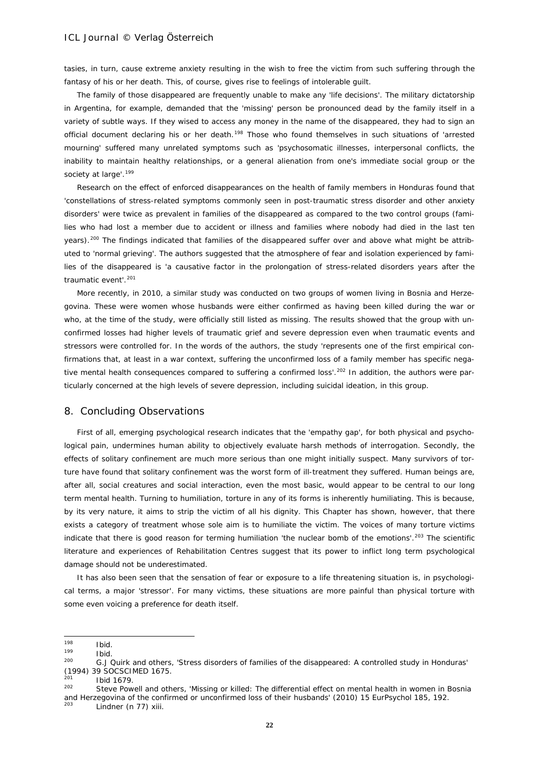tasies, in turn, cause extreme anxiety resulting in the wish to free the victim from such suffering through the fantasy of his or her death. This, of course, gives rise to feelings of intolerable guilt.

The family of those disappeared are frequently unable to make any 'life decisions'. The military dictatorship in Argentina, for example, demanded that the 'missing' person be pronounced dead by the family itself in a variety of subtle ways. If they wised to access any money in the name of the disappeared, they had to sign an official document declaring his or her death.<sup>[198](#page-21-0)</sup> Those who found themselves in such situations of 'arrested mourning' suffered many unrelated symptoms such as 'psychosomatic illnesses, interpersonal conflicts, the inability to maintain healthy relationships, or a general alienation from one's immediate social group or the society at large'.<sup>[199](#page-21-1)</sup>

Research on the effect of enforced disappearances on the health of family members in Honduras found that 'constellations of stress-related symptoms commonly seen in post-traumatic stress disorder and other anxiety disorders' were twice as prevalent in families of the disappeared as compared to the two control groups (families who had lost a member due to accident or illness and families where nobody had died in the last ten years).[200](#page-21-2) The findings indicated that families of the disappeared suffer over and above what might be attributed to 'normal grieving'. The authors suggested that the atmosphere of fear and isolation experienced by families of the disappeared is 'a causative factor in the prolongation of stress-related disorders years after the traumatic event'.<sup>[201](#page-21-3)</sup>

More recently, in 2010, a similar study was conducted on two groups of women living in Bosnia and Herzegovina. These were women whose husbands were either confirmed as having been killed during the war or who, at the time of the study, were officially still listed as missing. The results showed that the group with unconfirmed losses had higher levels of traumatic grief and severe depression even when traumatic events and stressors were controlled for. In the words of the authors, the study 'represents one of the first empirical confirmations that, at least in a war context, suffering the unconfirmed loss of a family member has specific nega-tive mental health consequences compared to suffering a confirmed loss'.<sup>[202](#page-21-4)</sup> In addition, the authors were particularly concerned at the high levels of severe depression, including suicidal ideation, in this group.

### 8. Concluding Observations

First of all, emerging psychological research indicates that the 'empathy gap', for both physical and psychological pain, undermines human ability to objectively evaluate harsh methods of interrogation. Secondly, the effects of solitary confinement are much more serious than one might initially suspect. Many survivors of torture have found that solitary confinement was the worst form of ill-treatment they suffered. Human beings are, after all, social creatures and social interaction, even the most basic, would appear to be central to our long term mental health. Turning to humiliation, torture in any of its forms is inherently humiliating. This is because, by its very nature, it aims to strip the victim of all his dignity. This Chapter has shown, however, that there exists a category of treatment whose sole aim is to humiliate the victim. The voices of many torture victims indicate that there is good reason for terming humiliation 'the nuclear bomb of the emotions'.<sup>[203](#page-21-5)</sup> The scientific literature and experiences of Rehabilitation Centres suggest that its power to inflict long term psychological damage should not be underestimated.

It has also been seen that the sensation of fear or exposure to a life threatening situation is, in psychological terms, a major 'stressor'. For many victims, these situations are more painful than physical torture with some even voicing a preference for death itself.

<span id="page-21-0"></span><sup>198</sup>  $\frac{198}{199}$  Ibid.

<span id="page-21-1"></span> $\frac{199}{200}$  Ibid.

<span id="page-21-2"></span><sup>200</sup> G.J Quirk and others, 'Stress disorders of families of the disappeared: A controlled study in Honduras' (1994) 39 SOCSCIMED 1675.

<span id="page-21-3"></span> $^{201}$  Ibid 1679

<span id="page-21-5"></span><span id="page-21-4"></span>Steve Powell and others, 'Missing or killed: The differential effect on mental health in women in Bosnia and Herzegovina of the confirmed or unconfirmed loss of their husbands' (2010) 15 EurPsychol 185, 192.<br><sup>203</sup> Lindner (n 77) xiii.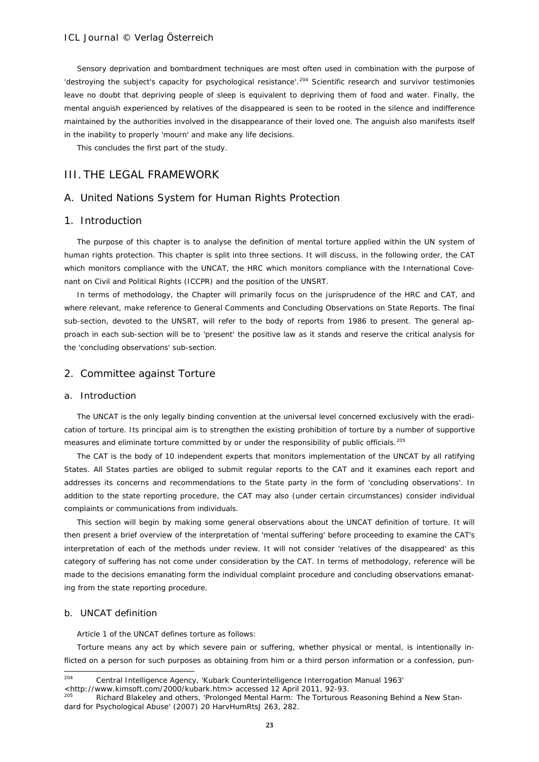Sensory deprivation and bombardment techniques are most often used in combination with the purpose of 'destroying the subject's capacity for psychological resistance'.<sup>[204](#page-22-0)</sup> Scientific research and survivor testimonies leave no doubt that depriving people of sleep is equivalent to depriving them of food and water. Finally, the mental anguish experienced by relatives of the disappeared is seen to be rooted in the silence and indifference maintained by the authorities involved in the disappearance of their loved one. The anguish also manifests itself in the inability to properly 'mourn' and make any life decisions.

This concludes the first part of the study.

# III. THE LEGAL FRAMEWORK

# A. United Nations System for Human Rights Protection

#### 1. Introduction

The purpose of this chapter is to analyse the definition of mental torture applied within the UN system of human rights protection. This chapter is split into three sections. It will discuss, in the following order, the CAT which monitors compliance with the UNCAT, the HRC which monitors compliance with the International Covenant on Civil and Political Rights (ICCPR) and the position of the UNSRT.

In terms of methodology, the Chapter will primarily focus on the jurisprudence of the HRC and CAT, and where relevant, make reference to General Comments and Concluding Observations on State Reports. The final sub-section, devoted to the UNSRT, will refer to the body of reports from 1986 to present. The general approach in each sub-section will be to 'present' the *positive* law as it stands and reserve the critical analysis for the 'concluding observations' sub-section.

### 2. Committee against Torture

#### a. Introduction

The UNCAT is the only legally binding convention at the universal level concerned exclusively with the eradication of torture. Its principal aim is to strengthen the existing prohibition of torture by a number of supportive measures and eliminate torture committed by or under the responsibility of public officials.<sup>[205](#page-22-1)</sup>

The CAT is the body of 10 independent experts that monitors implementation of the UNCAT by all ratifying States. All States parties are obliged to submit regular reports to the CAT and it examines each report and addresses its concerns and recommendations to the State party in the form of 'concluding observations'. In addition to the state reporting procedure, the CAT may also (under certain circumstances) consider individual complaints or communications from individuals.

This section will begin by making some general observations about the UNCAT definition of torture. It will then present a brief overview of the interpretation of 'mental suffering' before proceeding to examine the CAT's interpretation of each of the methods under review. It will not consider 'relatives of the disappeared' as this category of suffering has not come under consideration by the CAT. In terms of methodology, reference will be made to the decisions emanating form the individual complaint procedure and concluding observations emanating from the state reporting procedure.

#### b. UNCAT definition

Article 1 of the UNCAT defines torture as follows:

Torture means any act by which severe pain or suffering, whether physical or mental, is intentionally inflicted on a person for such purposes as obtaining from him or a third person information or a confession, pun-

<span id="page-22-0"></span><sup>204</sup> <sup>204</sup> Central Intelligence Agency, 'Kubark Counterintelligence Interrogation Manual 1963'  $\lt$ http://www.kimsoft.com/2000/kubark.htm> accessed 12 April 2011, 92-93.<br><sup>205</sup> Bichard Blakeley and others. 'Brelenged Montal Harm: The Tertureus

<span id="page-22-1"></span>Richard Blakeley and others, 'Prolonged Mental Harm: The Torturous Reasoning Behind a New Standard for Psychological Abuse' (2007) 20 HarvHumRtsJ 263, 282.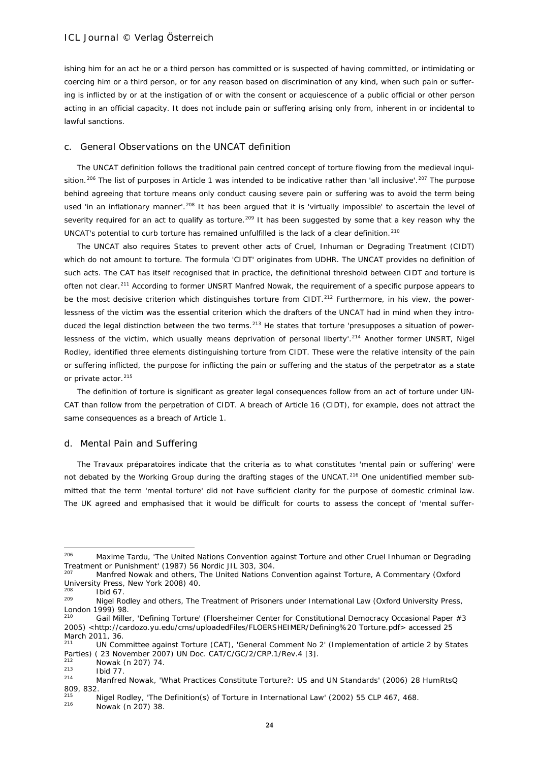ishing him for an act he or a third person has committed or is suspected of having committed, or intimidating or coercing him or a third person, or for any reason based on discrimination of any kind, when such pain or suffering is inflicted by or at the instigation of or with the consent or acquiescence of a public official or other person acting in an official capacity. It does not include pain or suffering arising only from, inherent in or incidental to lawful sanctions.

#### c. General Observations on the UNCAT definition

The UNCAT definition follows the traditional pain centred concept of torture flowing from the medieval inqui-sition.<sup>[206](#page-23-0)</sup> The list of purposes in Article 1 was intended to be indicative rather than 'all inclusive'.<sup>[207](#page-23-1)</sup> The purpose behind agreeing that torture means only conduct causing *severe* pain or suffering was to avoid the term being used 'in an inflationary manner'.<sup>[208](#page-23-2)</sup> It has been argued that it is 'virtually impossible' to ascertain the level of severity required for an act to qualify as torture.<sup>[209](#page-23-3)</sup> It has been suggested by some that a key reason why the UNCAT's potential to curb torture has remained unfulfilled is the lack of a clear definition.<sup>[210](#page-23-4)</sup>

The UNCAT also requires States to prevent other acts of Cruel, Inhuman or Degrading Treatment (CIDT) which do not amount to torture. The formula 'CIDT' originates from UDHR. The UNCAT provides no definition of such acts. The CAT has itself recognised that in practice, the definitional threshold between CIDT and torture is often not clear.<sup>[211](#page-23-5)</sup> According to former UNSRT Manfred Nowak, the requirement of a specific purpose appears to be the most decisive criterion which distinguishes torture from CIDT.<sup>[212](#page-23-6)</sup> Furthermore, in his view, the powerlessness of the victim was the essential criterion which the drafters of the UNCAT had in mind when they intro-duced the legal distinction between the two terms.<sup>[213](#page-23-7)</sup> He states that torture 'presupposes a situation of power-lessness of the victim, which usually means deprivation of personal liberty'.<sup>[214](#page-23-8)</sup> Another former UNSRT, Nigel Rodley, identified three elements distinguishing torture from CIDT. These were the relative intensity of the pain or suffering inflicted, the purpose for inflicting the pain or suffering and the status of the perpetrator as a state or private actor.<sup>[215](#page-23-9)</sup>

The definition of torture is significant as greater legal consequences follow from an act of torture under UN-CAT than follow from the perpetration of CIDT. A breach of Article 16 (CIDT), for example, does not attract the same consequences as a breach of Article 1.

#### d. Mental Pain and Suffering

The *Travaux préparatoires* indicate that the criteria as to what constitutes 'mental pain or suffering' were not debated by the Working Group during the drafting stages of the UNCAT.<sup>[216](#page-23-10)</sup> One unidentified member submitted that the term 'mental torture' did not have sufficient clarity for the purpose of domestic criminal law. The UK agreed and emphasised that it would be difficult for courts to assess the concept of 'mental suffer-

<span id="page-23-8"></span><span id="page-23-7"></span><span id="page-23-6"></span> $\frac{212}{213}$  Nowak (n 207) 74.

<span id="page-23-1"></span><span id="page-23-0"></span><sup>206</sup> <sup>206</sup> Maxime Tardu, 'The United Nations Convention against Torture and other Cruel Inhuman or Degrading Treatment or Punishment' (1987) 56 Nordic JIL 303, 304.

<sup>207</sup> Manfred Nowak and others, *The United Nations Convention against Torture, A Commentary* (Oxford University Press, New York 2008) 40.

<span id="page-23-3"></span><span id="page-23-2"></span> $^{208}$  Ibid 67.

<span id="page-23-4"></span><sup>209</sup> Nigel Rodley and others, *The Treatment of Prisoners under International Law* (Oxford University Press, London 1999) 98.

Gail Miller, 'Defining Torture' (Floersheimer Center for Constitutional Democracy Occasional Paper #3 2005) [<http://cardozo.yu.edu/cms/uploadedFiles/FLOERSHEIMER/Defining%20 Torture.pdf>](http://cardozo.yu.edu/cms/uploadedFiles/FLOERSHEIMER/Defining%20%20Torture.pdf) accessed 25 March 2011, 36.

<span id="page-23-5"></span><sup>211</sup> UN Committee against Torture (CAT), 'General Comment No 2' (Implementation of article 2 by States Parties) ( 23 November 2007) UN Doc. CAT/C/GC/2/CRP.1/Rev.4 [3].

 $\frac{213}{214}$  Ibid 77.

<sup>214</sup> Manfred Nowak, 'What Practices Constitute Torture?: US and UN Standards' (2006) 28 HumRtsQ 809, 832.

<span id="page-23-11"></span><span id="page-23-10"></span><span id="page-23-9"></span><sup>&</sup>lt;sup>215</sup> Nigel Rodley, 'The Definition(s) of Torture in International Law' (2002) 55 CLP 467, 468.<br><sup>216</sup> Navel (2007) 28 Nowak (n 207) 38.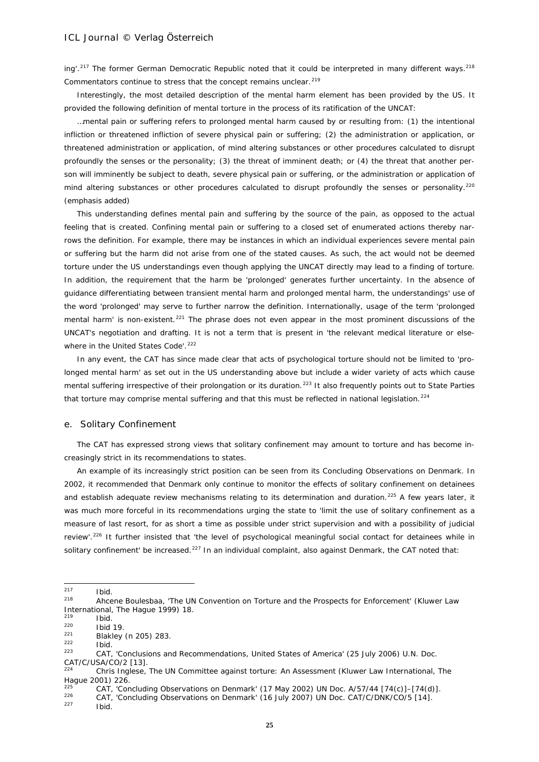ing'.<sup>[217](#page-23-11)</sup> The former German Democratic Republic noted that it could be interpreted in many different ways.<sup>[218](#page-24-0)</sup> Commentators continue to stress that the concept remains unclear.<sup>[219](#page-24-1)</sup>

Interestingly, the most detailed description of the mental harm element has been provided by the US. It provided the following definition of mental torture in the process of its ratification of the UNCAT:

…mental pain or suffering refers to *prolonged mental harm* caused by or resulting from: (1) the intentional infliction or threatened infliction of severe physical pain or suffering; (2) the administration or application, or threatened administration or application, of mind altering substances or other procedures calculated to disrupt profoundly the senses or the personality; (3) the threat of imminent death; or (4) the threat that another person will imminently be subject to death, severe physical pain or suffering, or the administration or application of mind altering substances or other procedures calculated to disrupt profoundly the senses or personality.<sup>[220](#page-24-2)</sup> (emphasis added)

This understanding defines mental pain and suffering by the source of the pain, as opposed to the actual feeling that is created. Confining mental pain or suffering to a closed set of enumerated actions thereby narrows the definition. For example, there may be instances in which an individual experiences severe mental pain or suffering but the harm did not arise from one of the stated causes. As such, the act would not be deemed torture under the US understandings even though applying the UNCAT directly may lead to a finding of torture. In addition, the requirement that the harm be 'prolonged' generates further uncertainty. In the absence of guidance differentiating between transient mental harm and prolonged mental harm, the understandings' use of the word 'prolonged' may serve to further narrow the definition. Internationally, usage of the term 'prolonged mental harm' is non-existent.<sup>[221](#page-24-3)</sup> The phrase does not even appear in the most prominent discussions of the UNCAT's negotiation and drafting. It is not a term that is present in 'the relevant medical literature or else-where in the United States Code'.<sup>[222](#page-24-4)</sup>

In any event, the CAT has since made clear that acts of psychological torture should not be limited to 'prolonged mental harm' as set out in the US understanding above but include a wider variety of acts which cause mental suffering irrespective of their prolongation or its duration.<sup>[223](#page-24-5)</sup> It also frequently points out to State Parties that torture may comprise mental suffering and that this must be reflected in national legislation.<sup>[224](#page-24-6)</sup>

#### e. Solitary Confinement

The CAT has expressed strong views that solitary confinement may amount to torture and has become increasingly strict in its recommendations to states.

An example of its increasingly strict position can be seen from its Concluding Observations on Denmark. In 2002, it recommended that Denmark only continue to monitor the effects of solitary confinement on detainees and establish adequate review mechanisms relating to its determination and duration.<sup>[225](#page-24-7)</sup> A few years later, it was much more forceful in its recommendations urging the state to 'limit the use of solitary confinement as a measure of last resort, for as short a time as possible under strict supervision and with a possibility of judicial review'.<sup>[226](#page-24-8)</sup> It further insisted that 'the level of psychological meaningful social contact for detainees while in solitary confinement' be increased.<sup>[227](#page-24-9)</sup> In an individual complaint, also against Denmark, the CAT noted that:

<sup>217</sup>  $\frac{217}{218}$  Ibid.

<span id="page-24-0"></span>Ahcene Boulesbaa, 'The UN Convention on Torture and the Prospects for Enforcement' (Kluwer Law International, The Hague 1999) 18.

 $^{219}$  Ibid.

<span id="page-24-2"></span><span id="page-24-1"></span> $^{220}$  Ibid 19.  $\frac{221}{222}$  Blakley (n 205) 283.

<span id="page-24-4"></span><span id="page-24-3"></span> $\frac{222}{223}$  Ibid.

<span id="page-24-5"></span><sup>223</sup> CAT, 'Conclusions and Recommendations, United States of America' (25 July 2006) U.N. Doc. CAT/C/USA/CO/2 [13].

<span id="page-24-6"></span><sup>224</sup> Chris Inglese, *The UN Committee against torture: An Assessment* (Kluwer Law International, The Hague 2001) 226.

<sup>&</sup>lt;sup>225</sup> CAT, 'Concluding Observations on Denmark' (17 May 2002) UN Doc. A/57/44 [74(c)]–[74(d)].

<span id="page-24-9"></span><span id="page-24-8"></span><span id="page-24-7"></span> $226$  CAT, 'Concluding Observations on Denmark' (16 July 2007) UN Doc. CAT/C/DNK/CO/5 [14].

Ibid.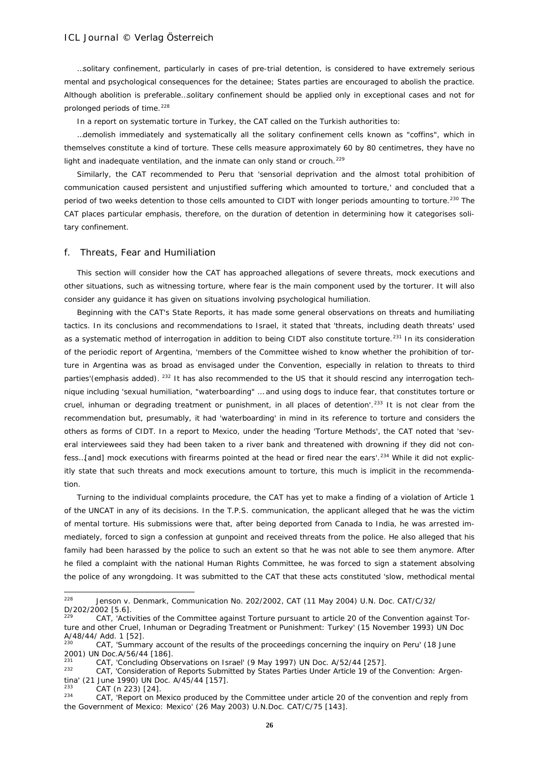…solitary confinement, particularly in cases of pre-trial detention, is considered to have extremely serious mental and psychological consequences for the detainee; States parties are encouraged to abolish the practice. Although abolition is preferable…solitary confinement should be applied only in exceptional cases and not for prolonged periods of time.<sup>[228](#page-25-0)</sup>

In a report on systematic torture in Turkey, the CAT called on the Turkish authorities to:

…demolish immediately and systematically all the solitary confinement cells known as "coffins", which in themselves constitute a kind of torture. These cells measure approximately 60 by 80 centimetres, they have no light and inadequate ventilation, and the inmate can only stand or crouch.<sup>[229](#page-25-1)</sup>

Similarly, the CAT recommended to Peru that 'sensorial deprivation and the almost total prohibition of communication caused persistent and unjustified suffering which amounted to torture,' and concluded that a period of two weeks detention to those cells amounted to CIDT with longer periods amounting to torture.<sup>[230](#page-25-2)</sup> The CAT places particular emphasis, therefore, on the duration of detention in determining how it categorises solitary confinement.

### f. Threats, Fear and Humiliation

This section will consider how the CAT has approached allegations of severe threats, mock executions and other situations, such as witnessing torture, where fear is the main component used by the torturer. It will also consider any guidance it has given on situations involving psychological humiliation.

Beginning with the CAT's State Reports, it has made some general observations on threats and humiliating tactics. In its conclusions and recommendations to Israel, it stated that 'threats, including death threats' used as a systematic method of interrogation in addition to being CIDT also constitute torture.<sup>[231](#page-25-3)</sup> In its consideration of the periodic report of Argentina, 'members of the Committee wished to know whether the prohibition of torture in Argentina was as broad as envisaged under the Convention, *especially in relation to threats to third parties*'(emphasis added). [232](#page-25-4) It has also recommended to the US that it should rescind any interrogation technique including 'sexual humiliation, "waterboarding" … and using dogs to induce fear, that constitutes torture or cruel, inhuman or degrading treatment or punishment, in all places of detention'.<sup>[233](#page-25-5)</sup> It is not clear from the recommendation but, presumably, it had 'waterboarding' in mind in its reference to torture and considers the others as forms of CIDT. In a report to Mexico, under the heading 'Torture Methods', the CAT noted that 'several interviewees said they had been taken to a river bank and threatened with drowning if they did not con-fess...[and] mock executions with firearms pointed at the head or fired near the ears'.<sup>[234](#page-25-6)</sup> While it did not explicitly state that such threats and mock executions amount to torture, this much is implicit in the recommendation.

Turning to the individual complaints procedure, the CAT has yet to make a finding of a violation of Article 1 of the UNCAT in any of its decisions. In the *T.P.S.* communication, the applicant alleged that he was the victim of mental torture. His submissions were that, after being deported from Canada to India, he was arrested immediately, forced to sign a confession at gunpoint and received threats from the police. He also alleged that his family had been harassed by the police to such an extent so that he was not able to see them anymore. After he filed a complaint with the national Human Rights Committee, he was forced to sign a statement absolving the police of any wrongdoing. It was submitted to the CAT that these acts constituted 'slow, methodical mental

<span id="page-25-6"></span>CAT, 'Report on Mexico produced by the Committee under article 20 of the convention and reply from the Government of Mexico: Mexico' (26 May 2003) U.N.Doc. CAT/C/75 [143].

<span id="page-25-0"></span> $228$ <sup>228</sup> *Jenson v. Denmark*, Communication No. 202/2002, CAT (11 May 2004) U.N. Doc. CAT/C/32/ D/202/2002 [5.6].

<span id="page-25-1"></span>CAT, 'Activities of the Committee against Torture pursuant to article 20 of the Convention against Torture and other Cruel, Inhuman or Degrading Treatment or Punishment: Turkey' (15 November 1993) UN Doc A/48/44/ Add. 1 [52]

<span id="page-25-2"></span>CAT, 'Summary account of the results of the proceedings concerning the inquiry on Peru' (18 June 2001) UN Doc.A/56/44 [186].

<span id="page-25-3"></span><sup>&</sup>lt;sup>231</sup> CAT, 'Concluding Observations on Israel' (9 May 1997) UN Doc. A/52/44 [257].

<span id="page-25-4"></span><sup>232</sup> CAT, 'Consideration of Reports Submitted by States Parties Under Article 19 of the Convention: Argentina' (21 June 1990) UN Doc. A/45/44 [157].

<span id="page-25-5"></span> $\begin{array}{cc}\n \text{233} & \text{CAT (n 223) [24].} \\
 \text{234} & \text{CAT (Ponort on M)}\n \end{array}$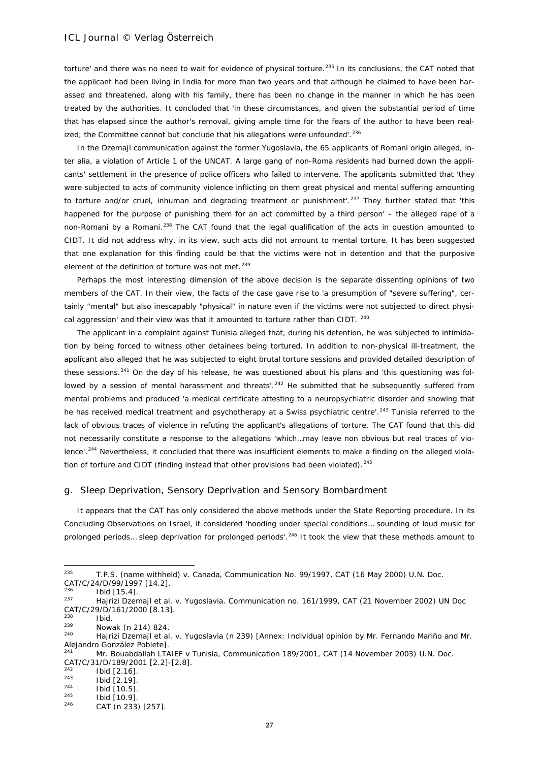torture' and there was no need to wait for evidence of physical torture.<sup>[235](#page-26-0)</sup> In its conclusions, the CAT noted that the applicant had been living in India for more than two years and that although he claimed to have been harassed and threatened, along with his family, there has been no change in the manner in which he has been treated by the authorities. It concluded that 'in these circumstances, and given the substantial period of time that has elapsed since the author's removal, giving ample time for the fears of the author to have been real-ized, the Committee cannot but conclude that his allegations were unfounded'.<sup>[236](#page-26-1)</sup>

In the *Dzemajl* communication against the former Yugoslavia, the 65 applicants of Romani origin alleged, *inter alia*, a violation of Article 1 of the UNCAT. A large gang of non-Roma residents had burned down the applicants' settlement in the presence of police officers who failed to intervene. The applicants submitted that 'they were subjected to acts of community violence inflicting on them great physical and mental suffering amounting to torture and/or cruel, inhuman and degrading treatment or punishment<sup>'</sup>.<sup>[237](#page-26-2)</sup> They further stated that 'this happened for the purpose of punishing them for an act committed by a third person' – the alleged rape of a non-Romani by a Romani.<sup>[238](#page-26-3)</sup> The CAT found that the legal qualification of the acts in question amounted to CIDT. It did not address why, in its view, such acts did not amount to mental torture. It has been suggested that one explanation for this finding could be that the victims were not in detention and that the purposive element of the definition of torture was not met.<sup>[239](#page-26-4)</sup>

Perhaps the most interesting dimension of the above decision is the separate dissenting opinions of two members of the CAT. In their view, the facts of the case gave rise to 'a presumption of "severe suffering", certainly "mental" but also inescapably "physical" in nature even if the victims were not subjected to direct physi-cal aggression' and their view was that it amounted to torture rather than CIDT. [240](#page-26-5)

The applicant in a complaint against Tunisia alleged that, during his detention, he was subjected to intimidation by being forced to witness other detainees being tortured. In addition to non-physical ill-treatment, the applicant also alleged that he was subjected to eight brutal torture sessions and provided detailed description of these sessions.<sup>[241](#page-26-6)</sup> On the day of his release, he was questioned about his plans and 'this questioning was fol-lowed by a session of mental harassment and threats'.<sup>[242](#page-26-7)</sup> He submitted that he subsequently suffered from mental problems and produced 'a medical certificate attesting to a neuropsychiatric disorder and showing that he has received medical treatment and psychotherapy at a Swiss psychiatric centre'.<sup>[243](#page-26-8)</sup> Tunisia referred to the lack of obvious traces of violence in refuting the applicant's allegations of torture. The CAT found that this did not necessarily constitute a response to the allegations 'which…may leave non obvious but real traces of vio-lence'.<sup>[244](#page-26-9)</sup> Nevertheless, it concluded that there was insufficient elements to make a finding on the alleged viola-tion of torture and CIDT (finding instead that other provisions had been violated).<sup>[245](#page-26-10)</sup>

### g. Sleep Deprivation, Sensory Deprivation and Sensory Bombardment

It appears that the CAT has only considered the above methods under the State Reporting procedure. In its Concluding Observations on Israel, it considered 'hooding under special conditions… sounding of loud music for prolonged periods… sleep deprivation for prolonged periods'.[246](#page-26-11) It took the view that these methods amount to

<span id="page-26-0"></span> $235$ <sup>235</sup> *T.P.S. (name withheld) v. Canada*, Communication No. 99/1997, CAT (16 May 2000) U.N. Doc. CAT/C/24/D/99/1997 [14.2].

<span id="page-26-2"></span><span id="page-26-1"></span> $\frac{236}{237}$  Ibid [15.4].

<sup>237</sup> *Hajrizi Dzemajl et al. v. Yugoslavia*. Communication no. 161/1999, CAT (21 November 2002) UN Doc CAT/C/29/D/161/2000 [8.13].

<span id="page-26-3"></span> $\frac{238}{239}$  Ibid.

<span id="page-26-5"></span><span id="page-26-4"></span> $\frac{239}{240}$  Nowak (n 214) 824. <sup>240</sup> *Hajrizi Dzemajl et al. v. Yugoslavia* (n 239) [Annex: Individual opinion by Mr. Fernando Mariño and Mr. Alejandro González Poblete].

<span id="page-26-6"></span><sup>241</sup> *Mr. Bouabdallah LTAIEF v Tunisia,* Communication 189/2001, CAT (14 November 2003) U.N. Doc. CAT/C/31/D/189/2001 [2.2]-[2.8].

 $\frac{242}{243}$  Ibid [2.16].

<span id="page-26-8"></span><span id="page-26-7"></span> $\frac{243}{244}$  Ibid [2.19].

 $\frac{244}{245}$  Ibid [10.5].

<span id="page-26-11"></span><span id="page-26-10"></span><span id="page-26-9"></span> $\frac{245}{246}$  Ibid [10.9]. CAT (n 233) [257].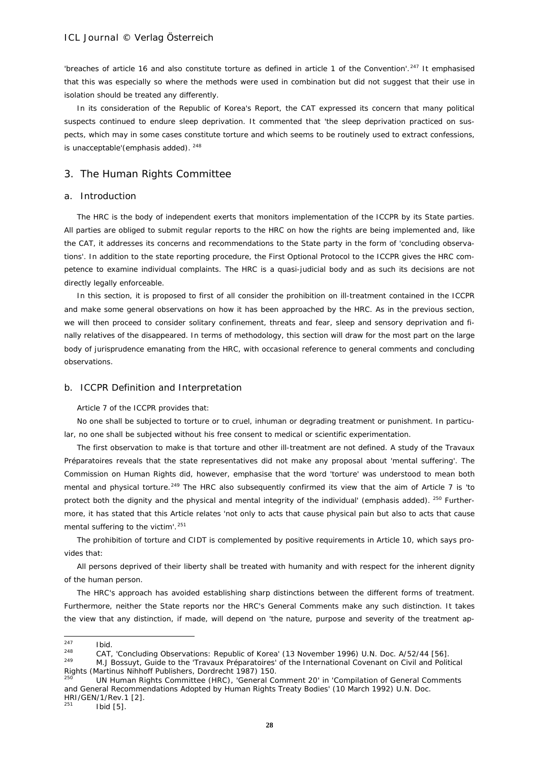'breaches of article 16 and also constitute torture as defined in article 1 of the Convention'.<sup>[247](#page-27-0)</sup> It emphasised that this was especially so where the methods were used in combination but did not suggest that their use in isolation should be treated any differently.

In its consideration of the Republic of Korea's Report, the CAT expressed its concern that many political suspects continued to endure sleep deprivation. It commented that 'the sleep deprivation practiced on suspects, which may *in some cases* constitute torture and which seems to be routinely used to extract confessions, is unacceptable'(emphasis added). [248](#page-27-1)

# 3. The Human Rights Committee

# a. Introduction

The HRC is the body of independent exerts that monitors implementation of the ICCPR by its State parties. All parties are obliged to submit regular reports to the HRC on how the rights are being implemented and, like the CAT, it addresses its concerns and recommendations to the State party in the form of 'concluding observations'. In addition to the state reporting procedure, the First Optional Protocol to the ICCPR gives the HRC competence to examine individual complaints. The HRC is a quasi-judicial body and as such its decisions are not directly legally enforceable.

In this section, it is proposed to first of all consider the prohibition on ill-treatment contained in the ICCPR and make some general observations on how it has been approached by the HRC. As in the previous section, we will then proceed to consider solitary confinement, threats and fear, sleep and sensory deprivation and finally relatives of the disappeared. In terms of methodology, this section will draw for the most part on the large body of jurisprudence emanating from the HRC, with occasional reference to general comments and concluding observations.

#### b. ICCPR Definition and Interpretation

Article 7 of the ICCPR provides that:

*No one shall be subjected to torture or to cruel, inhuman or degrading treatment or punishment. In particular, no one shall be subjected without his free consent to medical or scientific experimentation.* 

The first observation to make is that torture and other ill-treatment are not defined. A study of the *Travaux Préparatoires* reveals that the state representatives did not make any proposal about 'mental suffering'. The Commission on Human Rights did, however, emphasise that the word 'torture' was understood to mean both mental and physical torture.<sup>[249](#page-27-2)</sup> The HRC also subsequently confirmed its view that the aim of Article 7 is 'to protect both the dignity and the physical *and mental integrity* of the individual' (emphasis added). <sup>[250](#page-27-3)</sup> Furthermore, it has stated that this Article relates 'not only to acts that cause physical pain but also to acts that cause mental suffering to the victim'.<sup>[251](#page-27-4)</sup>

The prohibition of torture and CIDT is complemented by positive requirements in Article 10, which says provides that:

*All persons deprived of their liberty shall be treated with humanity and with respect for the inherent dignity of the human person.*

The HRC's approach has avoided establishing sharp distinctions between the different forms of treatment. Furthermore, neither the State reports nor the HRC's General Comments make any such distinction. It takes the view that any distinction, if made, will depend on 'the nature, purpose and severity of the treatment ap-

<span id="page-27-0"></span> $247$  $\frac{247}{248}$  Ibid.

<span id="page-27-2"></span><span id="page-27-1"></span><sup>&</sup>lt;sup>248</sup> CAT, 'Concluding Observations: Republic of Korea' (13 November 1996) U.N. Doc. A/52/44 [56].<br><sup>249</sup> M. L. Bossuit, *Cuide to the 'Traveur Préparateires' of the International Covenant on Civil and Politi* <sup>249</sup> M.J Bossuyt, *Guide to the 'Travaux Préparatoires' of the International Covenant on Civil and Political Rights* (Martinus Nihhoff Publishers, Dordrecht 1987) 150.

<span id="page-27-3"></span>UN Human Rights Committee (HRC), 'General Comment 20' in 'Compilation of General Comments and General Recommendations Adopted by Human Rights Treaty Bodies' (10 March 1992) U.N. Doc. HRI/GEN/1/Rev.1 [2].

<span id="page-27-4"></span>**Ibid** [5].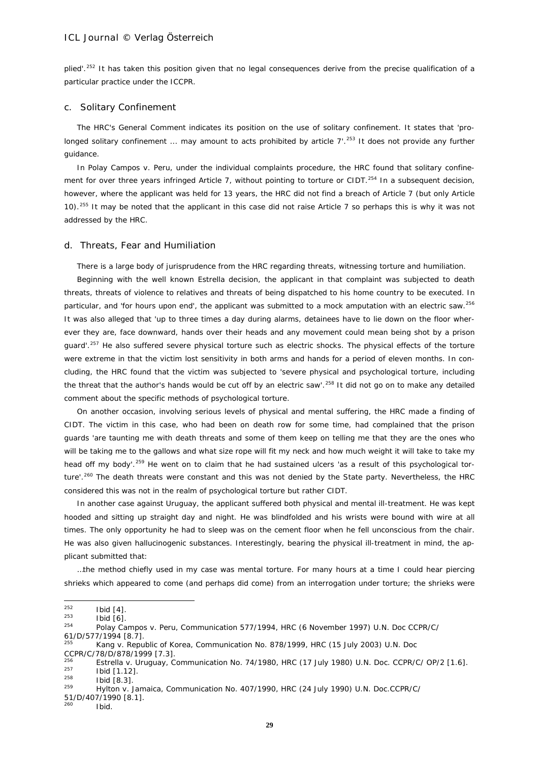plied'.<sup>[252](#page-28-0)</sup> It has taken this position given that no legal consequences derive from the precise qualification of a particular practice under the ICCPR.

#### c. Solitary Confinement

The HRC's General Comment indicates its position on the use of solitary confinement. It states that 'pro-longed solitary confinement ... may amount to acts prohibited by article 7'.<sup>[253](#page-28-1)</sup> It does not provide any further guidance.

In *Polay Campos v. Peru*, under the individual complaints procedure, the HRC found that solitary confine-ment for over three years infringed Article 7, without pointing to torture or CIDT.<sup>[254](#page-28-2)</sup> In a subsequent decision, however, where the applicant was held for 13 years, the HRC did not find a breach of Article 7 (but only Article 10).[255](#page-28-3) It may be noted that the applicant in this case did not raise Article 7 so perhaps this is why it was not addressed by the HRC.

#### d. Threats, Fear and Humiliation

There is a large body of jurisprudence from the HRC regarding threats, witnessing torture and humiliation.

Beginning with the well known *Estrella* decision, the applicant in that complaint was subjected to death threats, threats of violence to relatives and threats of being dispatched to his home country to be executed. In particular, and 'for hours upon end', the applicant was submitted to a mock amputation with an electric saw.<sup>[256](#page-28-4)</sup> It was also alleged that 'up to three times a day during alarms, detainees have to lie down on the floor wherever they are, face downward, hands over their heads and any movement could mean being shot by a prison quard'.<sup>[257](#page-28-5)</sup> He also suffered severe physical torture such as electric shocks. The physical effects of the torture were extreme in that the victim lost sensitivity in both arms and hands for a period of eleven months. In concluding, the HRC found that the victim was subjected to 'severe physical and psychological torture, including the threat that the author's hands would be cut off by an electric saw'.<sup>[258](#page-28-6)</sup> It did not go on to make any detailed comment about the specific methods of psychological torture.

On another occasion, involving serious levels of physical and mental suffering, the HRC made a finding of CIDT. The victim in this case, who had been on death row for some time, had complained that the prison guards 'are taunting me with death threats and some of them keep on telling me that they are the ones who will be taking me to the gallows and what size rope will fit my neck and how much weight it will take to take my head off my body'.<sup>[259](#page-28-7)</sup> He went on to claim that he had sustained ulcers 'as a result of this psychological tor-ture'.<sup>[260](#page-28-8)</sup> The death threats were constant and this was not denied by the State party. Nevertheless, the HRC considered this was not in the realm of psychological torture but rather CIDT.

In another case against Uruguay, the applicant suffered both physical and mental ill-treatment. He was kept hooded and sitting up straight day and night. He was blindfolded and his wrists were bound with wire at all times. The only opportunity he had to sleep was on the cement floor when he fell unconscious from the chair. He was also given hallucinogenic substances. Interestingly, bearing the physical ill-treatment in mind, the applicant submitted that:

…the method chiefly used in my case was mental torture. For many hours at a time I could hear piercing shrieks which appeared to come (and perhaps did come) from an interrogation under torture; the shrieks were

CCPR/C/78/D/878/1999 [7.3].

51/D/407/1990 [8.1].

<span id="page-28-0"></span> $252$  $^{252}$  Ibid [4].

<span id="page-28-1"></span> $^{253}$  Ibid [6].

<span id="page-28-2"></span><sup>254</sup> *Polay Campos v. Peru*, Communication 577/1994, HRC (6 November 1997) U.N. Doc CCPR/C/

<sup>61/</sup>D/577/1994 [8.7].

<span id="page-28-3"></span><sup>255</sup> *Kang v. Republic of Korea*, Communication No. 878/1999, HRC (15 July 2003) U.N. Doc

<span id="page-28-5"></span><span id="page-28-4"></span><sup>256</sup> *Estrella v. Uruguay*, Communication No. 74/1980, HRC (17 July 1980) U.N. Doc. CCPR/C/ OP/2 [1.6].  $\frac{257}{258}$  Ibid [1.12].

<span id="page-28-6"></span> $\frac{258}{259}$  Ibid [8.3].

<span id="page-28-7"></span><sup>259</sup> *Hylton v. Jamaica*, Communication No. 407/1990, HRC (24 July 1990) U.N. Doc.CCPR/C/

<span id="page-28-8"></span>Ibid.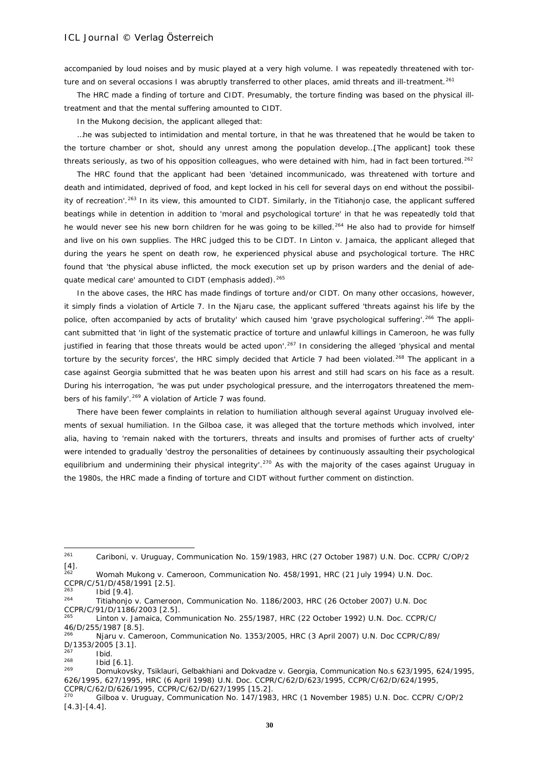accompanied by loud noises and by music played at a very high volume. I was repeatedly threatened with tor-ture and on several occasions I was abruptly transferred to other places, amid threats and ill-treatment.<sup>[261](#page-29-0)</sup>

The HRC made a finding of torture and CIDT. Presumably, the torture finding was based on the physical illtreatment and that the mental suffering amounted to CIDT.

In the *Mukong* decision, the applicant alleged that:

…he was subjected to intimidation and mental torture, in that he was threatened that he would be taken to the torture chamber or shot, should any unrest among the population develop…[The applicant] took these threats seriously, as two of his opposition colleagues, who were detained with him, had in fact been tortured.<sup>[262](#page-29-1)</sup>

The HRC found that the applicant had been 'detained incommunicado, was threatened with torture and death and intimidated, deprived of food, and kept locked in his cell for several days on end without the possibility of recreation'.[263](#page-29-2) In its view, this amounted to CIDT. Similarly, in the *Titiahonjo* case, the applicant suffered beatings while in detention in addition to 'moral and psychological torture' in that he was repeatedly told that he would never see his new born children for he was going to be killed.<sup>[264](#page-29-3)</sup> He also had to provide for himself and live on his own supplies. The HRC judged this to be CIDT. In *Linton v. Jamaica*, the applicant alleged that during the years he spent on death row, he experienced physical abuse and psychological torture. The HRC found that 'the physical abuse inflicted, the *mock execution* set up by prison warders and the denial of ade-quate medical care' amounted to CIDT (emphasis added).<sup>[265](#page-29-4)</sup>

In the above cases, the HRC has made findings of torture and/or CIDT. On many other occasions, however, it simply finds a violation of Article 7. In the *Njaru* case, the applicant suffered 'threats against his life by the police, often accompanied by acts of brutality' which caused him 'grave psychological suffering'.<sup>[266](#page-29-5)</sup> The applicant submitted that 'in light of the systematic practice of torture and unlawful killings in Cameroon, he was fully justified in fearing that those threats would be acted upon'.<sup>[267](#page-29-6)</sup> In considering the alleged 'physical and mental torture by the security forces', the HRC simply decided that Article 7 had been violated.<sup>[268](#page-29-7)</sup> The applicant in a case against Georgia submitted that he was beaten upon his arrest and still had scars on his face as a result. During his interrogation, 'he was put under psychological pressure, and the interrogators threatened the mem-bers of his family'.<sup>[269](#page-29-8)</sup> A violation of Article 7 was found.

There have been fewer complaints in relation to humiliation although several against Uruguay involved elements of sexual humiliation. In the *Gilboa* case, it was alleged that the torture methods which involved, *inter alia*, having to 'remain naked with the torturers, threats and insults and promises of further acts of cruelty' were intended to gradually 'destroy the personalities of detainees by continuously assaulting their psychological equilibrium and undermining their physical integrity'.<sup>[270](#page-29-9)</sup> As with the majority of the cases against Uruguay in the 1980s, the HRC made a finding of torture and CIDT without further comment on distinction.

<span id="page-29-0"></span><sup>261</sup> <sup>261</sup> *Cariboni, v. Uruguay*, Communication No. 159/1983, HRC (27 October 1987) U.N. Doc. CCPR/ C/OP/2  $[4]$ .

<span id="page-29-1"></span><sup>262</sup> *Womah Mukong v. Cameroon*, Communication No. 458/1991, HRC (21 July 1994) U.N. Doc. CCPR/C/51/D/458/1991 [2.5].

<span id="page-29-3"></span><span id="page-29-2"></span> $\frac{263}{264}$  Ibid [9.4].

<sup>264</sup> *Titiahonjo v. Cameroon*, Communication No. 1186/2003, HRC (26 October 2007) U.N. Doc CCPR/C/91/D/1186/2003 [2.5].

<span id="page-29-4"></span><sup>265</sup> *Linton v. Jamaica*, Communication No. 255/1987, HRC (22 October 1992) U.N. Doc. CCPR/C/ 46/D/255/1987 [8.5].

<span id="page-29-5"></span><sup>266</sup> *Njaru v. Cameroon*, Communication No. 1353/2005, HRC (3 April 2007) U.N. Doc CCPR/C/89/  $D/1353/2005$  [3.1].

<span id="page-29-6"></span> $\frac{267}{268}$  Ibid.

<span id="page-29-7"></span> $\frac{268}{269}$  Ibid [6.1].

<span id="page-29-8"></span><sup>269</sup> *Domukovsky, Tsiklauri, Gelbakhiani and Dokvadze v. Georgia*, Communication No.s 623/1995, 624/1995, 626/1995, 627/1995, HRC (6 April 1998) U.N. Doc. CCPR/C/62/D/623/1995, CCPR/C/62/D/624/1995, CCPR/C/62/D/626/1995, CCPR/C/62/D/627/1995 [15.2].<br><sup>270</sup> Gilbos V, Uruguay, Communication No. 147/199

<span id="page-29-9"></span><sup>270</sup> *Gilboa v. Uruguay*, Communication No. 147/1983, HRC (1 November 1985) U.N. Doc. CCPR/ C/OP/2 [4.3]-[4.4].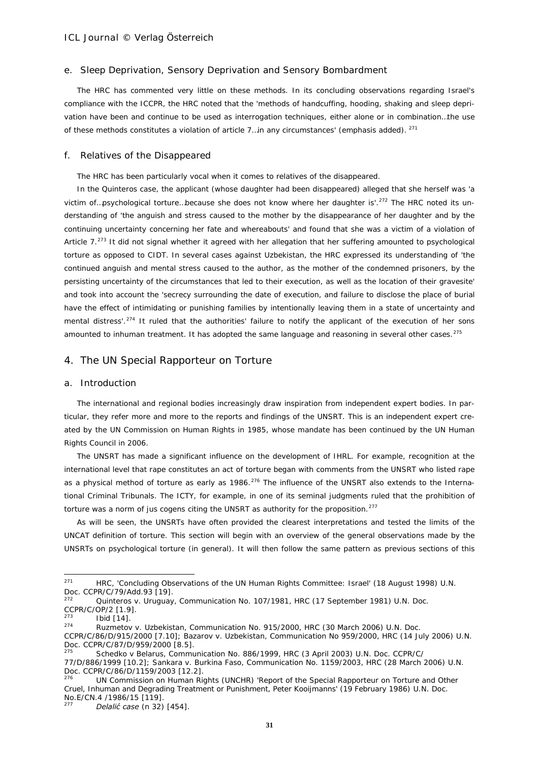#### e. Sleep Deprivation, Sensory Deprivation and Sensory Bombardment

The HRC has commented very little on these methods. In its concluding observations regarding Israel's compliance with the ICCPR, the HRC noted that the 'methods of handcuffing, *hooding*, shaking and *sleep deprivation* have been and continue to be used as interrogation techniques, either alone or in combination…the use of these methods constitutes a violation of article 7... in any circumstances' (emphasis added). <sup>[271](#page-30-0)</sup>

### f. Relatives of the Disappeared

The HRC has been particularly vocal when it comes to relatives of the disappeared.

In the *Quinteros* case, the applicant (whose daughter had been disappeared) alleged that she herself was 'a victim of...psychological torture...because she does not know where her daughter is'.<sup>[272](#page-30-1)</sup> The HRC noted its understanding of 'the anguish and stress caused to the mother by the disappearance of her daughter and by the continuing uncertainty concerning her fate and whereabouts' and found that she was a victim of a violation of Article 7.<sup>[273](#page-30-2)</sup> It did not signal whether it agreed with her allegation that her suffering amounted to psychological torture as opposed to CIDT. In several cases against Uzbekistan*,* the HRC expressed its understanding of 'the continued anguish and mental stress caused to the author, as the mother of the condemned prisoners, by the persisting uncertainty of the circumstances that led to their execution, as well as the location of their gravesite' and took into account the 'secrecy surrounding the date of execution, and failure to disclose the place of burial have the effect of intimidating or punishing families by intentionally leaving them in a state of uncertainty and mental distress'.<sup>[274](#page-30-3)</sup> It ruled that the authorities' failure to notify the applicant of the execution of her sons amounted to inhuman treatment. It has adopted the same language and reasoning in several other cases.<sup>[275](#page-30-4)</sup>

# 4. The UN Special Rapporteur on Torture

#### a. Introduction

The international and regional bodies increasingly draw inspiration from independent expert bodies. In particular, they refer more and more to the reports and findings of the UNSRT. This is an independent expert created by the UN Commission on Human Rights in 1985, whose mandate has been continued by the UN Human Rights Council in 2006.

The UNSRT has made a significant influence on the development of IHRL. For example, recognition at the international level that rape constitutes an act of torture began with comments from the UNSRT who listed rape as a physical method of torture as early as 1986.<sup>[276](#page-30-5)</sup> The influence of the UNSRT also extends to the International Criminal Tribunals. The ICTY, for example, in one of its seminal judgments ruled that the prohibition of torture was a norm of *jus cogens* citing the UNSRT as authority for the proposition.<sup>[277](#page-30-6)</sup>

As will be seen, the UNSRTs have often provided the clearest interpretations and tested the limits of the UNCAT definition of torture. This section will begin with an overview of the general observations made by the UNSRTs on psychological torture (in general). It will then follow the same pattern as previous sections of this

<span id="page-30-0"></span><sup>271</sup> HRC, 'Concluding Observations of the UN Human Rights Committee: Israel' (18 August 1998) U.N. Doc. CCPR/C/79/Add.93 [19].

<span id="page-30-1"></span><sup>272</sup> *Quinteros v. Uruguay*, Communication No. 107/1981, HRC (17 September 1981) U.N. Doc. CCPR/C/OP/2 [1.9].

<span id="page-30-2"></span> $\frac{273}{274}$  Ibid [14].

<span id="page-30-3"></span><sup>274</sup> *Ruzmetov v. Uzbekistan*, Communication No. 915/2000, HRC (30 March 2006) U.N. Doc. CCPR/C/86/D/915/2000 [7.10]; *Bazarov v. Uzbekistan*, Communication No 959/2000, HRC (14 July 2006) U.N.

<span id="page-30-4"></span>Doc. CCPR/C/87/D/959/2000 [8.5]. <sup>275</sup> *Schedko v Belarus*, Communication No. 886/1999, HRC (3 April 2003) U.N. Doc. CCPR/C/ 77/D/886/1999 [10.2]; *Sankara v. Burkina Faso*, Communication No. 1159/2003, HRC (28 March 2006) U.N. Doc. CCPR/C/86/D/1159/2003 [12.2].

<span id="page-30-5"></span><sup>276</sup> UN Commission on Human Rights (UNCHR) 'Report of the Special Rapporteur on Torture and Other Cruel, Inhuman and Degrading Treatment or Punishment, Peter Kooijmanns' (19 February 1986) U.N. Doc. No.E/CN.4 /1986/15 [119].

<span id="page-30-6"></span><sup>277</sup> *Delalić case* (n 32) [454].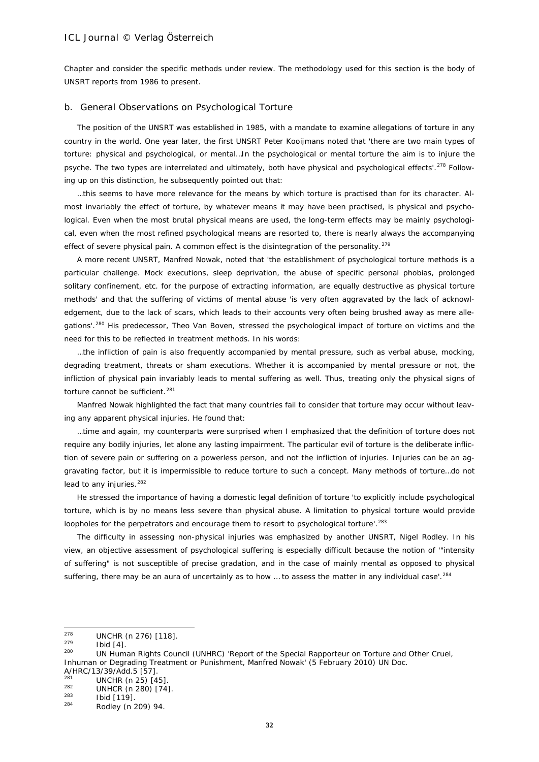Chapter and consider the specific methods under review. The methodology used for this section is the body of UNSRT reports from 1986 to present.

### b. General Observations on Psychological Torture

The position of the UNSRT was established in 1985, with a mandate to examine allegations of torture in any country in the world. One year later, the first UNSRT Peter Kooijmans noted that 'there are two main types of torture: physical and psychological, or mental…In the psychological or mental torture the aim is to injure the psyche. The two types are interrelated and ultimately, both have physical and psychological effects'.<sup>[278](#page-31-0)</sup> Following up on this distinction, he subsequently pointed out that:

…this seems to have more relevance for the means by which torture is practised than for its character. Almost invariably the effect of torture, by whatever means it may have been practised, is physical and psychological. Even when the most brutal physical means are used, the long-term effects may be mainly psychological, even when the most refined psychological means are resorted to, there is nearly always the accompanying effect of severe physical pain. A common effect is the disintegration of the personality.<sup>[279](#page-31-1)</sup>

A more recent UNSRT, Manfred Nowak, noted that 'the establishment of psychological torture methods is a particular challenge. Mock executions, sleep deprivation, the abuse of specific personal phobias, prolonged solitary confinement, etc. for the purpose of extracting information, are equally destructive as physical torture methods' and that the suffering of victims of mental abuse 'is very often aggravated by the lack of acknowledgement, due to the lack of scars, which leads to their accounts very often being brushed away as mere allegations'*.* [280](#page-31-2) His predecessor, Theo Van Boven, stressed the psychological impact of torture on victims and the need for this to be reflected in treatment methods. In his words:

…the infliction of pain is also frequently accompanied by mental pressure, such as verbal abuse, mocking, degrading treatment, threats or sham executions. Whether it is accompanied by mental pressure or not, the infliction of physical pain invariably leads to mental suffering as well. Thus, treating only the physical signs of torture cannot be sufficient.<sup>[281](#page-31-3)</sup>

Manfred Nowak highlighted the fact that many countries fail to consider that torture may occur without leaving any apparent physical injuries. He found that:

…time and again, my counterparts were surprised when I emphasized that the definition of torture does not require any bodily injuries, let alone any lasting impairment. The particular evil of torture is the deliberate infliction of severe pain or suffering on a powerless person, and not the infliction of injuries. Injuries can be an aggravating factor, but it is impermissible to reduce torture to such a concept. Many methods of torture…do not lead to any injuries. $282$ 

He stressed the importance of having a domestic legal definition of torture 'to explicitly include psychological torture, which is by no means less severe than physical abuse. A limitation to physical torture would provide loopholes for the perpetrators and encourage them to resort to psychological torture'.<sup>[283](#page-31-5)</sup>

The difficulty in assessing non-physical injuries was emphasized by another UNSRT, Nigel Rodley. In his view, an objective assessment of psychological suffering is especially difficult because the notion of '"intensity of suffering" is not susceptible of precise gradation, and in the case of mainly mental as opposed to physical suffering, there may be an aura of uncertainly as to how ... to assess the matter in any individual case'.<sup>[284](#page-31-6)</sup>

<span id="page-31-0"></span> $278$  $^{278}$  UNCHR (n 276) [118].

<span id="page-31-2"></span><span id="page-31-1"></span> $\frac{279}{280}$  Ibid [4].

<sup>280</sup> UN Human Rights Council (UNHRC) 'Report of the Special Rapporteur on Torture and Other Cruel, Inhuman or Degrading Treatment or Punishment, Manfred Nowak' (5 February 2010) UN Doc. A/HRC/13/39/Add.5 [57].

<span id="page-31-3"></span> $\frac{281}{282}$  UNCHR (n 25) [45]

<span id="page-31-4"></span> $\frac{282}{283}$  UNHCR (n 280) [74].

<span id="page-31-5"></span> $\frac{283}{284}$  Ibid [119].

<span id="page-31-6"></span>Rodley (n 209) 94.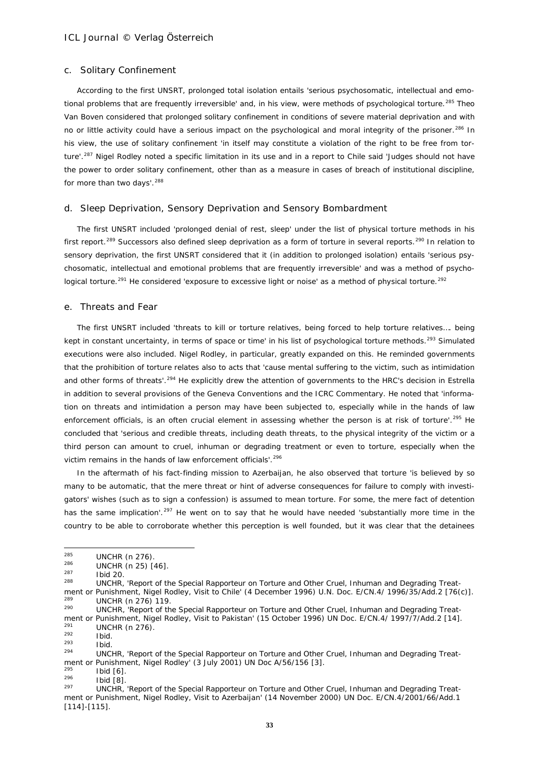#### c. Solitary Confinement

According to the first UNSRT, prolonged total isolation entails 'serious psychosomatic, intellectual and emo-tional problems that are frequently irreversible' and, in his view, were methods of psychological torture.<sup>[285](#page-32-0)</sup> Theo Van Boven considered that prolonged solitary confinement in conditions of severe material deprivation and with no or little activity could have a serious impact on the psychological and moral integrity of the prisoner.<sup>[286](#page-32-1)</sup> In his view, the use of solitary confinement 'in itself may constitute a violation of the right to be free from tor-ture'.<sup>[287](#page-32-2)</sup> Nigel Rodley noted a specific limitation in its use and in a report to Chile said 'Judges should not have the power to order solitary confinement, other than as a measure in cases of breach of institutional discipline, for more than two days'.<sup>[288](#page-32-3)</sup>

### d. Sleep Deprivation, Sensory Deprivation and Sensory Bombardment

The first UNSRT included 'prolonged denial of rest, sleep' under the list of *physical* torture methods in his first report.<sup>[289](#page-32-4)</sup> Successors also defined sleep deprivation as a form of torture in several reports.<sup>[290](#page-32-5)</sup> In relation to sensory deprivation, the first UNSRT considered that it (in addition to prolonged isolation) entails 'serious psychosomatic, intellectual and emotional problems that are frequently irreversible' and was a method of psycho-logical torture.<sup>[291](#page-32-6)</sup> He considered 'exposure to excessive light or noise' as a method of physical torture.<sup>[292](#page-32-7)</sup>

#### e. Threats and Fear

The first UNSRT included 'threats to kill or torture relatives, being forced to help torture relatives…. being kept in constant uncertainty, in terms of space or time' in his list of psychological torture methods.<sup>[293](#page-32-8)</sup> Simulated executions were also included. Nigel Rodley, in particular, greatly expanded on this. He reminded governments that the prohibition of torture relates also to acts that 'cause mental suffering to the victim, such as intimidation and other forms of threats'.[294](#page-32-9) He explicitly drew the attention of governments to the HRC's decision in *Estrella* in addition to several provisions of the Geneva Conventions and the ICRC Commentary. He noted that 'information on threats and intimidation a person may have been subjected to, especially while in the hands of law enforcement officials, is an often crucial element in assessing whether the person is at risk of torture'.<sup>[295](#page-32-10)</sup> He concluded that 'serious and credible threats, including death threats, to the physical integrity of the victim or a third person can amount to cruel, inhuman or degrading treatment or even to torture, especially when the victim remains in the hands of law enforcement officials'.<sup>[296](#page-32-11)</sup>

In the aftermath of his fact-finding mission to Azerbaijan, he also observed that torture 'is believed by so many to be automatic, that the mere threat or hint of adverse consequences for failure to comply with investigators' wishes (such as to sign a confession) is assumed to mean torture. For some, the mere fact of detention has the same implication'.<sup>[297](#page-32-12)</sup> He went on to say that he would have needed 'substantially more time in the country to be able to corroborate whether this perception is well founded, but it was clear that the detainees

<span id="page-32-10"></span> $\frac{295}{296}$  Ibid [6].

<span id="page-32-0"></span><sup>285</sup>  $^{285}$  UNCHR (n 276).

<span id="page-32-1"></span> $\frac{286}{287}$  UNCHR (n 25) [46].

<span id="page-32-2"></span> $\frac{287}{288}$  Ibid 20.

<span id="page-32-3"></span>UNCHR, 'Report of the Special Rapporteur on Torture and Other Cruel, Inhuman and Degrading Treatment or Punishment, Nigel Rodley, Visit to Chile' (4 December 1996) U.N. Doc. E/CN.4/ 1996/35/Add.2 [76(c)].

<span id="page-32-5"></span><span id="page-32-4"></span> $^{289}$  UNCHR (n 276) 119. UNCHR, 'Report of the Special Rapporteur on Torture and Other Cruel, Inhuman and Degrading Treatment or Punishment, Nigel Rodley, Visit to Pakistan' (15 October 1996) UN Doc. E/CN.4/ 1997/7/Add.2 [14].  $^{291}$  UNCHR (n 276).

<span id="page-32-7"></span><span id="page-32-6"></span> $\frac{292}{293}$  Ibid.

<span id="page-32-8"></span> $\frac{293}{294}$  Ibid.

<span id="page-32-9"></span><sup>294</sup> UNCHR, 'Report of the Special Rapporteur on Torture and Other Cruel, Inhuman and Degrading Treatment or Punishment, Nigel Rodley' (3 July 2001) UN Doc A/56/156 [3].

<span id="page-32-11"></span> $\frac{296}{297}$  Ibid [8].

<span id="page-32-12"></span><sup>297</sup> UNCHR, 'Report of the Special Rapporteur on Torture and Other Cruel, Inhuman and Degrading Treatment or Punishment, Nigel Rodley, Visit to Azerbaijan' (14 November 2000) UN Doc. E/CN.4/2001/66/Add.1 [114]-[115].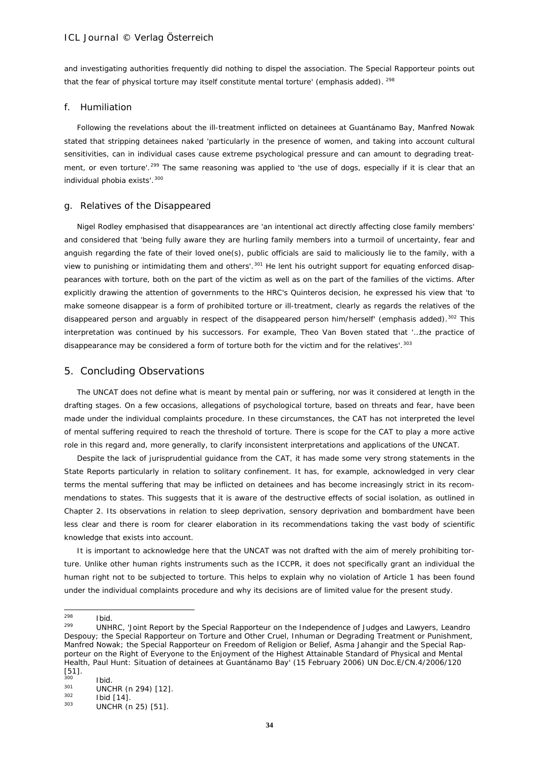and investigating authorities frequently did nothing to dispel the association. *The Special Rapporteur points out that the fear of physical torture may itself constitute mental torture' (emphasis added).* <sup>[298](#page-33-0)</sup>

#### f. Humiliation

Following the revelations about the ill-treatment inflicted on detainees at Guantánamo Bay, Manfred Nowak stated that stripping detainees naked 'particularly in the presence of women, and taking into account cultural sensitivities, can in individual cases cause extreme psychological pressure and can amount to degrading treat-ment, or even torture'.<sup>[299](#page-33-1)</sup> The same reasoning was applied to 'the use of dogs, especially if it is clear that an individual phobia exists'.<sup>[300](#page-33-2)</sup>

#### g. Relatives of the Disappeared

Nigel Rodley emphasised that disappearances are 'an intentional act directly affecting close family members' and considered that 'being fully aware they are hurling family members into a turmoil of uncertainty, fear and anguish regarding the fate of their loved one(s), public officials are said to maliciously lie to the family, with a view to punishing or intimidating them and others'.<sup>[301](#page-33-3)</sup> He lent his outright support for equating enforced disappearances with torture, both on the part of the victim as well as on the part of the families of the victims. After explicitly drawing the attention of governments to the HRC's *Quinteros* decision, he expressed his view that 'to make someone disappear is a form of prohibited torture or ill-treatment, *clearly* as regards the relatives of the disappeared person and arguably in respect of the disappeared person him/herself' (emphasis added).<sup>[302](#page-33-4)</sup> This interpretation was continued by his successors. For example, Theo Van Boven stated that '…the practice of disappearance may be considered a form of torture both for the victim and for the relatives'.<sup>[303](#page-33-5)</sup>

# 5. Concluding Observations

The UNCAT does not define what is meant by mental pain or suffering, nor was it considered at length in the drafting stages. On a few occasions, allegations of psychological torture, based on threats and fear, have been made under the individual complaints procedure. In these circumstances, the CAT has not interpreted the level of mental suffering required to reach the threshold of torture. There is scope for the CAT to play a more active role in this regard and, more generally, to clarify inconsistent interpretations and applications of the UNCAT.

Despite the lack of jurisprudential guidance from the CAT, it has made some very strong statements in the State Reports particularly in relation to solitary confinement. It has, for example, acknowledged in very clear terms the mental suffering that may be inflicted on detainees and has become increasingly strict in its recommendations to states. This suggests that it is aware of the destructive effects of social isolation, as outlined in Chapter 2. Its observations in relation to sleep deprivation, sensory deprivation and bombardment have been less clear and there is room for clearer elaboration in its recommendations taking the vast body of scientific knowledge that exists into account.

It is important to acknowledge here that the UNCAT was not drafted with the aim of merely prohibiting torture. Unlike other human rights instruments such as the ICCPR, it does not specifically grant an individual the human right *not* to be subjected to torture. This helps to explain why no violation of Article 1 has been found under the individual complaints procedure and why its decisions are of limited value for the present study.

<span id="page-33-0"></span><sup>298</sup>  $\frac{298}{299}$  Ibid.

<span id="page-33-1"></span>UNHRC, 'Joint Report by the Special Rapporteur on the Independence of Judges and Lawyers, Leandro Despouy; the Special Rapporteur on Torture and Other Cruel, Inhuman or Degrading Treatment or Punishment, Manfred Nowak; the Special Rapporteur on Freedom of Religion or Belief, Asma Jahangir and the Special Rapporteur on the Right of Everyone to the Enjoyment of the Highest Attainable Standard of Physical and Mental Health, Paul Hunt: Situation of detainees at Guantánamo Bay' (15 February 2006) UN Doc.E/CN.4/2006/120

 $[51]$ .

<span id="page-33-2"></span> $300$  Ibid.  $\frac{301}{302}$  UNCHR (n 294) [12].

<span id="page-33-4"></span><span id="page-33-3"></span> $\frac{302}{303}$  Ibid [14].

<span id="page-33-5"></span>UNCHR (n 25) [51].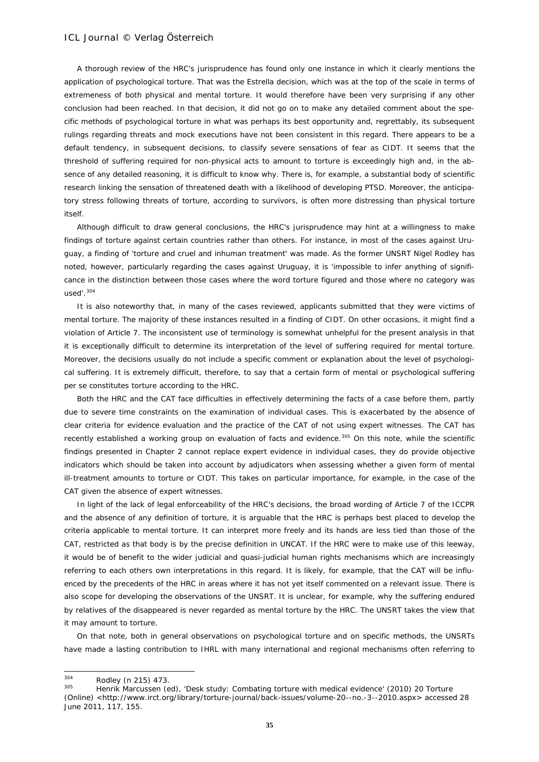A thorough review of the HRC's jurisprudence has found only one instance in which it clearly mentions the application of psychological torture. That was the *Estrella* decision, which was at the top of the scale in terms of extremeness of both physical and mental torture. It would therefore have been very surprising if any other conclusion had been reached. In that decision, it did not go on to make any detailed comment about the specific methods of psychological torture in what was perhaps its best opportunity and, regrettably, its subsequent rulings regarding threats and mock executions have not been consistent in this regard. There appears to be a default tendency, in subsequent decisions, to classify severe sensations of fear as CIDT. It seems that the threshold of suffering required for non-physical acts to amount to torture is exceedingly high and, in the absence of any detailed reasoning, it is difficult to know why. There is, for example, a substantial body of scientific research linking the sensation of threatened death with a likelihood of developing PTSD. Moreover, the anticipatory stress following threats of torture, according to survivors, is often more distressing than physical torture itself.

Although difficult to draw general conclusions, the HRC's jurisprudence may hint at a willingness to make findings of torture against certain countries rather than others. For instance, in most of the cases against Uruguay, a finding of 'torture *and* cruel and inhuman treatment' was made. As the former UNSRT Nigel Rodley has noted, however, particularly regarding the cases against Uruguay, it is 'impossible to infer anything of significance in the distinction between those cases where the word torture figured and those where no category was used $^{\prime}$ .  $^{304}$  $^{304}$  $^{304}$ 

It is also noteworthy that, in many of the cases reviewed, applicants submitted that they were victims of mental torture. The majority of these instances resulted in a finding of CIDT. On other occasions, it might find a violation of Article 7. The inconsistent use of terminology is somewhat unhelpful for the present analysis in that it is exceptionally difficult to determine its interpretation of the level of suffering required for mental torture. Moreover, the decisions usually do not include a specific comment or explanation about the level of psychological suffering. It is extremely difficult, therefore, to say that a certain form of mental or psychological suffering *per se* constitutes torture according to the HRC.

Both the HRC and the CAT face difficulties in effectively determining the facts of a case before them, partly due to severe time constraints on the examination of individual cases. This is exacerbated by the absence of clear criteria for evidence evaluation and the practice of the CAT of not using expert witnesses. The CAT has recently established a working group on evaluation of facts and evidence.<sup>[305](#page-34-1)</sup> On this note, while the scientific findings presented in Chapter 2 cannot replace expert evidence in individual cases, they do provide objective indicators which should be taken into account by adjudicators when assessing whether a given form of mental ill-treatment amounts to torture or CIDT. This takes on particular importance, for example, in the case of the CAT given the absence of expert witnesses.

In light of the lack of legal enforceability of the HRC's decisions, the broad wording of Article 7 of the ICCPR and the absence of any definition of torture, it is arguable that the HRC is perhaps best placed to develop the criteria applicable to mental torture. It can interpret more freely and its hands are less tied than those of the CAT, restricted as that body is by the precise definition in UNCAT. If the HRC were to make use of this leeway, it would be of benefit to the wider judicial and quasi-judicial human rights mechanisms which are increasingly referring to each others own interpretations in this regard. It is likely, for example, that the CAT will be influenced by the precedents of the HRC in areas where it has not yet itself commented on a relevant issue. There is also scope for developing the observations of the UNSRT. It is unclear, for example, why the suffering endured by relatives of the disappeared is never regarded as mental torture by the HRC. The UNSRT takes the view that it may amount to torture.

On that note, both in general observations on psychological torture and on specific methods, the UNSRTs have made a lasting contribution to IHRL with many international and regional mechanisms often referring to

<span id="page-34-0"></span><sup>304</sup>  $\frac{304}{305}$  Rodley (n 215) 473.

<span id="page-34-1"></span><sup>305</sup> Henrik Marcussen (ed), 'Desk study: Combating torture with medical evidence' (2010) 20 Torture (Online) [<http://www.irct.org/library/torture-journal/back-issues/volume-20--no.-3--2010.aspx>](http://www.irct.org/library/torture-journal/back-issues/volume-20--no.-3--2010.aspx) accessed 28 June 2011, 117, 155.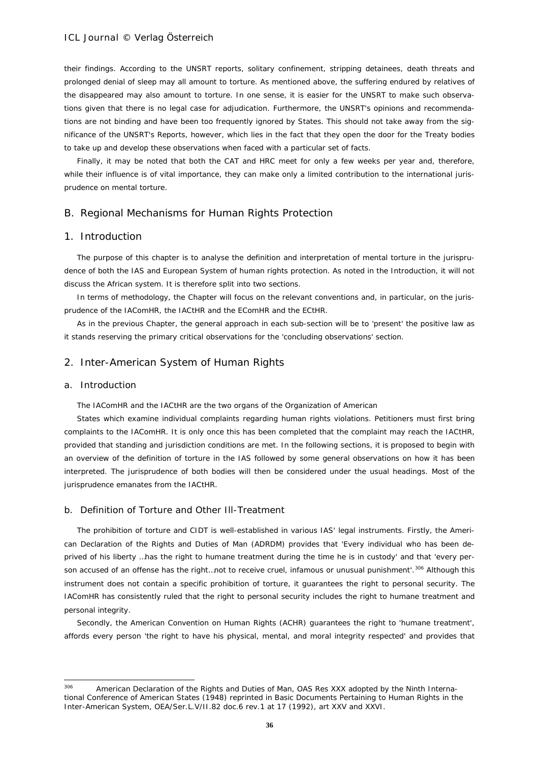their findings. According to the UNSRT reports, solitary confinement, stripping detainees, death threats and prolonged denial of sleep may all amount to torture. As mentioned above, the suffering endured by relatives of the disappeared may also amount to torture. In one sense, it is easier for the UNSRT to make such observations given that there is no legal case for adjudication. Furthermore, the UNSRT's opinions and recommendations are not binding and have been too frequently ignored by States. This should not take away from the significance of the UNSRT's Reports, however, which lies in the fact that they open the door for the Treaty bodies to take up and develop these observations when faced with a particular set of facts.

Finally, it may be noted that both the CAT and HRC meet for only a few weeks per year and, therefore, while their influence is of vital importance, they can make only a limited contribution to the international jurisprudence on mental torture.

# B. Regional Mechanisms for Human Rights Protection

### 1. Introduction

The purpose of this chapter is to analyse the definition and interpretation of mental torture in the jurisprudence of both the IAS and European System of human rights protection. As noted in the Introduction, it will not discuss the African system. It is therefore split into two sections.

In terms of methodology, the Chapter will focus on the relevant conventions and, in particular, on the jurisprudence of the IAComHR, the IACtHR and the EComHR and the ECtHR.

As in the previous Chapter, the general approach in each sub-section will be to 'present' the *positive* law as it stands reserving the primary critical observations for the 'concluding observations' section.

### 2. Inter-American System of Human Rights

#### a. Introduction

-

The IAComHR and the IACtHR are the two organs of the Organization of American

States which examine individual complaints regarding human rights violations. Petitioners must first bring complaints to the IAComHR. It is only once this has been completed that the complaint may reach the IACtHR, provided that standing and jurisdiction conditions are met. In the following sections, it is proposed to begin with an overview of the definition of torture in the IAS followed by some general observations on how it has been interpreted. The jurisprudence of both bodies will then be considered under the usual headings. Most of the jurisprudence emanates from the IACtHR.

### b. Definition of Torture and Other Ill-Treatment

The prohibition of torture and CIDT is well-established in various IAS' legal instruments. Firstly, the American Declaration of the Rights and Duties of Man (ADRDM) provides that 'Every individual who has been deprived of his liberty …has the right to humane treatment during the time he is in custody' and that 'every per-son accused of an offense has the right...not to receive cruel, infamous or unusual punishment'.<sup>[306](#page-35-0)</sup> Although this instrument does not contain a *specific* prohibition of torture, it guarantees the right to personal security. The IAComHR has consistently ruled that the right to personal security includes the right to humane treatment and personal integrity.

Secondly, the American Convention on Human Rights (ACHR) guarantees the right to 'humane treatment', affords every person 'the right to have his physical, mental, and moral integrity respected' and provides that

<span id="page-35-0"></span><sup>&</sup>lt;sup>306</sup> American Declaration of the Rights and Duties of Man, OAS Res XXX adopted by the Ninth International Conference of American States (1948) reprinted in Basic Documents Pertaining to Human Rights in the Inter-American System, OEA/Ser.L.V/II.82 doc.6 rev.1 at 17 (1992), art XXV and XXVI.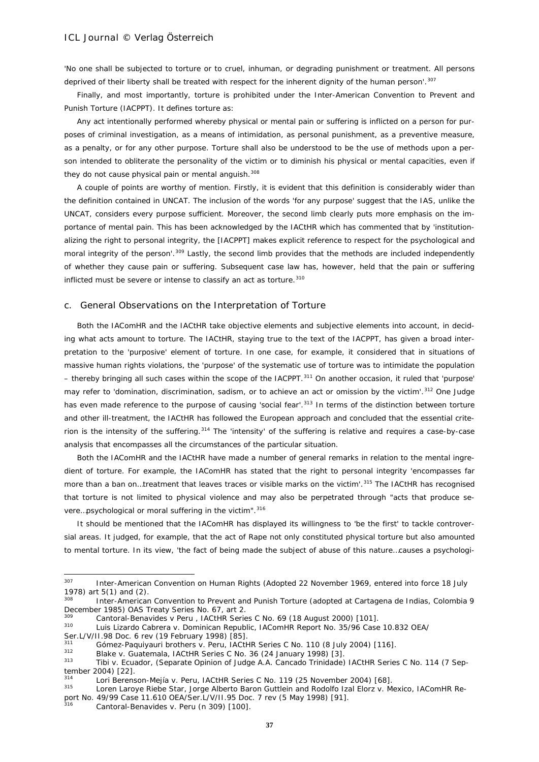'No one shall be subjected to torture or to cruel, inhuman, or degrading punishment or treatment. All persons deprived of their liberty shall be treated with respect for the inherent dignity of the human person'.<sup>[307](#page-36-0)</sup>

Finally, and most importantly, torture is prohibited under the Inter-American Convention to Prevent and Punish Torture (IACPPT). It defines torture as:

Any act intentionally performed whereby physical or mental pain or suffering is inflicted on a person for purposes of criminal investigation, as a means of intimidation, as personal punishment, as a preventive measure, as a penalty, or for any other purpose. Torture shall also be understood to be the use of methods upon a person intended to obliterate the personality of the victim or to diminish his physical or mental capacities, even if they do not cause physical pain or mental anguish.<sup>[308](#page-36-1)</sup>

A couple of points are worthy of mention. Firstly, it is evident that this definition is considerably wider than the definition contained in UNCAT. The inclusion of the words 'for any purpose' suggest that the IAS, unlike the UNCAT, considers *every* purpose sufficient. Moreover, the second limb clearly puts more emphasis on the importance of *mental* pain. This has been acknowledged by the IACtHR which has commented that by 'institutionalizing the right to personal integrity, the [IACPPT] makes explicit reference to respect for the psychological and moral integrity of the person'.<sup>[309](#page-36-2)</sup> Lastly, the second limb provides that the methods are included independently of whether they cause pain or suffering. Subsequent case law has, however, held that the pain or suffering inflicted must be severe or intense to classify an act as torture.<sup>[310](#page-36-3)</sup>

#### c. General Observations on the Interpretation of Torture

Both the IAComHR and the IACtHR take objective elements and subjective elements into account, in deciding what acts amount to torture. The IACtHR, staying true to the text of the IACPPT, has given a broad interpretation to the 'purposive' element of torture. In one case, for example, it considered that in situations of massive human rights violations, the 'purpose' of the systematic use of torture was to intimidate the population – thereby bringing all such cases within the scope of the IACPPT.[311](#page-36-4) On another occasion, it ruled that 'purpose' may refer to 'domination, discrimination, sadism, or to achieve an act or omission by the victim'.<sup>[312](#page-36-5)</sup> One Judge has even made reference to the purpose of causing 'social fear'.<sup>[313](#page-36-6)</sup> In terms of the distinction between torture and other ill-treatment, the IACtHR has followed the European approach and concluded that the essential crite-rion is the intensity of the suffering.<sup>[314](#page-36-7)</sup> The 'intensity' of the suffering is relative and requires a case-by-case analysis that encompasses all the circumstances of the particular situation.

Both the IAComHR and the IACtHR have made a number of general remarks in relation to the mental ingredient of torture. For example, the IAComHR has stated that the right to personal integrity 'encompasses far more than a ban on...treatment that leaves traces or visible marks on the victim'.<sup>[315](#page-36-8)</sup> The IACtHR has recognised that torture is not limited to physical violence and may also be perpetrated through "acts that produce se-vere...psychological or moral suffering in the victim".<sup>[316](#page-36-9)</sup>

It should be mentioned that the IAComHR has displayed its willingness to 'be the first' to tackle controversial areas. It judged, for example, that the act of Rape not only constituted physical torture but also amounted to *mental* torture. In its view, 'the fact of being made the subject of abuse of this nature…causes a psychologi-

Cantoral-Benavides v. Peru (n 309) [100].

<span id="page-36-0"></span><sup>307</sup> Inter-American Convention on Human Rights (Adopted 22 November 1969, entered into force 18 July 1978) art 5(1) and (2).

<span id="page-36-1"></span>Inter-American Convention to Prevent and Punish Torture (adopted at Cartagena de Indias, Colombia 9 December 1985) OAS Treaty Series No. 67, art 2.

<span id="page-36-3"></span><span id="page-36-2"></span><sup>309</sup> *Cantoral-Benavides v Peru ,* IACtHR Series C No. 69 (18 August 2000) [101].

<sup>310</sup> *Luis Lizardo Cabrera v. Dominican Republic*, IAComHR Report No. 35/96 Case 10.832 OEA/

Ser.L/V/II.98 Doc. 6 rev (19 February 1998) [85].

<span id="page-36-5"></span><span id="page-36-4"></span><sup>311</sup> *Gómez-Paquiyauri brothers v. Peru*, IACtHR Series C No. 110 (8 July 2004) [116].

<sup>312</sup> *Blake v. Guatemala*, IACtHR Series C No. 36 (24 January 1998) [3].

<span id="page-36-6"></span><sup>313</sup> *Tibi v. Ecuador*, (Separate Opinion of Judge A.A. Cancado Trinidade) IACtHR Series C No. 114 (7 September 2004) [22].

<span id="page-36-7"></span><sup>314</sup> *Lori Berenson-Mejía v. Peru*, IACtHR Series C No. 119 (25 November 2004) [68].

<span id="page-36-9"></span><span id="page-36-8"></span><sup>315</sup> *Loren Laroye Riebe Star, Jorge Alberto Baron Guttlein and Rodolfo Izal Elorz v. Mexico*, IAComHR Report No. 49/99 Case 11.610 OEA/Ser.L/V/II.95 Doc. 7 rev (5 May 1998) [91].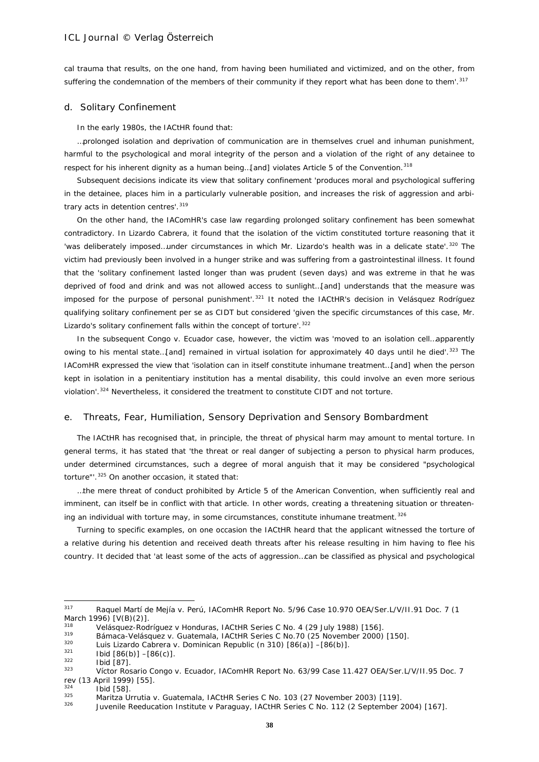cal trauma that results, on the one hand, from having been humiliated and victimized, and on the other, from suffering the condemnation of the members of their community if they report what has been done to them'.<sup>[317](#page-37-0)</sup>

#### d. Solitary Confinement

In the early 1980s, the IACtHR found that:

…prolonged isolation and deprivation of communication are in themselves cruel and inhuman punishment, harmful to the psychological and moral integrity of the person and a violation of the right of any detainee to respect for his inherent dignity as a human being...[and] violates Article 5 of the Convention.<sup>[318](#page-37-1)</sup>

Subsequent decisions indicate its view that solitary confinement 'produces moral and psychological suffering in the detainee, places him in a particularly vulnerable position, and increases the risk of aggression and arbi-trary acts in detention centres'. [319](#page-37-2)

On the other hand, the IAComHR's case law regarding prolonged solitary confinement has been somewhat contradictory. In *Lizardo Cabrera*, it found that the isolation of the victim constituted torture reasoning that it 'was deliberately imposed...under circumstances in which Mr. Lizardo's health was in a delicate state'.<sup>[320](#page-37-3)</sup> The victim had previously been involved in a hunger strike and was suffering from a gastrointestinal illness. It found that the 'solitary confinement lasted longer than was prudent (seven days) and was extreme in that he was deprived of food and drink and was not allowed access to sunlight…[and] understands that the measure was imposed for the purpose of personal punishment'.[321](#page-37-4) It noted the IACtHR's decision in *Velásquez Rodríguez*  qualifying solitary confinement *per se* as CIDT but considered 'given the specific circumstances of this case, Mr. Lizardo's solitary confinement falls within the concept of torture'.<sup>[322](#page-37-5)</sup>

In the subsequent *Congo v. Ecuador* case, however, the victim was 'moved to an isolation cell…apparently owing to his mental state...[and] remained in virtual isolation for approximately 40 days until he died'.<sup>[323](#page-37-6)</sup> The IAComHR expressed the view that 'isolation can in itself constitute inhumane treatment…[and] when the person kept in isolation in a penitentiary institution has a mental disability, this could involve an even more serious violation'.<sup>[324](#page-37-7)</sup> Nevertheless, it considered the treatment to constitute CIDT and not torture.

#### e. Threats, Fear, Humiliation, Sensory Deprivation and Sensory Bombardment

The IACtHR has recognised that, in principle, the threat of physical harm *may* amount to mental torture. In general terms, it has stated that 'the threat or real danger of subjecting a person to physical harm produces, under determined circumstances, such a degree of moral anguish that it may be considered "psychological torture"'.[325](#page-37-8) On another occasion, it stated that:

…the mere threat of conduct prohibited by Article 5 of the American Convention, when sufficiently real and imminent, can itself be in conflict with that article. In other words, creating a threatening situation or threatening an individual with torture may, in some circumstances, constitute inhumane treatment. $326$ 

Turning to specific examples, on one occasion the IACtHR heard that the applicant witnessed the torture of a relative during his detention and received death threats after his release resulting in him having to flee his country. It decided that 'at least some of the acts of aggression…can be classified as physical and psychological

<span id="page-37-0"></span> $317$ <sup>317</sup> *Raquel Martí de Mejía v. Perú*, IAComHR Report No. 5/96 Case 10.970 OEA/Ser.L/V/II.91 Doc. 7 (1 March 1996) [V(B)(2)].

<span id="page-37-1"></span><sup>318</sup> *Velásquez-*Rodríguez v Honduras, IACtHR Series C No. 4 (29 July 1988) [156].

<sup>319</sup> *Bámaca-Velásquez v. Guatemala*, IACtHR Series C No.70 (25 November 2000) [150].

<span id="page-37-4"></span><span id="page-37-3"></span><span id="page-37-2"></span><sup>320</sup> *Luis Lizardo Cabrera v. Dominican Republic* (n 310) [86(a)] –[86(b)].

 $\frac{321}{322}$  Ibid [86(b)] –[86(c)].

<span id="page-37-6"></span><span id="page-37-5"></span> $rac{322}{323}$  Ibid [87].

<sup>323</sup> *Víctor Rosario Congo v. Ecuador*, IAComHR Report No. 63/99 Case 11.427 OEA/Ser.L/V/II.95 Doc. 7 rev (13 April 1999) [55].

<span id="page-37-7"></span> $\frac{324}{325}$  Ibid [58].

<span id="page-37-8"></span><sup>325</sup> *Maritza Urrutia v. Guatemala*, IACtHR Series C No. 103 (27 November 2003) [119].

<span id="page-37-9"></span><sup>326</sup> *Juvenile Reeducation Institute v Paraguay*, IACtHR Series C No. 112 (2 September 2004) [167].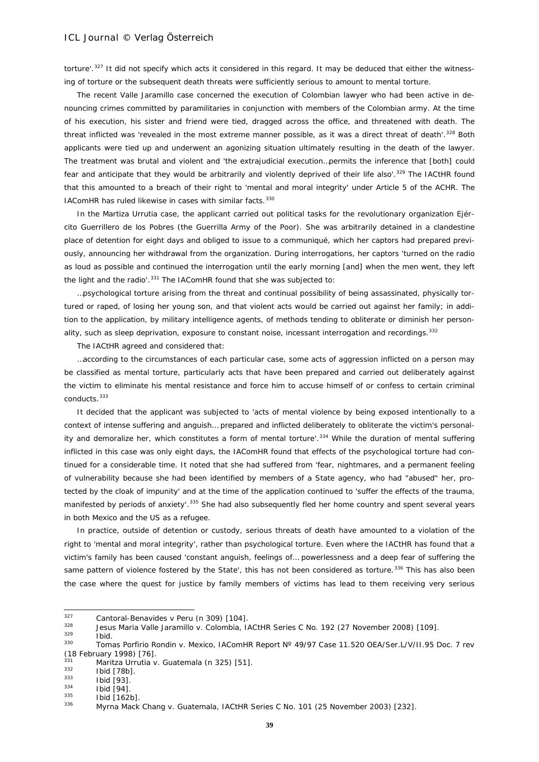torture'.<sup>[327](#page-38-0)</sup> It did not specify which acts it considered in this regard. It may be deduced that either the witnessing of torture or the subsequent death threats were sufficiently serious to amount to mental torture.

The recent *Valle Jaramillo* case concerned the execution of Colombian lawyer who had been active in denouncing crimes committed by paramilitaries in conjunction with members of the Colombian army. At the time of his execution, his sister and friend were tied, dragged across the office, and threatened with death. The threat inflicted was 'revealed in the most extreme manner possible, as it was a direct threat of death'.<sup>[328](#page-38-1)</sup> Both applicants were tied up and underwent an agonizing situation ultimately resulting in the death of the lawyer. The treatment was brutal and violent and 'the extrajudicial execution…permits the inference that [both] could fear and anticipate that they would be arbitrarily and violently deprived of their life also'.<sup>[329](#page-38-2)</sup> The IACtHR found that this amounted to a breach of their right to 'mental and moral integrity' under Article 5 of the ACHR. The IAComHR has ruled likewise in cases with similar facts.<sup>[330](#page-38-3)</sup>

In the *Martiza Urrutia* case, the applicant carried out political tasks for the revolutionary organization *Ejército Guerrillero de los Pobres* (the Guerrilla Army of the Poor). She was arbitrarily detained in a clandestine place of detention for eight days and obliged to issue to a communiqué, which her captors had prepared previously, announcing her withdrawal from the organization. During interrogations, her captors 'turned on the radio as loud as possible and continued the interrogation until the early morning [and] when the men went, they left the light and the radio'.<sup>[331](#page-38-4)</sup> The IAComHR found that she was subjected to:

…psychological torture arising from the threat and continual possibility of being assassinated, physically tortured or raped, of losing her young son, and that violent acts would be carried out against her family; in addition to the application, by military intelligence agents, of methods tending to obliterate or diminish her person-ality, such as sleep deprivation, exposure to constant noise, incessant interrogation and recordings.<sup>[332](#page-38-5)</sup>

The IACtHR agreed and considered that:

…according to the circumstances of each particular case, some acts of aggression inflicted on a person may be classified as mental torture, particularly acts that have been prepared and carried out deliberately against the victim to eliminate his mental resistance and force him to accuse himself of or confess to certain criminal conducts.<sup>[333](#page-38-6)</sup>

It decided that the applicant was subjected to 'acts of mental violence by being exposed intentionally to a context of intense suffering and anguish… prepared and inflicted deliberately to obliterate the victim's personal-ity and demoralize her, which constitutes a form of mental torture'.<sup>[334](#page-38-7)</sup> While the duration of mental suffering inflicted in this case was only eight days, the IAComHR found that effects of the psychological torture had continued for a considerable time. It noted that she had suffered from 'fear, nightmares, and a permanent feeling of vulnerability because she had been identified by members of a State agency, who had "abused" her, protected by the cloak of impunity' and at the time of the application continued to 'suffer the effects of the trauma, manifested by periods of anxiety'.<sup>[335](#page-38-8)</sup> She had also subsequently fled her home country and spent several years in both Mexico and the US as a refugee.

In practice, outside of detention or custody, serious threats of death have amounted to a violation of the right to 'mental and moral integrity', rather than psychological torture. Even where the IACtHR has found that a victim's family has been caused 'constant anguish, feelings of… powerlessness and a deep fear of suffering the same pattern of violence fostered by the State', this has not been considered as torture.<sup>[336](#page-38-9)</sup> This has also been the case where the quest for justice by family members of victims has lead to them receiving very serious

<span id="page-38-2"></span> $\frac{329}{330}$  Ibid.

<span id="page-38-0"></span><sup>327</sup> <sup>327</sup> *Cantoral-Benavides v Peru* (n 309) [104].

<span id="page-38-1"></span><sup>328</sup> *Jesus Maria Valle Jaramillo v. Colombia*, IACtHR Series C No. 192 (27 November 2008) [109].

<span id="page-38-3"></span><sup>330</sup> *Tomas Porfirio Rondin v. Mexico*, IAComHR Report Nº 49/97 Case 11.520 OEA/Ser.L/V/II.95 Doc. 7 rev (18 February 1998) [76].

<span id="page-38-4"></span><sup>331</sup> *Maritza Urrutia v. Guatemala* (n 325) [51].

<span id="page-38-5"></span> $\frac{332}{333}$  Ibid [78b].

<span id="page-38-6"></span> $\begin{array}{c} 333 \ 334 \ \end{array}$  Ibid [93].

<span id="page-38-7"></span> $\frac{334}{335}$  Ibid [94].

<span id="page-38-9"></span><span id="page-38-8"></span> $\frac{335}{336}$  Ibid [162b].

<sup>336</sup> *Myrna Mack Chang v. Guatemala*, IACtHR Series C No. 101 (25 November 2003) [232].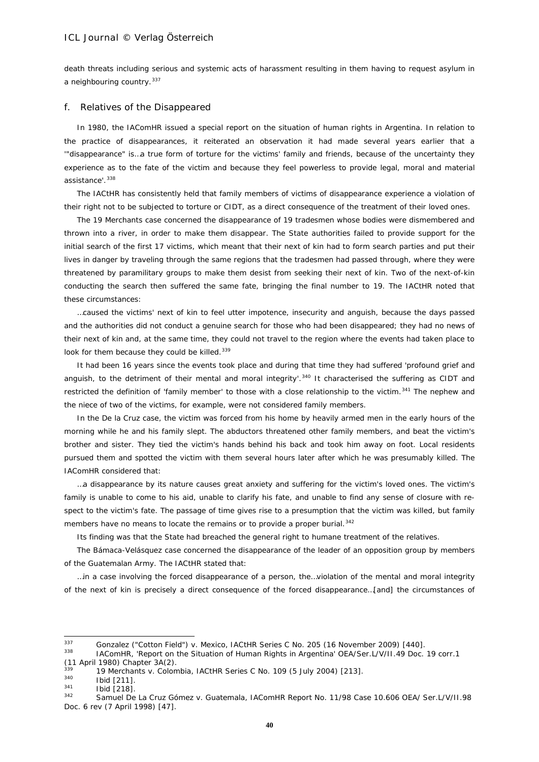death threats including serious and systemic acts of harassment resulting in them having to request asylum in a neighbouring country. [337](#page-39-0)

#### f. Relatives of the Disappeared

In 1980, the IAComHR issued a special report on the situation of human rights in Argentina. In relation to the practice of disappearances, it reiterated an observation it had made several years earlier that a '"disappearance" is…a true form of torture for the victims' family and friends, because of the uncertainty they experience as to the fate of the victim and because they feel powerless to provide legal, moral and material assistance'. [338](#page-39-1)

The IACtHR has consistently held that family members of victims of disappearance experience a violation of their right not to be subjected to torture or CIDT, as a direct consequence of the treatment of their loved ones.

The *19 Merchants* case concerned the disappearance of 19 tradesmen whose bodies were dismembered and thrown into a river, in order to make them disappear. The State authorities failed to provide support for the initial search of the first 17 victims, which meant that their next of kin had to form search parties and put their lives in danger by traveling through the same regions that the tradesmen had passed through, where they were threatened by paramilitary groups to make them desist from seeking their next of kin. Two of the next-of-kin conducting the search then suffered the same fate, bringing the final number to 19. The IACtHR noted that these circumstances:

…caused the victims' next of kin to feel utter impotence, insecurity and anguish, because the days passed and the authorities did not conduct a genuine search for those who had been disappeared; they had no news of their next of kin and, at the same time, they could not travel to the region where the events had taken place to look for them because they could be killed.<sup>[339](#page-39-2)</sup>

It had been 16 years since the events took place and during that time they had suffered 'profound grief and anguish, to the detriment of their mental and moral integrity'.<sup>[340](#page-39-3)</sup> It characterised the suffering as CIDT and restricted the definition of 'family member' to those with a close relationship to the victim.<sup>[341](#page-39-4)</sup> The nephew and the niece of two of the victims, for example, were not considered family members.

In the *De la Cruz* case, the victim was forced from his home by heavily armed men in the early hours of the morning while he and his family slept. The abductors threatened other family members, and beat the victim's brother and sister. They tied the victim's hands behind his back and took him away on foot. Local residents pursued them and spotted the victim with them several hours later after which he was presumably killed. The IAComHR considered that:

…a disappearance by its nature causes great anxiety and suffering for the victim's loved ones. The victim's family is unable to come to his aid, unable to clarify his fate, and unable to find any sense of closure with respect to the victim's fate. The passage of time gives rise to a presumption that the victim was killed, but family members have no means to locate the remains or to provide a proper burial.<sup>[342](#page-39-5)</sup>

Its finding was that the State had breached the general right to humane treatment of the relatives.

The *Bámaca-Velásquez* case concerned the disappearance of the leader of an opposition group by members of the Guatemalan Army. The IACtHR stated that:

…in a case involving the forced disappearance of a person, the…violation of the mental and moral integrity of the next of kin is precisely a direct consequence of the forced disappearance…[and] the circumstances of

<span id="page-39-0"></span><sup>337</sup> <sup>337</sup> *Gonzalez ("Cotton Field") v. Mexico*, IACtHR Series C No. 205 (16 November 2009) [440].

<span id="page-39-1"></span><sup>338</sup> IAComHR, 'Report on the Situation of Human Rights in Argentina' OEA/Ser.L/V/II.49 Doc. 19 corr.1 (11 April 1980) Chapter 3A(2).

<span id="page-39-2"></span><sup>339</sup> *19 Merchants v. Colombia*, IACtHR Series C No. 109 (5 July 2004) [213].

<span id="page-39-3"></span> $\frac{340}{341}$  Ibid [211].

<span id="page-39-4"></span> $\frac{341}{342}$  Ibid [218].

<span id="page-39-5"></span><sup>342</sup> *Samuel De La Cruz Gómez v. Guatemala*, IAComHR Report No. 11/98 Case 10.606 OEA/ Ser.L/V/II.98 Doc. 6 rev (7 April 1998) [47].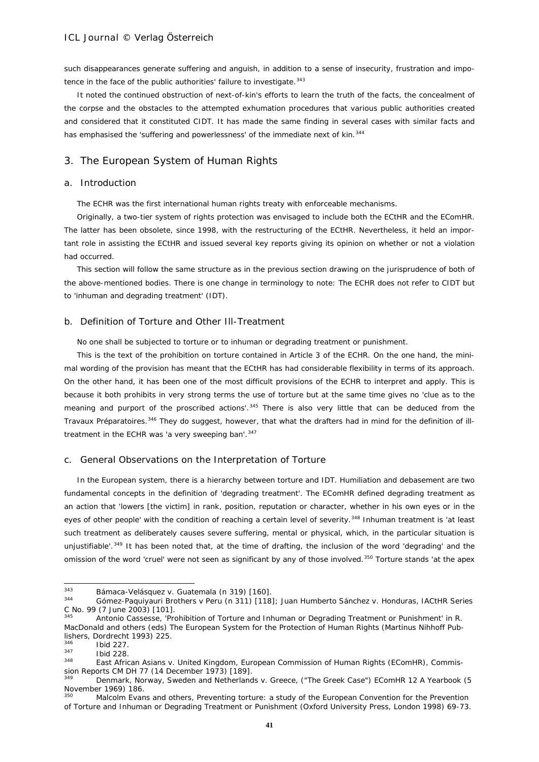such disappearances generate suffering and anguish, in addition to a sense of insecurity, frustration and impo-tence in the face of the public authorities' failure to investigate. [343](#page-40-0)

It noted the continued obstruction of next-of-kin's efforts to learn the truth of the facts, the concealment of the corpse and the obstacles to the attempted exhumation procedures that various public authorities created and considered that it constituted CIDT. It has made the same finding in several cases with similar facts and has emphasised the 'suffering and powerlessness' of the immediate next of kin.<sup>[344](#page-40-1)</sup>

# 3. The European System of Human Rights

### a. Introduction

The ECHR was the first international human rights treaty with enforceable mechanisms.

Originally, a two-tier system of rights protection was envisaged to include both the ECtHR and the EComHR. The latter has been obsolete, since 1998, with the restructuring of the ECtHR. Nevertheless, it held an important role in assisting the ECtHR and issued several key reports giving its opinion on whether or not a violation had occurred.

This section will follow the same structure as in the previous section drawing on the jurisprudence of both of the above-mentioned bodies. There is one change in terminology to note: The ECHR does not refer to CIDT but to 'inhuman and degrading treatment' (IDT).

### b. Definition of Torture and Other Ill-Treatment

*No one shall be subjected to torture or to inhuman or degrading treatment or punishment.*

This is the text of the prohibition on torture contained in Article 3 of the ECHR. On the one hand, the minimal wording of the provision has meant that the ECtHR has had considerable flexibility in terms of its approach. On the other hand, it has been one of the most difficult provisions of the ECHR to interpret and apply. This is because it both prohibits in very strong terms the use of torture but at the same time gives no 'clue as to the meaning and purport of the proscribed actions'.<sup>[345](#page-40-2)</sup> There is also very little that can be deduced from the *Travaux Préparatoires.*[346](#page-40-3) They do suggest, however, that what the drafters had in mind for the definition of ill-treatment in the ECHR was 'a very sweeping ban'. [347](#page-40-4)

### c. General Observations on the Interpretation of Torture

In the European system, there is a hierarchy between torture and IDT. Humiliation and debasement are two fundamental concepts in the definition of 'degrading treatment'. The EComHR defined degrading treatment as an action that 'lowers [the victim] in rank, position, reputation or character, whether in his own eyes or in the eyes of other people' with the condition of reaching a certain level of severity.<sup>[348](#page-40-5)</sup> Inhuman treatment is 'at least such treatment as deliberately causes severe suffering, mental or physical, which, in the particular situation is unjustifiable'.<sup>[349](#page-40-6)</sup> It has been noted that, at the time of drafting, the inclusion of the word 'degrading' and the omission of the word 'cruel' were not seen as significant by any of those involved.<sup>[350](#page-40-7)</sup> Torture stands 'at the apex

<span id="page-40-0"></span><sup>343</sup> <sup>343</sup> *Bámaca-Velásquez v. Guatemala* (n 319) [160].

<span id="page-40-1"></span><sup>344</sup> *Gómez-Paquiyauri Brothers v Peru* (n 311) [118]; Juan Humberto Sánchez v. Honduras, IACtHR Series C No. 99 (7 June 2003) [101].

<span id="page-40-2"></span>Antonio Cassesse, 'Prohibition of Torture and Inhuman or Degrading Treatment or Punishment' in R. MacDonald and others (eds) The European System for the Protection of Human Rights (Martinus Nihhoff Publishers, Dordrecht 1993) 225.

<span id="page-40-3"></span> $\frac{346}{347}$  Ibid 227.

<span id="page-40-4"></span> $rac{347}{348}$  Ibid 228.

<span id="page-40-5"></span><sup>348</sup> *East African Asians v. United Kingdom*, European Commission of Human Rights (EComHR), Commission Reports CM DH 77 (14 December 1973) [189].

<span id="page-40-6"></span><sup>349</sup> *Denmark, Norway, Sweden and Netherlands v. Greece*, ("The Greek Case") EComHR 12 A Yearbook (5 November 1969) 186.<br><sup>350</sup> Malcolm Evans and others, *Preventing torture: a study of the European Convention for the Prevention* 

<span id="page-40-7"></span>*of Torture and Inhuman or Degrading Treatment or Punishment* (Oxford University Press, London 1998) 69-73.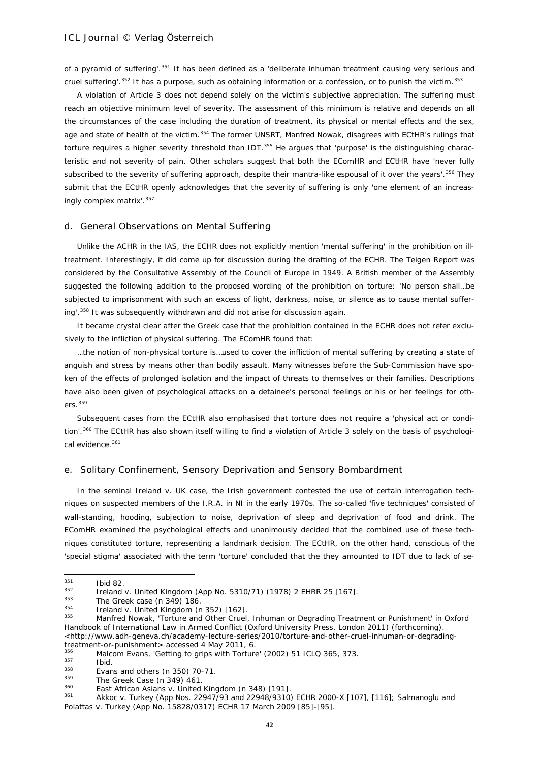of a pyramid of suffering'.<sup>[351](#page-41-0)</sup> It has been defined as a 'deliberate inhuman treatment causing very serious and cruel suffering'.<sup>[352](#page-41-1)</sup> It has a purpose, such as obtaining information or a confession, or to punish the victim.<sup>[353](#page-41-2)</sup>

A violation of Article 3 does not depend solely on the victim's subjective appreciation. The suffering must reach an objective minimum level of severity. The assessment of this minimum is relative and depends on all the circumstances of the case including the duration of treatment, its physical or mental effects and the sex, age and state of health of the victim.<sup>[354](#page-41-3)</sup> The former UNSRT, Manfred Nowak, disagrees with ECtHR's rulings that torture requires a higher severity threshold than IDT. $355$  He argues that 'purpose' is the distinguishing characteristic and not severity of pain. Other scholars suggest that both the EComHR and ECtHR have 'never fully subscribed to the severity of suffering approach, despite their mantra-like espousal of it over the years'.<sup>[356](#page-41-5)</sup> They submit that the ECtHR openly acknowledges that the severity of suffering is only 'one element of an increas-ingly complex matrix'.<sup>[357](#page-41-6)</sup>

#### d. General Observations on Mental Suffering

Unlike the ACHR in the IAS, the ECHR does not explicitly mention 'mental suffering' in the prohibition on illtreatment. Interestingly, it did come up for discussion during the drafting of the ECHR. The Teigen Report was considered by the Consultative Assembly of the Council of Europe in 1949. A British member of the Assembly suggested the following addition to the proposed wording of the prohibition on torture: 'No person shall…be subjected to imprisonment with such an excess of light, darkness, noise, or silence as to cause mental suffer-ing'.<sup>[358](#page-41-7)</sup> It was subsequently withdrawn and did not arise for discussion again.

It became crystal clear after the *Greek* case that the prohibition contained in the ECHR does not refer exclusively to the infliction of physical suffering. The EComHR found that:

…the notion of non-physical torture is…used to cover the infliction of mental suffering by creating a state of anguish and stress by means other than bodily assault. Many witnesses before the Sub-Commission have spoken of the effects of prolonged isolation and the impact of threats to themselves or their families. Descriptions have also been given of psychological attacks on a detainee's personal feelings or his or her feelings for others.[359](#page-41-8)

Subsequent cases from the ECtHR also emphasised that torture does not require a 'physical act or condi-tion'.<sup>[360](#page-41-9)</sup> The ECtHR has also shown itself willing to find a violation of Article 3 solely on the basis of psychologi-cal evidence.<sup>[361](#page-41-10)</sup>

### e. Solitary Confinement, Sensory Deprivation and Sensory Bombardment

In the seminal *Ireland v. UK* case, the Irish government contested the use of certain interrogation techniques on suspected members of the I.R.A. in NI in the early 1970s. The so-called 'five techniques' consisted of wall-standing, *hooding*, *subjection to noise, deprivation of sleep* and deprivation of food and drink. The EComHR examined the psychological effects and unanimously decided that the combined use of these techniques constituted torture, representing a landmark decision. The ECtHR, on the other hand, conscious of the 'special stigma' associated with the term 'torture' concluded that the they amounted to IDT due to lack of se-

<span id="page-41-0"></span><sup>351</sup>  $rac{351}{352}$  Ibid 82.

<span id="page-41-1"></span><sup>352</sup> *Ireland v.* United Kingdom (App No. 5310/71) (1978) 2 EHRR 25 [167].

<span id="page-41-4"></span>

<span id="page-41-3"></span><span id="page-41-2"></span><sup>&</sup>lt;sup>353</sup> *The Greek case* (n 349) 186.<br><sup>354</sup> *Ireland v. United Kingdom* (n 352) [162].<br><sup>355</sup> Manfred Nowak, 'Torture and Other Cruel, Inhuman or Degrading Treatment or Punishment' in Oxford Handbook of International Law in Armed Conflict (Oxford University Press, London 2011) (forthcoming). [<http://www.adh-geneva.ch/academy-lecture-series/2010/torture-and-other-cruel-inhuman-or-degrading](http://www.adh-geneva.ch/academy-lecture-series/2010/torture-and-other-cruel-inhuman-or-degrading-treatment-or-punishment)[treatment-or-punishment>](http://www.adh-geneva.ch/academy-lecture-series/2010/torture-and-other-cruel-inhuman-or-degrading-treatment-or-punishment) accessed 4 May 2011, 6.

<span id="page-41-5"></span> $356$  Malcom Evans, 'Getting to grips with Torture' (2002) 51 ICLQ 365, 373.

<span id="page-41-6"></span> $\frac{357}{358}$  Ibid.

 $^{358}$  Evans and others (n 350) 70-71.<br> $^{359}$  The Creek Case (n 340) 441

<span id="page-41-8"></span><span id="page-41-7"></span><sup>359</sup> *The Greek Case* (n 349) 461.

<span id="page-41-10"></span><span id="page-41-9"></span><sup>360</sup> *East African Asians v. United Kingdom* (n 348) [191].

<sup>361</sup> *Akkoc v. Turkey* (App Nos. 22947/93 and 22948/9310) ECHR 2000-X [107], [116]; *Salmanoglu and Polattas v. Turkey* (App No. 15828/0317) ECHR 17 March 2009 [85]-[95].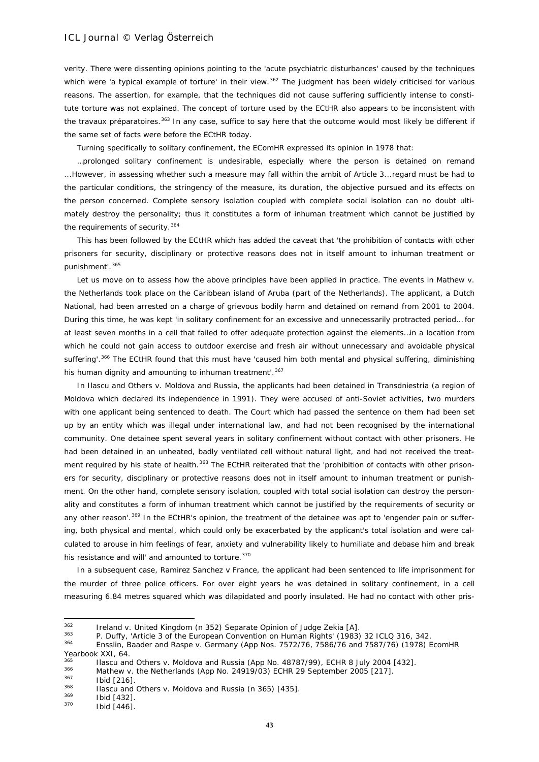verity. There were dissenting opinions pointing to the 'acute psychiatric disturbances' caused by the techniques which were 'a typical example of torture' in their view.<sup>[362](#page-42-0)</sup> The judgment has been widely criticised for various reasons. The assertion, for example, that the techniques did not cause suffering sufficiently intense to constitute torture was not explained. The concept of torture used by the ECtHR also appears to be inconsistent with the *travaux préparatoires*. [363](#page-42-1) In any case, suffice to say here that the outcome would most likely be different if the same set of facts were before the ECtHR today.

Turning specifically to solitary confinement, the EComHR expressed its opinion in 1978 that:

…prolonged solitary confinement is undesirable, especially where the person is detained on remand ...However, in assessing whether such a measure may fall within the ambit of Article 3...regard must be had to the particular conditions, the stringency of the measure, its duration, the objective pursued and its effects on the person concerned. Complete sensory isolation coupled with complete social isolation can no doubt ultimately destroy the personality; thus it constitutes a form of inhuman treatment which cannot be justified by the requirements of security. [364](#page-42-2)

This has been followed by the ECtHR which has added the caveat that 'the prohibition of contacts with other prisoners for security, disciplinary or protective reasons does not in itself amount to inhuman treatment or punishment'.<sup>[365](#page-42-3)</sup>

Let us move on to assess how the above principles have been applied in practice. The events in *Mathew v. the Netherlands* took place on the Caribbean island of Aruba (part of the Netherlands). The applicant, a Dutch National, had been arrested on a charge of grievous bodily harm and detained on remand from 2001 to 2004. During this time, he was kept 'in solitary confinement for an excessive and unnecessarily protracted period… for at least seven months in a cell that failed to offer adequate protection against the elements…in a location from which he could not gain access to outdoor exercise and fresh air without unnecessary and avoidable physical suffering'.<sup>[366](#page-42-4)</sup> The ECtHR found that this must have 'caused him both mental and physical suffering, diminishing his human dignity and amounting to inhuman treatment'. [367](#page-42-5)

In *Ilascu and Others v. Moldova and Russia,* the applicants had been detained in Transdniestria (a region of Moldova which declared its independence in 1991). They were accused of anti-Soviet activities, two murders with one applicant being sentenced to death. The Court which had passed the sentence on them had been set up by an entity which was illegal under international law, and had not been recognised by the international community. One detainee spent several years in solitary confinement without contact with other prisoners. He had been detained in an unheated, badly ventilated cell without natural light, and had not received the treat-ment required by his state of health.<sup>[368](#page-42-6)</sup> The ECtHR reiterated that the 'prohibition of contacts with other prisoners for security, disciplinary or protective reasons does not in itself amount to inhuman treatment or punishment. On the other hand, complete sensory isolation, coupled with total social isolation can destroy the personality and constitutes a form of inhuman treatment which cannot be justified by the requirements of security or any other reason'.<sup>[369](#page-42-7)</sup> In the ECtHR's opinion, the treatment of the detainee was apt to 'engender pain or suffering, both physical and mental, which could only be exacerbated by the applicant's total isolation and were calculated to arouse in him feelings of fear, anxiety and vulnerability likely to humiliate and debase him and break his resistance and will' and amounted to torture.<sup>[370](#page-42-8)</sup>

In a subsequent case, *Ramirez Sanchez v France*, the applicant had been sentenced to life imprisonment for the murder of three police officers. For over eight years he was detained in solitary confinement, in a cell measuring 6.84 metres squared which was dilapidated and poorly insulated. He had no contact with other pris-

<span id="page-42-0"></span> $362$ <sup>362</sup> *Ireland v. United Kingdom* (n 352) Separate Opinion of Judge Zekia [A].

<span id="page-42-1"></span> $\frac{363}{204}$  P. Duffy, 'Article 3 of the European Convention on Human Rights' (1983) 32 ICLQ 316, 342.

<span id="page-42-2"></span><sup>364</sup> *Ensslin, Baader and Raspe v. Germany* (App Nos. 7572/76, 7586/76 and 7587/76) (1978) EcomHR Yearbook XXI, 64

<span id="page-42-4"></span><span id="page-42-3"></span><sup>365</sup> *Ilascu and Others v. Moldova and Russia* (App No. 48787/99), ECHR 8 July 2004 [432].

<sup>366</sup> *Mathew v. the Netherlands* (App No. 24919/03) ECHR 29 September 2005 [217].

 $\frac{367}{368}$  Ibid [216]

<span id="page-42-6"></span><span id="page-42-5"></span><sup>368</sup> *Ilascu and Others v. Moldova and Russia* (n 365) [435].

<span id="page-42-8"></span><span id="page-42-7"></span> $\frac{369}{370}$  Ibid [432].

Ibid [446].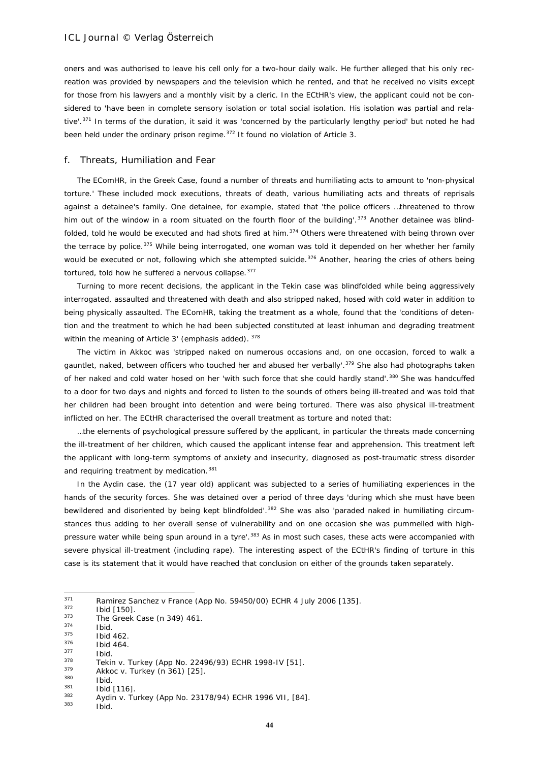oners and was authorised to leave his cell only for a two-hour daily walk. He further alleged that his only recreation was provided by newspapers and the television which he rented, and that he received no visits except for those from his lawyers and a monthly visit by a cleric. In the ECtHR's view, the applicant could not be considered to 'have been in complete sensory isolation or total social isolation. His isolation was partial and rela-tive'.<sup>[371](#page-43-0)</sup> In terms of the duration, it said it was 'concerned by the particularly lengthy period' but noted he had been held under the ordinary prison regime.<sup>[372](#page-43-1)</sup> It found no violation of Article 3.

#### f. Threats, Humiliation and Fear

The EComHR, in the *Greek* Case, found a number of threats and humiliating acts to amount to 'non-physical torture.' These included mock executions, threats of death, various humiliating acts and threats of reprisals against a detainee's family. One detainee, for example, stated that 'the police officers …threatened to throw him out of the window in a room situated on the fourth floor of the building'.<sup>[373](#page-43-2)</sup> Another detainee was blind-folded, told he would be executed and had shots fired at him.<sup>[374](#page-43-3)</sup> Others were threatened with being thrown over the terrace by police.<sup>[375](#page-43-4)</sup> While being interrogated, one woman was told it depended on her whether her family would be executed or not, following which she attempted suicide.<sup>[376](#page-43-5)</sup> Another, hearing the cries of others being tortured, told how he suffered a nervous collapse.<sup>[377](#page-43-6)</sup>

Turning to more recent decisions, the applicant in the *Tekin* case was blindfolded while being aggressively interrogated, assaulted and threatened with death and also stripped naked, hosed with cold water in addition to being physically assaulted. The EComHR, taking the treatment as a whole, found that the 'conditions of detention and the treatment to which he had been subjected constituted *at least inhuman and degrading treatment* within the meaning of Article 3' (emphasis added). [378](#page-43-7)

The victim in *Akkoc* was 'stripped naked on numerous occasions and, on one occasion, forced to walk a gauntlet, naked, between officers who touched her and abused her verbally'.<sup>[379](#page-43-8)</sup> She also had photographs taken of her naked and cold water hosed on her 'with such force that she could hardly stand'.<sup>[380](#page-43-9)</sup> She was handcuffed to a door for two days and nights and forced to listen to the sounds of others being ill-treated and was told that her children had been brought into detention and were being tortured. There was also physical ill-treatment inflicted on her. The ECtHR characterised the overall treatment as torture and noted that:

…the elements of psychological pressure suffered by the applicant, in particular the threats made concerning the ill-treatment of her children, which caused the applicant intense fear and apprehension. This treatment left the applicant with long-term symptoms of anxiety and insecurity, diagnosed as post-traumatic stress disorder and requiring treatment by medication.<sup>[381](#page-43-10)</sup>

In the *Aydin* case, the (17 year old) applicant was subjected to a series of humiliating experiences in the hands of the security forces. She was detained over a period of three days 'during which she must have been bewildered and disoriented by being kept blindfolded'.<sup>[382](#page-43-11)</sup> She was also 'paraded naked in humiliating circumstances thus adding to her overall sense of vulnerability and on one occasion she was pummelled with high-pressure water while being spun around in a tyre'.<sup>[383](#page-43-12)</sup> As in most such cases, these acts were accompanied with severe physical ill-treatment (including rape). The interesting aspect of the ECtHR's finding of torture in this case is its statement that it would have reached that conclusion on *either* of the grounds taken separately.

<span id="page-43-0"></span> $371$ <sup>371</sup> *Ramirez Sanchez v France* (App No. 59450/00) ECHR 4 July 2006 [135].

<span id="page-43-1"></span> $\frac{372}{373}$  Ibid [150].

<span id="page-43-2"></span><sup>373</sup> *The Greek Case* (n 349) 461.

<span id="page-43-3"></span> $\frac{374}{375}$  Ibid.

<span id="page-43-4"></span> $\frac{375}{376}$  Ibid 462.

 $\frac{376}{377}$  Ibid 464.

<span id="page-43-7"></span><span id="page-43-6"></span><span id="page-43-5"></span> $rac{377}{378}$  Ibid. <sup>378</sup> *Tekin v. Turkey* (App No. 22496/93) ECHR 1998-IV [51].

<span id="page-43-8"></span><sup>379</sup> *Akkoc v. Turkey* (n 361) [25].

<span id="page-43-9"></span> $380$  Ibid.

<span id="page-43-10"></span> $\frac{381}{382}$  Ibid [116].

<span id="page-43-12"></span><span id="page-43-11"></span><sup>382</sup> *Aydin v. Turkey* (App No. 23178/94) ECHR 1996 VII, [84].

Ibid.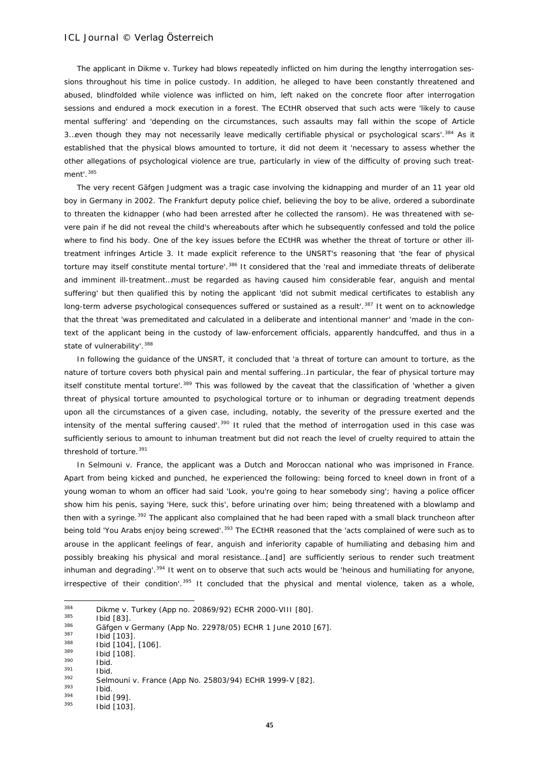The applicant in *Dikme v. Turkey* had blows repeatedly inflicted on him during the lengthy interrogation sessions throughout his time in police custody. In addition, he alleged to have been constantly threatened and abused, blindfolded while violence was inflicted on him, left naked on the concrete floor after interrogation sessions and endured a mock execution in a forest. The ECtHR observed that such acts were 'likely to cause mental suffering' and 'depending on the circumstances, such assaults may fall within the scope of Article 3. even though they may not necessarily leave medically certifiable physical or psychological scars'.<sup>[384](#page-44-0)</sup> As it established that the physical blows amounted to torture, it did not deem it 'necessary to assess whether the other allegations of psychological violence are true, particularly in view of the difficulty of proving such treatment'.[385](#page-44-1)

The very recent *Gäfgen* Judgment was a tragic case involving the kidnapping and murder of an 11 year old boy in Germany in 2002. The Frankfurt deputy police chief, believing the boy to be alive, ordered a subordinate to threaten the kidnapper (who had been arrested after he collected the ransom). He was threatened with severe pain if he did not reveal the child's whereabouts after which he subsequently confessed and told the police where to find his body. One of the key issues before the ECtHR was whether the threat of torture or other illtreatment infringes Article 3. It made explicit reference to the UNSRT's reasoning that 'the fear of physical torture may itself constitute mental torture'.<sup>[386](#page-44-2)</sup> It considered that the 'real and immediate threats of deliberate and imminent ill-treatment…must be regarded as having caused him considerable fear, anguish and mental suffering' but then qualified this by noting the applicant 'did not submit medical certificates to establish any long-term adverse psychological consequences suffered or sustained as a result'.<sup>[387](#page-44-3)</sup> It went on to acknowledge that the threat 'was premeditated and calculated in a deliberate and intentional manner' and 'made in the context of the applicant being in the custody of law-enforcement officials, apparently handcuffed, and thus in a state of vulnerability'.<sup>[388](#page-44-4)</sup>

In following the guidance of the UNSRT, it concluded that 'a threat of torture can amount to torture, as the nature of torture covers both physical pain and mental suffering…In particular, the fear of physical torture may itself constitute mental torture'.<sup>[389](#page-44-5)</sup> This was followed by the caveat that the classification of 'whether a given threat of physical torture amounted to psychological torture or to inhuman or degrading treatment depends upon all the circumstances of a given case, including, notably, the severity of the pressure exerted and the intensity of the mental suffering caused'.<sup>[390](#page-44-6)</sup> It ruled that the method of interrogation used in this case was sufficiently serious to amount to inhuman treatment but did not reach the level of cruelty required to attain the threshold of torture.<sup>[391](#page-44-7)</sup>

In *Selmouni v. France*, the applicant was a Dutch and Moroccan national who was imprisoned in France. Apart from being kicked and punched, he experienced the following: being forced to kneel down in front of a young woman to whom an officer had said 'Look, you're going to hear somebody sing'; having a police officer show him his penis, saying 'Here, suck this', before urinating over him; being threatened with a blowlamp and then with a syringe.<sup>[392](#page-44-8)</sup> The applicant also complained that he had been raped with a small black truncheon after being told 'You Arabs enjoy being screwed'.<sup>[393](#page-44-9)</sup> The ECtHR reasoned that the 'acts complained of were such as to arouse in the applicant feelings of fear, anguish and inferiority capable of humiliating and debasing him and possibly breaking his physical and moral resistance…[and] are sufficiently serious to render such treatment inhuman and degrading'.[394](#page-44-10) It went on to observe that such acts would be 'heinous and humiliating for anyone, irrespective of their condition'.<sup>[395](#page-44-11)</sup> It concluded that the physical and mental violence, taken as a whole,

<span id="page-44-1"></span> $\frac{385}{386}$  Ibid [83].

<span id="page-44-7"></span><span id="page-44-6"></span> $\frac{390}{391}$  Ibid.  $\frac{391}{392}$  Ibid.

<span id="page-44-0"></span><sup>384</sup> <sup>384</sup> *Dikme v. Turkey* (App no. 20869/92) ECHR 2000-VIII [80].

<span id="page-44-2"></span><sup>386</sup> *Gäfgen v Germany* (App No. 22978/05) ECHR 1 June 2010 [67].

<span id="page-44-3"></span> $\frac{387}{388}$  Ibid [103].

<span id="page-44-4"></span> $\frac{388}{389}$  Ibid [104], [106].

<span id="page-44-5"></span> $\frac{389}{390}$  Ibid [108].

<span id="page-44-8"></span><sup>392</sup> *Selmouni v. France* (App No. 25803/94) ECHR 1999-V [82].

<span id="page-44-9"></span> $\frac{393}{394}$  Ibid.

<span id="page-44-10"></span> $\frac{394}{395}$  Ibid [99].

<span id="page-44-11"></span>Ibid [103].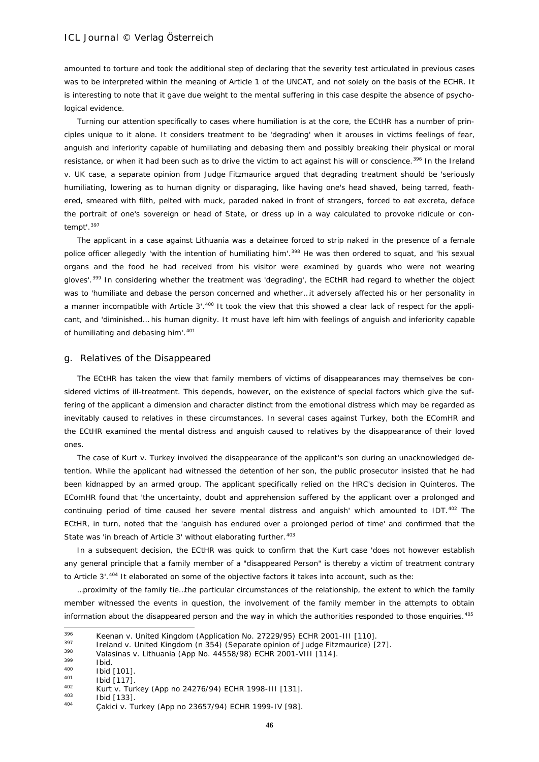amounted to torture and took the additional step of declaring that the severity test articulated in previous cases was to be interpreted within the meaning of Article 1 of the UNCAT, and not solely on the basis of the ECHR. It is interesting to note that it gave due weight to the mental suffering in this case despite the absence of psychological evidence.

Turning our attention specifically to cases where humiliation is at the core, the ECtHR has a number of principles unique to it alone. It considers treatment to be 'degrading' when it arouses in victims feelings of fear, anguish and inferiority capable of humiliating and debasing them and possibly breaking their physical or moral resistance, or when it had been such as to drive the victim to act against his will or conscience.[396](#page-45-0) In the *Ireland v. UK* case, a separate opinion from Judge Fitzmaurice argued that degrading treatment should be 'seriously humiliating, lowering as to human dignity or disparaging, like having one's head shaved, being tarred, feathered, smeared with filth, pelted with muck, paraded naked in front of strangers, forced to eat excreta, deface the portrait of one's sovereign or head of State, or dress up in a way calculated to provoke ridicule or contempt'.[397](#page-45-1)

The applicant in a case against Lithuania was a detainee forced to strip naked in the presence of a female police officer allegedly 'with the intention of humiliating him'.<sup>[398](#page-45-2)</sup> He was then ordered to squat, and 'his sexual organs and the food he had received from his visitor were examined by guards who were not wearing gloves'.[399](#page-45-3) In considering whether the treatment was 'degrading', the ECtHR had regard to whether the object was to 'humiliate and debase the person concerned and whether…it adversely affected his or her personality in a manner incompatible with Article 3'.<sup>[400](#page-45-4)</sup> It took the view that this showed a clear lack of respect for the applicant, and 'diminished… his human dignity. It must have left him with feelings of anguish and inferiority capable of humiliating and debasing him'.<sup>[401](#page-45-5)</sup>

#### g. Relatives of the Disappeared

The ECtHR has taken the view that family members of victims of disappearances may themselves be considered victims of ill-treatment. This depends, however, on the existence of special factors which give the suffering of the applicant a dimension and character distinct from the emotional distress which may be regarded as inevitably caused to relatives in these circumstances. In several cases against Turkey, both the EComHR and the ECtHR examined the mental distress and anguish caused to relatives by the disappearance of their loved ones.

The case of *Kurt v. Turkey* involved the disappearance of the applicant's son during an unacknowledged detention. While the applicant had witnessed the detention of her son, the public prosecutor insisted that he had been kidnapped by an armed group. The applicant specifically relied on the HRC's decision in *Quinteros.* The EComHR found that 'the uncertainty, doubt and apprehension suffered by the applicant over a prolonged and continuing period of time caused her severe mental distress and anguish' which amounted to IDT.<sup>[402](#page-45-6)</sup> The ECtHR, in turn, noted that the 'anguish has endured over a prolonged period of time' and confirmed that the State was 'in breach of Article 3' without elaborating further.<sup>[403](#page-45-7)</sup>

In a subsequent decision, the ECtHR was quick to confirm that the *Kurt* case 'does not however establish any general principle that a family member of a "disappeared Person" is thereby a victim of treatment contrary to Article 3'.<sup>[404](#page-45-8)</sup> It elaborated on some of the objective factors it takes into account, such as the:

…proximity of the family tie…the particular circumstances of the relationship, the extent to which the family member witnessed the events in question, the involvement of the family member in the attempts to obtain information about the disappeared person and the way in which the authorities responded to those enquiries.<sup>[405](#page-45-1)</sup>

<span id="page-45-0"></span><sup>396</sup> <sup>396</sup> *Keenan v. United Kingdom* (Application No. 27229/95) ECHR 2001-III [110].

<span id="page-45-1"></span><sup>397</sup> *Ireland v. United Kingdom* (n 354) (Separate opinion of Judge Fitzmaurice) [27]. 398 *Valasinas v. Lithuania* (App No. 44558/98) ECHR 2001-VIII [114].

<span id="page-45-4"></span><span id="page-45-3"></span><span id="page-45-2"></span> $\frac{399}{400}$  Ibid.

 $^{400}$  Ibid [101].

<span id="page-45-5"></span> $^{401}$  Ibid [117].

<span id="page-45-6"></span><sup>402</sup> *Kurt v. Turkey* (App no 24276/94) ECHR 1998-III [131].

<span id="page-45-7"></span> $^{403}$  Ibid [133].

<span id="page-45-8"></span><sup>404</sup> *Çakici v. Turkey* (App no 23657/94) ECHR 1999-IV [98].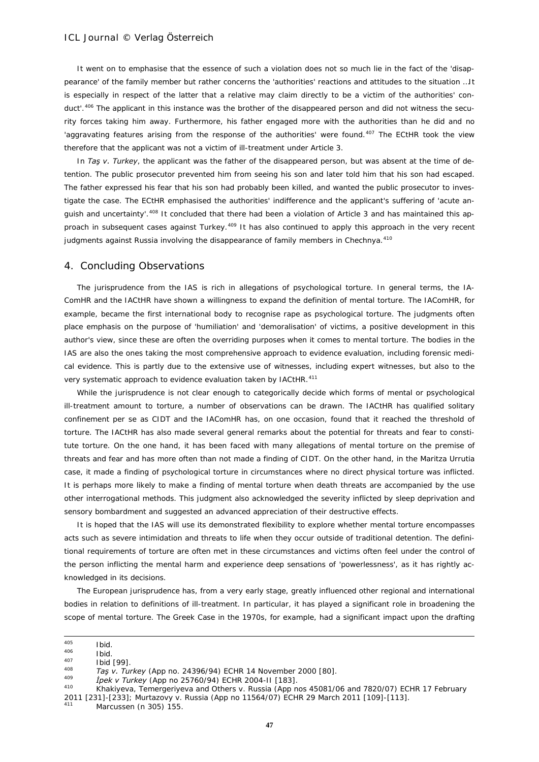It went on to emphasise that the essence of such a violation does not so much lie in the fact of the 'disappearance' of the family member but rather concerns the 'authorities' reactions and attitudes to the situation …It is especially in respect of the latter that a relative may claim directly to be a victim of the authorities' con-duct'.<sup>[406](#page-46-0)</sup> The applicant in this instance was the brother of the disappeared person and did not witness the security forces taking him away. Furthermore, his father engaged more with the authorities than he did and no 'aggravating features arising from the response of the authorities' were found.<sup>[407](#page-46-1)</sup> The ECtHR took the view therefore that the applicant was not a victim of ill-treatment under Article 3.

In *Taş v. Turkey*, the applicant was the father of the disappeared person, but was absent at the time of detention. The public prosecutor prevented him from seeing his son and later told him that his son had escaped. The father expressed his fear that his son had probably been killed, and wanted the public prosecutor to investigate the case. The ECtHR emphasised the authorities' indifference and the applicant's suffering of 'acute an-quish and uncertainty'.<sup>[408](#page-46-2)</sup> It concluded that there had been a violation of Article 3 and has maintained this ap-proach in subsequent cases against Turkey.<sup>[409](#page-46-3)</sup> It has also continued to apply this approach in the very recent judgments against Russia involving the disappearance of family members in Chechnya.<sup>[410](#page-46-4)</sup>

#### 4. Concluding Observations

The jurisprudence from the IAS is rich in allegations of psychological torture. In general terms, the IA-ComHR and the IACtHR have shown a willingness to expand the definition of mental torture. The IAComHR, for example, became the first international body to recognise rape as psychological torture. The judgments often place emphasis on the purpose of 'humiliation' and 'demoralisation' of victims, a positive development in this author's view, since these are often the overriding purposes when it comes to mental torture. The bodies in the IAS are also the ones taking the most comprehensive approach to evidence evaluation, including forensic medical evidence. This is partly due to the extensive use of witnesses, including expert witnesses, but also to the very systematic approach to evidence evaluation taken by IACtHR.<sup>[411](#page-46-5)</sup>

While the jurisprudence is not clear enough to categorically decide which forms of mental or psychological ill-treatment amount to torture, a number of observations can be drawn. The IACtHR has qualified solitary confinement *per se* as CIDT and the IAComHR has, on one occasion, found that it reached the threshold of torture. The IACtHR has also made several general remarks about the potential for threats and fear to constitute torture. On the one hand, it has been faced with many allegations of mental torture on the premise of threats and fear and has more often than not made a finding of CIDT. On the other hand, in the *Maritza Urrutia* case, it made a finding of psychological torture in circumstances where no direct physical torture was inflicted. It is perhaps more likely to make a finding of mental torture when death threats are accompanied by the use other interrogational methods. This judgment also acknowledged the severity inflicted by sleep deprivation and sensory bombardment and suggested an advanced appreciation of their destructive effects.

It is hoped that the IAS will use its demonstrated flexibility to explore whether mental torture encompasses acts such as severe intimidation and threats to life when they occur outside of traditional detention. The definitional requirements of torture are often met in these circumstances and victims often feel under the control of the person inflicting the mental harm and experience deep sensations of 'powerlessness', as it has rightly acknowledged in its decisions.

The European jurisprudence has, from a very early stage, greatly influenced other regional and international bodies in relation to definitions of ill-treatment. In particular, it has played a significant role in broadening the scope of mental torture. The *Greek* Case in the 1970s, for example, had a significant impact upon the drafting

<sup>405</sup>  $^{405}$  Ibid.

 $10^{406}$  Ibid.

<span id="page-46-1"></span><span id="page-46-0"></span> $^{407}_{408}$  Ibid [99].

<span id="page-46-2"></span><sup>408</sup> *Taş v. Turkey* (App no. 24396/94) ECHR 14 November 2000 [80]. 409 *İpek v Turkey* (App no 25760/94) ECHR 2004-II [183].

<span id="page-46-3"></span>

<span id="page-46-4"></span><sup>410</sup> *Khakiyeva, Temergeriyeva and Others v. Russia* (App nos 45081/06 and 7820/07) ECHR 17 February 2011 [231]-[233]; *Murtazovy v. Russia* (App no 11564/07) ECHR 29 March 2011 [109]-[113].

<span id="page-46-5"></span>Marcussen (n 305) 155.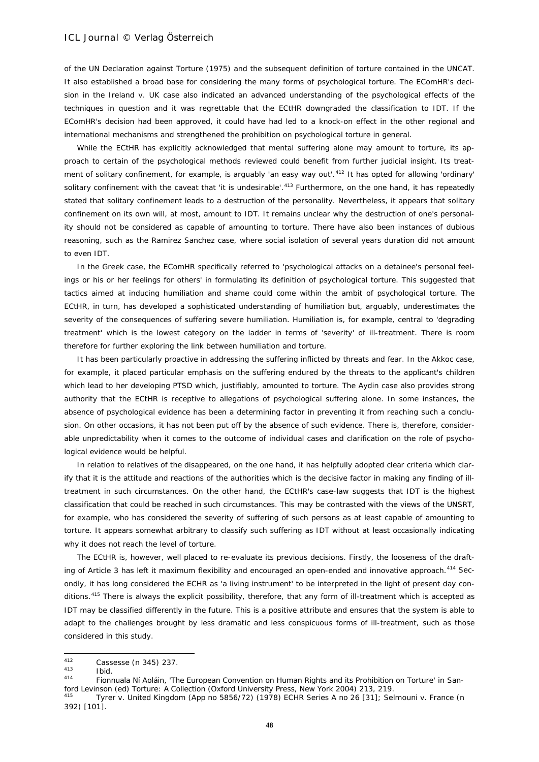of the UN Declaration against Torture (1975) and the subsequent definition of torture contained in the UNCAT. It also established a broad base for considering the many forms of psychological torture. The EComHR's decision in the *Ireland v. UK* case also indicated an advanced understanding of the psychological effects of the techniques in question and it was regrettable that the ECtHR downgraded the classification to IDT. If the EComHR's decision had been approved, it could have had led to a knock-on effect in the other regional and international mechanisms and strengthened the prohibition on psychological torture in general.

While the ECtHR has explicitly acknowledged that mental suffering alone may amount to torture, its approach to certain of the psychological methods reviewed could benefit from further judicial insight. Its treat-ment of solitary confinement, for example, is arguably 'an easy way out'.<sup>[412](#page-47-0)</sup> It has opted for allowing 'ordinary' solitary confinement with the caveat that 'it is undesirable'.<sup>[413](#page-47-1)</sup> Furthermore, on the one hand, it has repeatedly stated that solitary confinement leads to a destruction of the personality. Nevertheless, it appears that solitary confinement on its own will, at most, amount to IDT. It remains unclear why the destruction of one's personality should not be considered as capable of amounting to torture. There have also been instances of dubious reasoning, such as the *Ramirez Sanchez* case, where social isolation of several years duration did not amount to even IDT.

In the *Greek* case, the EComHR specifically referred to 'psychological attacks on a detainee's personal feelings or his or her feelings for others' in formulating its definition of psychological torture. This suggested that tactics aimed at inducing humiliation and shame could come within the ambit of psychological torture. The ECtHR, in turn, has developed a sophisticated understanding of humiliation but, arguably, underestimates the severity of the consequences of suffering severe humiliation. Humiliation is, for example, central to 'degrading treatment' which is the lowest category on the ladder in terms of 'severity' of ill-treatment. There is room therefore for further exploring the link between humiliation and torture.

It has been particularly proactive in addressing the suffering inflicted by threats and fear. In the *Akkoc* case, for example, it placed particular emphasis on the suffering endured by the threats to the applicant's children which lead to her developing PTSD which, justifiably, amounted to torture. The *Aydin* case also provides strong authority that the ECtHR is receptive to allegations of psychological suffering alone. In some instances, the absence of psychological evidence has been a determining factor in preventing it from reaching such a conclusion. On other occasions, it has not been put off by the absence of such evidence. There is, therefore, considerable unpredictability when it comes to the outcome of individual cases and clarification on the role of psychological evidence would be helpful.

In relation to relatives of the disappeared, on the one hand, it has helpfully adopted clear criteria which clarify that it is the attitude and reactions of the authorities which is the decisive factor in making any finding of illtreatment in such circumstances. On the other hand, the ECtHR's case-law suggests that IDT is the highest classification that could be reached in such circumstances. This may be contrasted with the views of the UNSRT, for example, who has considered the severity of suffering of such persons as at least capable of amounting to torture. It appears somewhat arbitrary to classify such suffering as IDT without at least occasionally indicating why it does not reach the level of torture.

The ECtHR is, however, well placed to re-evaluate its previous decisions. Firstly, the looseness of the draft-ing of Article 3 has left it maximum flexibility and encouraged an open-ended and innovative approach.<sup>[414](#page-47-2)</sup> Secondly, it has long considered the ECHR as 'a living instrument' to be interpreted in the light of present day conditions.[415](#page-47-3) There is always the explicit possibility, therefore, that any form of ill-treatment which is accepted as IDT may be classified differently in the future. This is a positive attribute and ensures that the system is able to adapt to the challenges brought by less dramatic and less conspicuous forms of ill-treatment, such as those considered in this study.

<span id="page-47-0"></span><sup>412</sup>  $^{412}$  Cassesse (n 345) 237.

<span id="page-47-1"></span> $\frac{413}{414}$  Ibid.

<span id="page-47-2"></span><sup>414</sup> Fionnuala Ní Aoláin, 'The European Convention on Human Rights and its Prohibition on Torture' in Sanford Levinson (ed) *Torture: A Collection* (Oxford University Press, New York 2004) 213, 219.

<span id="page-47-3"></span><sup>415</sup> *Tyrer v. United Kingdom* (App no 5856/72) (1978) ECHR Series A no 26 [31]; Selmouni v. France (n 392) [101].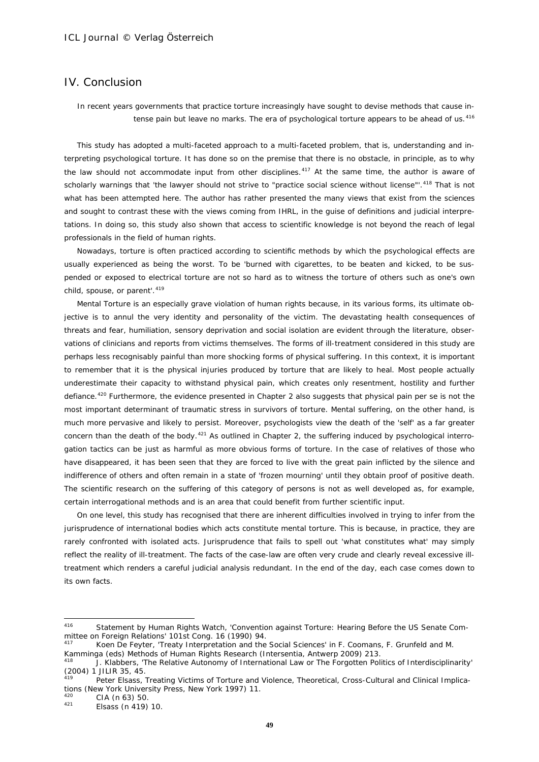# IV. Conclusion

# *In recent years governments that practice torture increasingly have sought to devise methods that cause intense pain but leave no marks. The era of psychological torture appears to be ahead of us.*[416](#page-48-0)

This study has adopted a multi-faceted approach to a multi-faceted problem, that is, understanding and interpreting psychological torture. It has done so on the premise that there is no obstacle, in principle, as to why the law should not accommodate input from other disciplines.<sup>[417](#page-48-1)</sup> At the same time, the author is aware of scholarly warnings that 'the lawyer should not strive to "practice social science without license"'.<sup>[418](#page-48-2)</sup> That is not what has been attempted here. The author has rather presented the many views that exist from the sciences and sought to contrast these with the views coming from IHRL, in the guise of definitions and judicial interpretations. In doing so, this study also shown that *access* to scientific knowledge is not beyond the reach of legal professionals in the field of human rights.

Nowadays, torture is often practiced according to scientific methods by which the psychological effects are usually experienced as being the worst. To be 'burned with cigarettes, to be beaten and kicked, to be suspended or exposed to electrical torture are not so hard as to witness the torture of others such as one's own child, spouse, or parent'.<sup>[419](#page-48-3)</sup>

Mental Torture is an especially grave violation of human rights because, in its various forms, its ultimate objective is to annul the very identity and personality of the victim. The devastating health consequences of threats and fear, humiliation, sensory deprivation and social isolation are evident through the literature, observations of clinicians and reports from victims themselves. The forms of ill-treatment considered in this study are perhaps less recognisably painful than more shocking forms of physical suffering. In this context, it is important to remember that it is the *physical* injuries produced by torture that are likely to heal. Most people actually underestimate their capacity to withstand physical pain, which creates only resentment, hostility and further defiance.[420](#page-48-4) Furthermore, the evidence presented in Chapter 2 also suggests that physical pain *per se* is not the most important determinant of traumatic stress in survivors of torture. Mental suffering, on the other hand, is much more pervasive and likely to persist. Moreover, psychologists view the death of the 'self' as a far greater concern than the death of the body. $421$  As outlined in Chapter 2, the suffering induced by psychological interrogation tactics can be just as harmful as more obvious forms of torture. In the case of relatives of those who have disappeared, it has been seen that they are forced to live with the great pain inflicted by the silence and indifference of others and often remain in a state of 'frozen mourning' until they obtain proof of positive death. The scientific research on the suffering of this category of persons is not as well developed as, for example, certain interrogational methods and is an area that could benefit from further scientific input.

On one level, this study has recognised that there are inherent difficulties involved in trying to infer from the jurisprudence of international bodies which acts constitute mental torture. This is because, in practice, they are rarely confronted with isolated acts. Jurisprudence that fails to spell out '*what* constitutes *what*' may simply reflect the reality of ill-treatment. The facts of the case-law are often very crude and clearly reveal excessive illtreatment which renders a careful judicial analysis redundant. In the end of the day, each case comes down to its own facts.

<span id="page-48-0"></span><sup>416</sup> Statement by Human Rights Watch, 'Convention against Torture: Hearing Before the US Senate Committee on Foreign Relations' 101st Cong. 16 (1990) 94.

<span id="page-48-1"></span>Koen De Feyter, 'Treaty Interpretation and the Social Sciences' in F. Coomans, F. Grunfeld and M. Kamminga (eds) Methods of Human Rights Research (Intersentia, Antwerp 2009) 213.

<span id="page-48-2"></span><sup>418</sup> J. Klabbers, 'The Relative Autonomy of International Law or The Forgotten Politics of Interdisciplinarity' (2004) 1 JILIR 35, 45.

<span id="page-48-3"></span>Peter Elsass, Treating Victims of Torture and Violence, Theoretical, Cross-Cultural and Clinical Implications (New York University Press, New York 1997) 11.<br> $^{420}$  CIA (p. 63) 50

<span id="page-48-4"></span> $^{420}$  CIA (n 63) 50.

<span id="page-48-5"></span>Elsass (n 419) 10.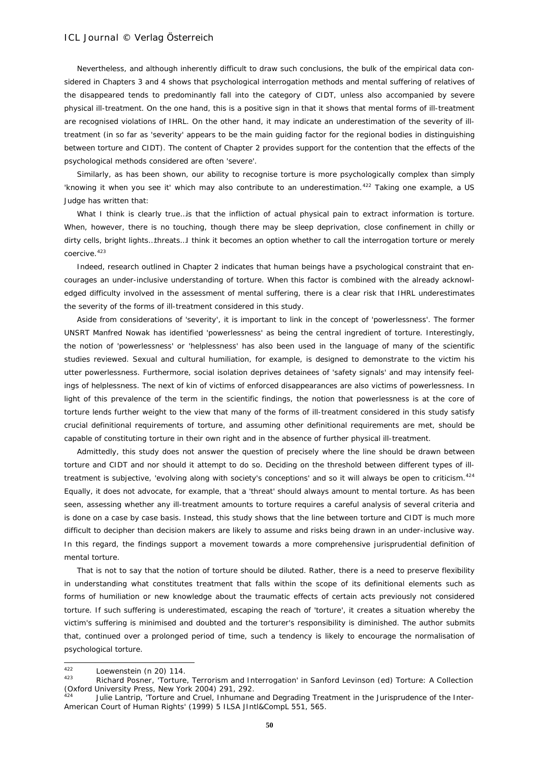Nevertheless, and although inherently difficult to draw such conclusions, the bulk of the empirical data considered in Chapters 3 and 4 shows that psychological interrogation methods and mental suffering of relatives of the disappeared tends to predominantly fall into the category of CIDT, unless also accompanied by severe physical ill-treatment. On the one hand, this is a positive sign in that it shows that mental forms of ill-treatment are recognised violations of IHRL. On the other hand, it may indicate an underestimation of the severity of illtreatment (in so far as 'severity' appears to be the main guiding factor for the regional bodies in distinguishing between torture and CIDT). The content of Chapter 2 provides support for the contention that the effects of the psychological methods considered are often 'severe'.

Similarly, as has been shown, our ability to recognise torture is more psychologically complex than simply 'knowing it when you see it' which may also contribute to an underestimation.<sup>[422](#page-49-0)</sup> Taking one example, a US Judge has written that:

What I think is clearly true... is that the infliction of actual physical pain to extract information is torture. When, however, there is no touching, though there may be sleep deprivation, close confinement in chilly or dirty cells, bright lights…threats…I think it becomes an option whether to call the interrogation torture or merely coercive.<sup>[423](#page-49-1)</sup>

Indeed, research outlined in Chapter 2 indicates that human beings have a psychological constraint that encourages an under-inclusive understanding of torture. When this factor is combined with the already acknowledged difficulty involved in the *assessment* of mental suffering, there is a clear risk that IHRL underestimates the severity of the forms of ill-treatment considered in this study.

Aside from considerations of 'severity', it is important to link in the concept of 'powerlessness'. The former UNSRT Manfred Nowak has identified 'powerlessness' as being the central ingredient of torture. Interestingly, the notion of 'powerlessness' or 'helplessness' has also been used in the language of many of the scientific studies reviewed. Sexual and cultural humiliation, for example, is designed to demonstrate to the victim his utter powerlessness. Furthermore, social isolation deprives detainees of 'safety signals' and may intensify feelings of helplessness. The next of kin of victims of enforced disappearances are also victims of powerlessness. In light of this prevalence of the term in the scientific findings, the notion that powerlessness is at the core of torture lends further weight to the view that many of the forms of ill-treatment considered in this study satisfy crucial definitional requirements of torture, and assuming other definitional requirements are met, should be capable of constituting torture in their own right and in the absence of further physical ill-treatment.

Admittedly, this study does not answer the question of precisely where the line should be drawn between torture and CIDT and nor should it attempt to do so. Deciding on the threshold between different types of ill-treatment is subjective, 'evolving along with society's conceptions' and so it will always be open to criticism.<sup>[424](#page-49-2)</sup> Equally, it does not advocate, for example, that a 'threat' should always amount to mental torture. As has been seen, assessing whether any ill-treatment amounts to torture requires a careful analysis of several criteria and is done on a case by case basis. Instead, this study shows that the line between torture and CIDT is much more difficult to decipher than decision makers are likely to assume and risks being drawn in an under-inclusive way. In this regard, the findings support a movement towards a more comprehensive jurisprudential definition of mental torture.

That is not to say that the notion of torture should be diluted. Rather, there is a need to preserve flexibility in understanding what constitutes treatment that falls within the scope of its definitional elements such as forms of humiliation or new knowledge about the traumatic effects of certain acts previously not considered torture. If such suffering is underestimated, escaping the reach of 'torture', it creates a situation whereby the victim's suffering is minimised and doubted and the torturer's responsibility is diminished. The author submits that, continued over a prolonged period of time, such a tendency is likely to encourage the normalisation of psychological torture.

<span id="page-49-0"></span> $422$  $\frac{422}{1423}$  Loewenstein (n 20) 114.

<span id="page-49-1"></span><sup>423</sup> Richard Posner, 'Torture, Terrorism and Interrogation' in Sanford Levinson (ed) *Torture: A Collection* (Oxford University Press, New York 2004) 291, 292.

<span id="page-49-2"></span>Julie Lantrip, 'Torture and Cruel, Inhumane and Degrading Treatment in the Jurisprudence of the Inter-American Court of Human Rights' (1999) 5 ILSA JIntl&CompL 551, 565.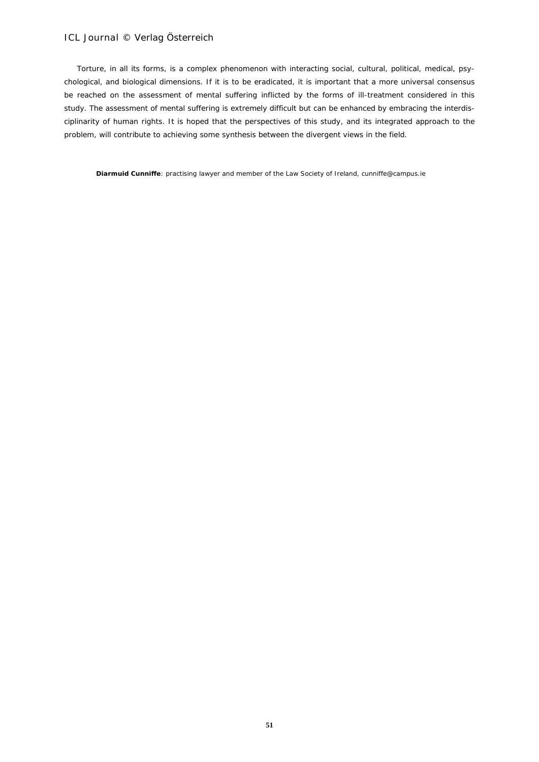Torture, in all its forms, is a complex phenomenon with interacting social, cultural, political, medical, psychological, and biological dimensions. If it is to be eradicated, it is important that a more universal consensus be reached on the assessment of mental suffering inflicted by the forms of ill-treatment considered in this study. The assessment of mental suffering is extremely difficult but can be enhanced by embracing the interdisciplinarity of human rights. It is hoped that the perspectives of this study, and its integrated approach to the problem, will contribute to achieving some synthesis between the divergent views in the field.

**Diarmuid Cunniffe**: practising lawyer and member of the Law Society of Ireland, cunniffe@campus.ie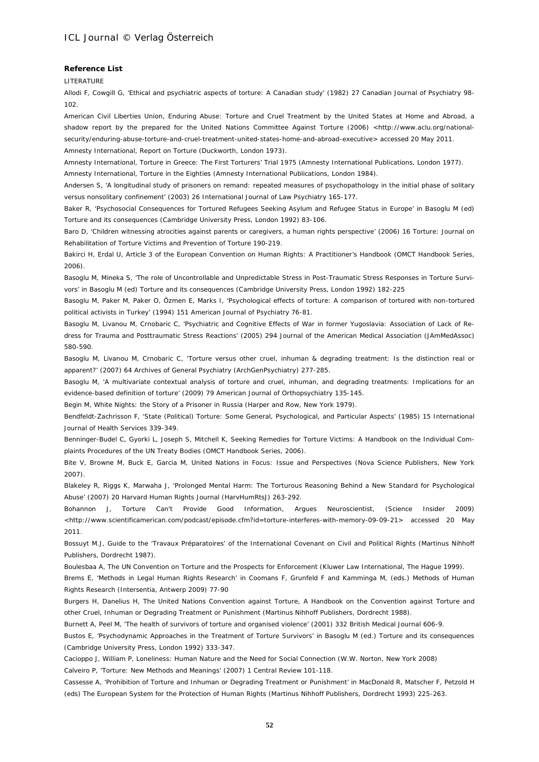#### **Reference List**

#### **LITERATURE**

Allodi F, Cowgill G, 'Ethical and psychiatric aspects of torture: A Canadian study' (1982) 27 Canadian Journal of Psychiatry 98- 102.

American Civil Liberties Union, Enduring Abuse: Torture and Cruel Treatment by the United States at Home and Abroad, a shadow report by the prepared for the United Nations Committee Against Torture (2006) <http://www.aclu.org/nationalsecurity/enduring-abuse-torture-and-cruel-treatment-united-states-home-and-abroad-executive> accessed 20 May 2011. Amnesty International, Report on Torture (Duckworth, London 1973).

Amnesty International, Torture in Greece: The First Torturers' Trial 1975 (Amnesty International Publications, London 1977). Amnesty International, Torture in the Eighties (Amnesty International Publications, London 1984).

Andersen S, 'A longitudinal study of prisoners on remand: repeated measures of psychopathology in the initial phase of solitary versus nonsolitary confinement' (2003) 26 International Journal of Law Psychiatry 165-177.

Baker R, 'Psychosocial Consequences for Tortured Refugees Seeking Asylum and Refugee Status in Europe' in Basoglu M (ed) Torture and its consequences (Cambridge University Press, London 1992) 83-106.

Baro D, 'Children witnessing atrocities against parents or caregivers, a human rights perspective' (2006) 16 Torture: Journal on Rehabilitation of Torture Victims and Prevention of Torture 190-219.

Bakirci H, Erdal U, Article 3 of the European Convention on Human Rights: A Practitioner's Handbook (OMCT Handbook Series, 2006).

Basoglu M, Mineka S, 'The role of Uncontrollable and Unpredictable Stress in Post-Traumatic Stress Responses in Torture Survivors' in Basoglu M (ed) Torture and its consequences (Cambridge University Press, London 1992) 182-225

Basoglu M, Paker M, Paker O, Özmen E, Marks I, 'Psychological effects of torture: A comparison of tortured with non-tortured political activists in Turkey' (1994) 151 American Journal of Psychiatry 76-81.

Basoglu M, Livanou M, Crnobaric C, 'Psychiatric and Cognitive Effects of War in former Yugoslavia: Association of Lack of Redress for Trauma and Posttraumatic Stress Reactions' (2005) 294 Journal of the American Medical Association (JAmMedAssoc) 580-590.

Basoglu M, Livanou M, Crnobaric C, 'Torture versus other cruel, inhuman & degrading treatment: Is the distinction real or apparent?' (2007) 64 Archives of General Psychiatry (ArchGenPsychiatry) 277-285.

Basoglu M, 'A multivariate contextual analysis of torture and cruel, inhuman, and degrading treatments: Implications for an evidence-based definition of torture' (2009) 79 American Journal of Orthopsychiatry 135-145.

Begin M, White Nights: the Story of a Prisoner in Russia (Harper and Row, New York 1979).

Bendfeldt-Zachrisson F, 'State (Political) Torture: Some General, Psychological, and Particular Aspects' (1985) 15 International Journal of Health Services 339-349.

Benninger-Budel C, Gyorki L, Joseph S, Mitchell K, Seeking Remedies for Torture Victims: A Handbook on the Individual Complaints Procedures of the UN Treaty Bodies (OMCT Handbook Series, 2006).

Bite V, Browne M, Buck E, Garcia M, United Nations in Focus: Issue and Perspectives (Nova Science Publishers, New York 2007).

Blakeley R, Riggs K, Marwaha J, 'Prolonged Mental Harm: The Torturous Reasoning Behind a New Standard for Psychological Abuse' (2007) 20 Harvard Human Rights Journal (HarvHumRtsJ) 263-292.

Bohannon J, Torture Can't Provide Good Information, Argues Neuroscientist, (Science Insider 2009) <http://www.scientificamerican.com/podcast/episode.cfm?id=torture-interferes-with-memory-09-09-21> accessed 20 May 2011.

Bossuyt M.J, Guide to the 'Travaux Préparatoires' of the International Covenant on Civil and Political Rights (Martinus Nihhoff Publishers, Dordrecht 1987).

Boulesbaa A, The UN Convention on Torture and the Prospects for Enforcement (Kluwer Law International, The Hague 1999).

Brems E, 'Methods in Legal Human Rights Research' in Coomans F, Grunfeld F and Kamminga M, (eds.) Methods of Human Rights Research (Intersentia, Antwerp 2009) 77-90

Burgers H, Danelius H, The United Nations Convention against Torture, A Handbook on the Convention against Torture and other Cruel, Inhuman or Degrading Treatment or Punishment (Martinus Nihhoff Publishers, Dordrecht 1988).

Burnett A, Peel M, 'The health of survivors of torture and organised violence' (2001) 332 British Medical Journal 606-9.

Bustos E, 'Psychodynamic Approaches in the Treatment of Torture Survivors' in Basoglu M (ed.) Torture and its consequences (Cambridge University Press, London 1992) 333-347.

Cacioppo J, William P, Loneliness: Human Nature and the Need for Social Connection (W.W. Norton, New York 2008) Calveiro P, 'Torture: New Methods and Meanings' (2007) 1 Central Review 101-118.

Cassesse A, 'Prohibition of Torture and Inhuman or Degrading Treatment or Punishment' in MacDonald R, Matscher F, Petzold H (eds) The European System for the Protection of Human Rights (Martinus Nihhoff Publishers, Dordrecht 1993) 225-263.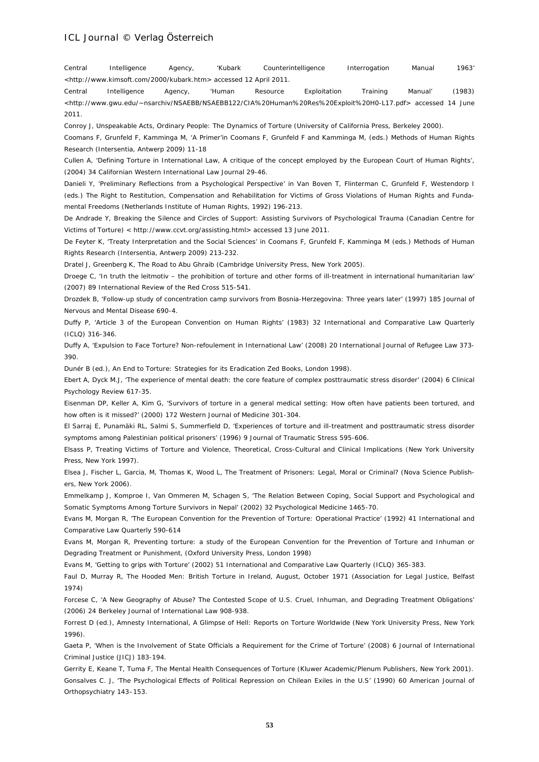Central Intelligence Agency, 'Kubark Counterintelligence Interrogation Manual 1963' <http://www.kimsoft.com/2000/kubark.htm> accessed 12 April 2011.

Central Intelligence Agency, 'Human Resource Exploitation Training Manual' (1983) <http://www.gwu.edu/~nsarchiv/NSAEBB/NSAEBB122/CIA%20Human%20Res%20Exploit%20H0-L17.pdf> accessed 14 June 2011.

Conroy J, Unspeakable Acts, Ordinary People: The Dynamics of Torture (University of California Press, Berkeley 2000).

Coomans F, Grunfeld F, Kamminga M, 'A Primer'in Coomans F, Grunfeld F and Kamminga M, (eds.) Methods of Human Rights Research (Intersentia, Antwerp 2009) 11-18

Cullen A, 'Defining Torture in International Law, A critique of the concept employed by the European Court of Human Rights', (2004) 34 Californian Western International Law Journal 29-46.

Danieli Y, 'Preliminary Reflections from a Psychological Perspective' in Van Boven T, Flinterman C, Grunfeld F, Westendorp I (eds.) The Right to Restitution, Compensation and Rehabilitation for Victims of Gross Violations of Human Rights and Fundamental Freedoms (Netherlands Institute of Human Rights, 1992) 196-213.

De Andrade Y, Breaking the Silence and Circles of Support: Assisting Survivors of Psychological Trauma (Canadian Centre for Victims of Torture) < http://www.ccvt.org/assisting.html> accessed 13 June 2011.

De Feyter K, 'Treaty Interpretation and the Social Sciences' in Coomans F, Grunfeld F, Kamminga M (eds.) Methods of Human Rights Research (Intersentia, Antwerp 2009) 213-232.

Dratel J, Greenberg K, The Road to Abu Ghraib (Cambridge University Press, New York 2005).

Droege C, 'In truth the leitmotiv – the prohibition of torture and other forms of ill-treatment in international humanitarian law' (2007) 89 International Review of the Red Cross 515-541.

Drozdek B, 'Follow-up study of concentration camp survivors from Bosnia-Herzegovina: Three years later' (1997) 185 Journal of Nervous and Mental Disease 690-4.

Duffy P, 'Article 3 of the European Convention on Human Rights' (1983) 32 International and Comparative Law Quarterly (ICLQ) 316-346.

Duffy A, 'Expulsion to Face Torture? Non-refoulement in International Law' (2008) 20 International Journal of Refugee Law 373- 390.

Dunér B (ed.), An End to Torture: Strategies for its Eradication Zed Books, London 1998).

Ebert A, Dyck M.J, 'The experience of mental death: the core feature of complex posttraumatic stress disorder' (2004) 6 Clinical Psychology Review 617-35.

Eisenman DP, Keller A, Kim G, 'Survivors of torture in a general medical setting: How often have patients been tortured, and how often is it missed?' (2000) 172 Western Journal of Medicine 301-304.

El Sarraj E, Punamäki RL, Salmi S, Summerfield D, 'Experiences of torture and ill-treatment and posttraumatic stress disorder symptoms among Palestinian political prisoners' (1996) 9 Journal of Traumatic Stress 595-606.

Elsass P, Treating Victims of Torture and Violence, Theoretical, Cross-Cultural and Clinical Implications (New York University Press, New York 1997).

Elsea J, Fischer L, Garcia, M, Thomas K, Wood L, The Treatment of Prisoners: Legal, Moral or Criminal? (Nova Science Publishers, New York 2006).

Emmelkamp J, Komproe I, Van Ommeren M, Schagen S, 'The Relation Between Coping, Social Support and Psychological and Somatic Symptoms Among Torture Survivors in Nepal' (2002) 32 Psychological Medicine 1465-70.

Evans M, Morgan R, 'The European Convention for the Prevention of Torture: Operational Practice' (1992) 41 International and Comparative Law Quarterly 590-614

Evans M, Morgan R, Preventing torture: a study of the European Convention for the Prevention of Torture and Inhuman or Degrading Treatment or Punishment, (Oxford University Press, London 1998)

Evans M, 'Getting to grips with Torture' (2002) 51 International and Comparative Law Quarterly (ICLQ) 365-383.

Faul D, Murray R, The Hooded Men: British Torture in Ireland, August, October 1971 (Association for Legal Justice, Belfast 1974)

Forcese C, 'A New Geography of Abuse? The Contested Scope of U.S. Cruel, Inhuman, and Degrading Treatment Obligations' (2006) 24 Berkeley Journal of International Law 908-938.

Forrest D (ed.), Amnesty International, A Glimpse of Hell: Reports on Torture Worldwide (New York University Press, New York 1996).

Gaeta P, 'When is the Involvement of State Officials a Requirement for the Crime of Torture' (2008) 6 Journal of International Criminal Justice (JICJ) 183-194.

Gerrity E, Keane T, Tuma F, The Mental Health Consequences of Torture (Kluwer Academic/Plenum Publishers, New York 2001). Gonsalves C. J, 'The Psychological Effects of Political Repression on Chilean Exiles in the U.S' (1990) 60 American Journal of Orthopsychiatry 143–153.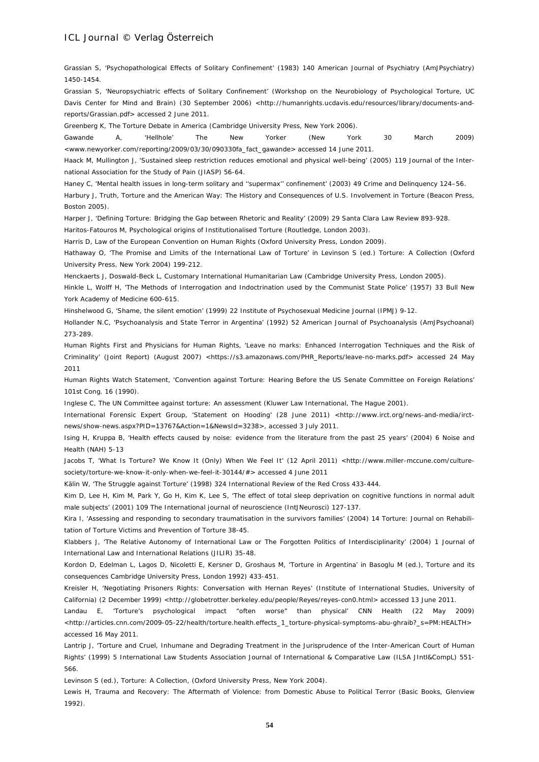Grassian S, 'Psychopathological Effects of Solitary Confinement' (1983) 140 American Journal of Psychiatry (AmJPsychiatry) 1450-1454.

Grassian S, 'Neuropsychiatric effects of Solitary Confinement' (Workshop on the Neurobiology of Psychological Torture, UC Davis Center for Mind and Brain) (30 September 2006) <http://humanrights.ucdavis.edu/resources/library/documents-andreports/Grassian.pdf> accessed 2 June 2011.

Greenberg K, The Torture Debate in America (Cambridge University Press, New York 2006).

Gawande A, 'Hellhole' The New Yorker (New York 30 March 2009) <www.newyorker.com/reporting/2009/03/30/090330fa\_fact\_gawande> accessed 14 June 2011.

Haack M, Mullington J, 'Sustained sleep restriction reduces emotional and physical well-being' (2005) 119 Journal of the International Association for the Study of Pain (JIASP) 56-64.

Haney C, 'Mental health issues in long-term solitary and ''supermax'' confinement' (2003) 49 Crime and Delinquency 124–56.

Harbury J, Truth, Torture and the American Way: The History and Consequences of U.S. Involvement in Torture (Beacon Press, Boston 2005).

Harper J, 'Defining Torture: Bridging the Gap between Rhetoric and Reality' (2009) 29 Santa Clara Law Review 893-928.

Haritos-Fatouros M, Psychological origins of Institutionalised Torture (Routledge, London 2003).

Harris D, Law of the European Convention on Human Rights (Oxford University Press, London 2009).

Hathaway O, 'The Promise and Limits of the International Law of Torture' in Levinson S (ed.) Torture: A Collection (Oxford University Press, New York 2004) 199-212.

Henckaerts J, Doswald-Beck L, Customary International Humanitarian Law (Cambridge University Press, London 2005).

Hinkle L, Wolff H, 'The Methods of Interrogation and Indoctrination used by the Communist State Police' (1957) 33 Bull New York Academy of Medicine 600-615.

Hinshelwood G, 'Shame, the silent emotion' (1999) 22 Institute of Psychosexual Medicine Journal (IPMJ) 9-12.

Hollander N.C, 'Psychoanalysis and State Terror in Argentina' (1992) 52 American Journal of Psychoanalysis (AmJPsychoanal) 273-289.

Human Rights First and Physicians for Human Rights, 'Leave no marks: Enhanced Interrogation Techniques and the Risk of Criminality' (Joint Report) (August 2007) <https://s3.amazonaws.com/PHR\_Reports/leave-no-marks.pdf> accessed 24 May 2011

Human Rights Watch Statement, 'Convention against Torture: Hearing Before the US Senate Committee on Foreign Relations' 101st Cong. 16 (1990).

Inglese C, The UN Committee against torture: An assessment (Kluwer Law International, The Hague 2001).

International Forensic Expert Group, 'Statement on Hooding' (28 June 2011) <http://www.irct.org/news-and-media/irctnews/show-news.aspx?PID=13767&Action=1&NewsId=3238>, accessed 3 July 2011.

Ising H, Kruppa B, 'Health effects caused by noise: evidence from the literature from the past 25 years' (2004) 6 Noise and Health (NAH) 5-13

Jacobs T, 'What Is Torture? We Know It (Only) When We Feel It' (12 April 2011) <http://www.miller-mccune.com/culturesociety/torture-we-know-it-only-when-we-feel-it-30144/#> accessed 4 June 2011

Kälin W, 'The Struggle against Torture' (1998) 324 International Review of the Red Cross 433-444.

Kim D, Lee H, Kim M, Park Y, Go H, Kim K, Lee S, 'The effect of total sleep deprivation on cognitive functions in normal adult male subjects' (2001) 109 The International journal of neuroscience (IntJNeurosci) 127-137.

Kira I, 'Assessing and responding to secondary traumatisation in the survivors families' (2004) 14 Torture: Journal on Rehabilitation of Torture Victims and Prevention of Torture 38-45.

Klabbers J, 'The Relative Autonomy of International Law or The Forgotten Politics of Interdisciplinarity' (2004) 1 Journal of International Law and International Relations (JILIR) 35-48.

Kordon D, Edelman L, Lagos D, Nicoletti E, Kersner D, Groshaus M, 'Torture in Argentina' in Basoglu M (ed.), Torture and its consequences Cambridge University Press, London 1992) 433-451.

Kreisler H, 'Negotiating Prisoners Rights: Conversation with Hernan Reyes' (Institute of International Studies, University of California) (2 December 1999) <http://globetrotter.berkeley.edu/people/Reyes/reyes-con0.html> accessed 13 June 2011.

Landau E, 'Torture's psychological impact "often worse" than physical' CNN Health (22 May 2009) <http://articles.cnn.com/2009-05-22/health/torture.health.effects\_1\_torture-physical-symptoms-abu-ghraib?\_s=PM:HEALTH> accessed 16 May 2011.

Lantrip J, 'Torture and Cruel, Inhumane and Degrading Treatment in the Jurisprudence of the Inter-American Court of Human Rights' (1999) 5 International Law Students Association Journal of International & Comparative Law (ILSA JIntl&CompL) 551- 566.

Levinson S (ed.), Torture: A Collection, (Oxford University Press, New York 2004).

Lewis H, Trauma and Recovery: The Aftermath of Violence: from Domestic Abuse to Political Terror (Basic Books, Glenview 1992).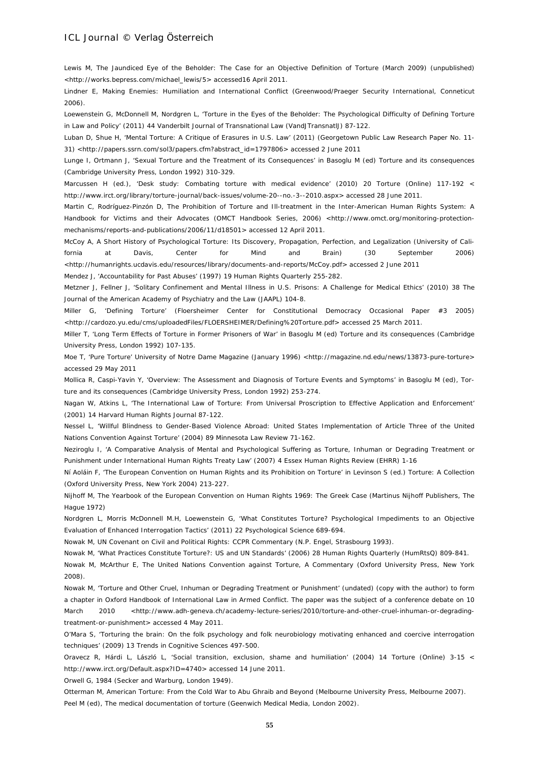Lewis M, The Jaundiced Eye of the Beholder: The Case for an Objective Definition of Torture (March 2009) (unpublished) <http://works.bepress.com/michael\_lewis/5> accessed16 April 2011.

Lindner E, Making Enemies: Humiliation and International Conflict (Greenwood/Praeger Security International, Conneticut 2006).

Loewenstein G, McDonnell M, Nordgren L, 'Torture in the Eyes of the Beholder: The Psychological Difficulty of Defining Torture in Law and Policy' (2011) 44 Vanderbilt Journal of Transnational Law (VandJTransnatlJ) 87-122.

Luban D, Shue H, 'Mental Torture: A Critique of Erasures in U.S. Law' (2011) (Georgetown Public Law Research Paper No. 11- 31) <http://papers.ssrn.com/sol3/papers.cfm?abstract\_id=1797806> accessed 2 June 2011

Lunge I, Ortmann J, 'Sexual Torture and the Treatment of its Consequences' in Basoglu M (ed) Torture and its consequences (Cambridge University Press, London 1992) 310-329.

Marcussen H (ed.), 'Desk study: Combating torture with medical evidence' (2010) 20 Torture (Online) 117-192 < http://www.irct.org/library/torture-journal/back-issues/volume-20--no.-3--2010.aspx> accessed 28 June 2011.

Martin C, Rodríguez-Pinzón D, The Prohibition of Torture and Ill-treatment in the Inter-American Human Rights System: A Handbook for Victims and their Advocates (OMCT Handbook Series, 2006) <http://www.omct.org/monitoring-protectionmechanisms/reports-and-publications/2006/11/d18501> accessed 12 April 2011.

McCoy A, A Short History of Psychological Torture: Its Discovery, Propagation, Perfection, and Legalization (University of California at Davis, Center for Mind and Brain) (30 September 2006) <http://humanrights.ucdavis.edu/resources/library/documents-and-reports/McCoy.pdf> accessed 2 June 2011

Mendez J, 'Accountability for Past Abuses' (1997) 19 Human Rights Quarterly 255-282.

Metzner J, Fellner J, 'Solitary Confinement and Mental Illness in U.S. Prisons: A Challenge for Medical Ethics' (2010) 38 The Journal of the American Academy of Psychiatry and the Law (JAAPL) 104-8.

Miller G, 'Defining Torture' (Floersheimer Center for Constitutional Democracy Occasional Paper #3 2005) <http://cardozo.yu.edu/cms/uploadedFiles/FLOERSHEIMER/Defining%20Torture.pdf> accessed 25 March 2011.

Miller T, 'Long Term Effects of Torture in Former Prisoners of War' in Basoglu M (ed) Torture and its consequences (Cambridge University Press, London 1992) 107-135.

Moe T, 'Pure Torture' University of Notre Dame Magazine (January 1996) <http://magazine.nd.edu/news/13873-pure-torture> accessed 29 May 2011

Mollica R, Caspi-Yavin Y, 'Overview: The Assessment and Diagnosis of Torture Events and Symptoms' in Basoglu M (ed), Torture and its consequences (Cambridge University Press, London 1992) 253-274.

Nagan W, Atkins L, 'The International Law of Torture: From Universal Proscription to Effective Application and Enforcement' (2001) 14 Harvard Human Rights Journal 87-122.

Nessel L, 'Willful Blindness to Gender-Based Violence Abroad: United States Implementation of Article Three of the United Nations Convention Against Torture' (2004) 89 Minnesota Law Review 71-162.

Neziroglu I, 'A Comparative Analysis of Mental and Psychological Suffering as Torture, Inhuman or Degrading Treatment or Punishment under International Human Rights Treaty Law' (2007) 4 Essex Human Rights Review (EHRR) 1-16

Ní Aoláin F, 'The European Convention on Human Rights and its Prohibition on Torture' in Levinson S (ed.) Torture: A Collection (Oxford University Press, New York 2004) 213-227.

Nijhoff M, The Yearbook of the European Convention on Human Rights 1969: The Greek Case (Martinus Nijhoff Publishers, The Hague 1972)

Nordgren L, Morris McDonnell M.H, Loewenstein G, 'What Constitutes Torture? Psychological Impediments to an Objective Evaluation of Enhanced Interrogation Tactics' (2011) 22 Psychological Science 689-694.

Nowak M, UN Covenant on Civil and Political Rights: CCPR Commentary (N.P. Engel, Strasbourg 1993).

Nowak M, 'What Practices Constitute Torture?: US and UN Standards' (2006) 28 Human Rights Quarterly (HumRtsQ) 809-841. Nowak M, McArthur E, The United Nations Convention against Torture, A Commentary (Oxford University Press, New York 2008).

Nowak M, 'Torture and Other Cruel, Inhuman or Degrading Treatment or Punishment' (undated) (copy with the author) to form a chapter in Oxford Handbook of International Law in Armed Conflict. The paper was the subject of a conference debate on 10 March 2010 <http://www.adh-geneva.ch/academy-lecture-series/2010/torture-and-other-cruel-inhuman-or-degradingtreatment-or-punishment> accessed 4 May 2011.

O'Mara S, 'Torturing the brain: On the folk psychology and folk neurobiology motivating enhanced and coercive interrogation techniques' (2009) 13 Trends in Cognitive Sciences 497-500.

Oravecz R, Hárdi L, László L, 'Social transition, exclusion, shame and humiliation' (2004) 14 Torture (Online) 3-15 < http://www.irct.org/Default.aspx?ID=4740> accessed 14 June 2011.

Orwell G, 1984 (Secker and Warburg, London 1949).

Otterman M, American Torture: From the Cold War to Abu Ghraib and Beyond (Melbourne University Press, Melbourne 2007). Peel M (ed), The medical documentation of torture (Geenwich Medical Media, London 2002).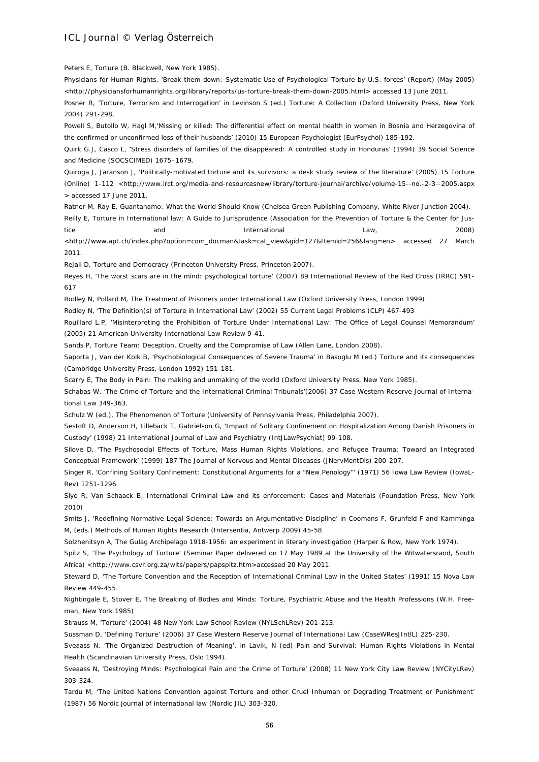Peters E, Torture (B. Blackwell, New York 1985).

Physicians for Human Rights, 'Break them down: Systematic Use of Psychological Torture by U.S. forces' (Report) (May 2005) <http://physiciansforhumanrights.org/library/reports/us-torture-break-them-down-2005.html> accessed 13 June 2011.

Posner R, 'Torture, Terrorism and Interrogation' in Levinson S (ed.) Torture: A Collection (Oxford University Press, New York 2004) 291-298.

Powell S, Butollo W, Hagl M,'Missing or killed: The differential effect on mental health in women in Bosnia and Herzegovina of the confirmed or unconfirmed loss of their husbands' (2010) 15 European Psychologist (EurPsychol) 185-192.

Quirk G.J, Casco L, 'Stress disorders of families of the disappeared: A controlled study in Honduras' (1994) 39 Social Science and Medicine (SOCSCIMED) 1675–1679.

Quiroga J, Jaranson J, 'Politically-motivated torture and its survivors: a desk study review of the literature' (2005) 15 Torture (Online) 1-112 <http://www.irct.org/media-and-resourcesnew/library/torture-journal/archive/volume-15--no.-2-3--2005.aspx > accessed 17 June 2011.

Ratner M, Ray E, Guantanamo: What the World Should Know (Chelsea Green Publishing Company, White River Junction 2004).

Reilly E, Torture in International law: A Guide to Jurisprudence (Association for the Prevention of Torture & the Center for Justice and International Law, 2008) <http://www.apt.ch/index.php?option=com\_docman&task=cat\_view&gid=127&Itemid=256&lang=en> accessed 27 March 2011.

Rejali D, Torture and Democracy (Princeton University Press, Princeton 2007).

Reyes H, 'The worst scars are in the mind: psychological torture' (2007) 89 International Review of the Red Cross (IRRC) 591- 617

Rodley N, Pollard M, The Treatment of Prisoners under International Law (Oxford University Press, London 1999).

Rodley N, 'The Definition(s) of Torture in International Law' (2002) 55 Current Legal Problems (CLP) 467-493

Rouillard L.P, 'Misinterpreting the Prohibition of Torture Under International Law: The Office of Legal Counsel Memorandum' (2005) 21 American University International Law Review 9-41.

Sands P, Torture Team: Deception, Cruelty and the Compromise of Law (Allen Lane, London 2008).

Saporta J, Van der Kolk B, 'Psychobiological Consequences of Severe Trauma' in Basoglu M (ed.) Torture and its consequences (Cambridge University Press, London 1992) 151-181.

Scarry E, The Body in Pain: The making and unmaking of the world (Oxford University Press, New York 1985).

Schabas W, 'The Crime of Torture and the International Criminal Tribunals'(2006) 37 Case Western Reserve Journal of International Law 349-363.

Schulz W (ed.), The Phenomenon of Torture (University of Pennsylvania Press, Philadelphia 2007).

Sestoft D, Anderson H, Lilleback T, Gabrielson G, 'Impact of Solitary Confinement on Hospitalization Among Danish Prisoners in Custody' (1998) 21 International Journal of Law and Psychiatry (IntJLawPsychiat) 99-108.

Silove D, 'The Psychosocial Effects of Torture, Mass Human Rights Violations, and Refugee Trauma: Toward an Integrated Conceptual Framework' (1999) 187 The Journal of Nervous and Mental Diseases (JNervMentDis) 200-207.

Singer R, 'Confining Solitary Confinement: Constitutional Arguments for a "New Penology"' (1971) 56 Iowa Law Review (IowaL-Rev) 1251-1296

Slye R, Van Schaack B, International Criminal Law and its enforcement: Cases and Materials (Foundation Press, New York 2010)

Smits J, 'Redefining Normative Legal Science: Towards an Argumentative Discipline' in Coomans F, Grunfeld F and Kamminga M, (eds.) Methods of Human Rights Research (Intersentia, Antwerp 2009) 45-58

Solzhenitsyn A, The Gulag Archipelago 1918-1956: an experiment in literary investigation (Harper & Row, New York 1974).

Spitz S, 'The Psychology of Torture' (Seminar Paper delivered on 17 May 1989 at the University of the Witwatersrand, South Africa) <http://www.csvr.org.za/wits/papers/papspitz.htm>accessed 20 May 2011.

Steward D, 'The Torture Convention and the Reception of International Criminal Law in the United States' (1991) 15 Nova Law Review 449-455.

Nightingale E, Stover E, The Breaking of Bodies and Minds: Torture, Psychiatric Abuse and the Health Professions (W.H. Freeman, New York 1985)

Strauss M, 'Torture' (2004) 48 New York Law School Review (NYLSchLRev) 201-213.

Sussman D, 'Defining Torture' (2006) 37 Case Western Reserve Journal of International Law (CaseWResJIntlL) 225-230.

Sveaass N, 'The Organized Destruction of Meaning', in Lavik, N (ed) Pain and Survival: Human Rights Violations in Mental Health (Scandinavian University Press, Oslo 1994).

Sveaass N, 'Destroying Minds: Psychological Pain and the Crime of Torture' (2008) 11 New York City Law Review (NYCityLRev) 303-324.

Tardu M, 'The United Nations Convention against Torture and other Cruel Inhuman or Degrading Treatment or Punishment' (1987) 56 Nordic journal of international law (Nordic JIL) 303-320.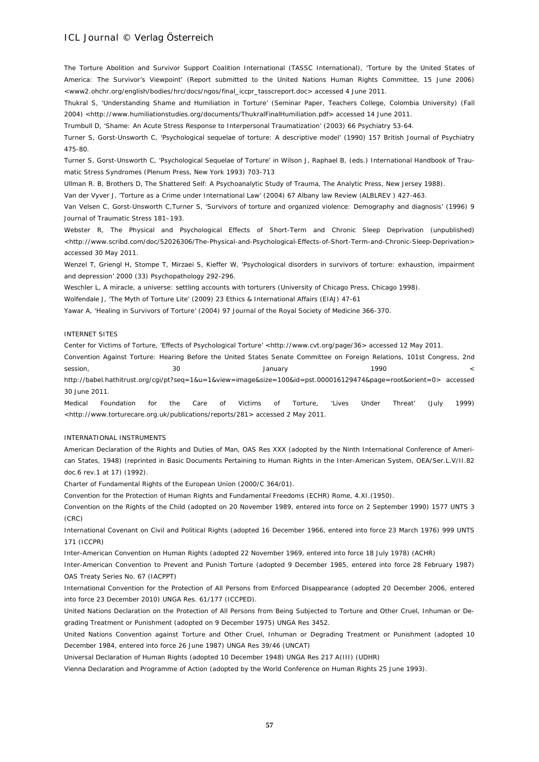The Torture Abolition and Survivor Support Coalition International (TASSC International), 'Torture by the United States of America: The Survivor's Viewpoint' (Report submitted to the United Nations Human Rights Committee, 15 June 2006) <www2.ohchr.org/english/bodies/hrc/docs/ngos/final\_iccpr\_tasscreport.doc> accessed 4 June 2011.

Thukral S, 'Understanding Shame and Humiliation in Torture' (Seminar Paper, Teachers College, Colombia University) (Fall 2004) <http://www.humiliationstudies.org/documents/ThukralFinalHumiliation.pdf> accessed 14 June 2011.

Trumbull D, 'Shame: An Acute Stress Response to Interpersonal Traumatization' (2003) 66 Psychiatry 53-64.

Turner S, Gorst-Unsworth C, 'Psychological sequelae of torture: A descriptive model' (1990) 157 British Journal of Psychiatry 475-80.

Turner S, Gorst-Unsworth C, 'Psychological Sequelae of Torture' in Wilson J, Raphael B, (eds.) International Handbook of Traumatic Stress Syndromes (Plenum Press, New York 1993) 703-713

Ullman R. B, Brothers D, The Shattered Self: A Psychoanalytic Study of Trauma, The Analytic Press, New Jersey 1988).

Van der Vyver J, 'Torture as a Crime under International Law' (2004) 67 Albany law Review (ALBLREV ) 427-463.

Van Velsen C, Gorst-Unsworth C,Turner S, 'Survivors of torture and organized violence: Demography and diagnosis' (1996) 9 Journal of Traumatic Stress 181–193.

Webster R, The Physical and Psychological Effects of Short-Term and Chronic Sleep Deprivation (unpublished) <http://www.scribd.com/doc/52026306/The-Physical-and-Psychological-Effects-of-Short-Term-and-Chronic-Sleep-Deprivation> accessed 30 May 2011.

Wenzel T, Griengl H, Stompe T, Mirzaei S, Kieffer W, 'Psychological disorders in survivors of torture: exhaustion, impairment and depression' 2000 (33) Psychopathology 292-296.

Weschler L, A miracle, a universe: settling accounts with torturers (University of Chicago Press, Chicago 1998).

Wolfendale J, 'The Myth of Torture Lite' (2009) 23 Ethics & International Affairs (EIAJ) 47-61

Yawar A, 'Healing in Survivors of Torture' (2004) 97 Journal of the Royal Society of Medicine 366-370.

#### INTERNET SITES

Center for Victims of Torture, 'Effects of Psychological Torture' <http://www.cvt.org/page/36> accessed 12 May 2011.

Convention Against Torture: Hearing Before the United States Senate Committee on Foreign Relations, 101st Congress, 2nd session, and the session, and the session, and the session, and the session, and the session, and the session  $\lt$ http://babel.hathitrust.org/cgi/pt?seq=1&u=1&view=image&size=100&id=pst.000016129474&page=root&orient=0> accessed 30 June 2011.

Medical Foundation for the Care of Victims of Torture, 'Lives Under Threat' (July 1999) <http://www.torturecare.org.uk/publications/reports/281> accessed 2 May 2011.

#### INTERNATIONAL INSTRUMENTS

American Declaration of the Rights and Duties of Man, OAS Res XXX (adopted by the Ninth International Conference of American States, 1948) (reprinted in Basic Documents Pertaining to Human Rights in the Inter-American System, OEA/Ser.L.V/II.82 doc.6 rev.1 at 17) (1992).

Charter of Fundamental Rights of the European Union (2000/C 364/01).

Convention for the Protection of Human Rights and Fundamental Freedoms (ECHR) Rome, 4.XI.(1950).

Convention on the Rights of the Child (adopted on 20 November 1989, entered into force on 2 September 1990) 1577 UNTS 3 (CRC)

International Covenant on Civil and Political Rights (adopted 16 December 1966, entered into force 23 March 1976) 999 UNTS 171 (ICCPR)

Inter-American Convention on Human Rights (adopted 22 November 1969, entered into force 18 July 1978) (ACHR)

Inter-American Convention to Prevent and Punish Torture (adopted 9 December 1985, entered into force 28 February 1987) OAS Treaty Series No. 67 (IACPPT)

International Convention for the Protection of All Persons from Enforced Disappearance (adopted 20 December 2006, entered into force 23 December 2010) UNGA Res. 61/177 (ICCPED).

United Nations Declaration on the Protection of All Persons from Being Subjected to Torture and Other Cruel, Inhuman or Degrading Treatment or Punishment (adopted on 9 December 1975) UNGA Res 3452.

United Nations Convention against Torture and Other Cruel, Inhuman or Degrading Treatment or Punishment (adopted 10 December 1984, entered into force 26 June 1987) UNGA Res 39/46 (UNCAT)

Universal Declaration of Human Rights (adopted 10 December 1948) UNGA Res 217 A(III) (UDHR)

Vienna Declaration and Programme of Action (adopted by the World Conference on Human Rights 25 June 1993).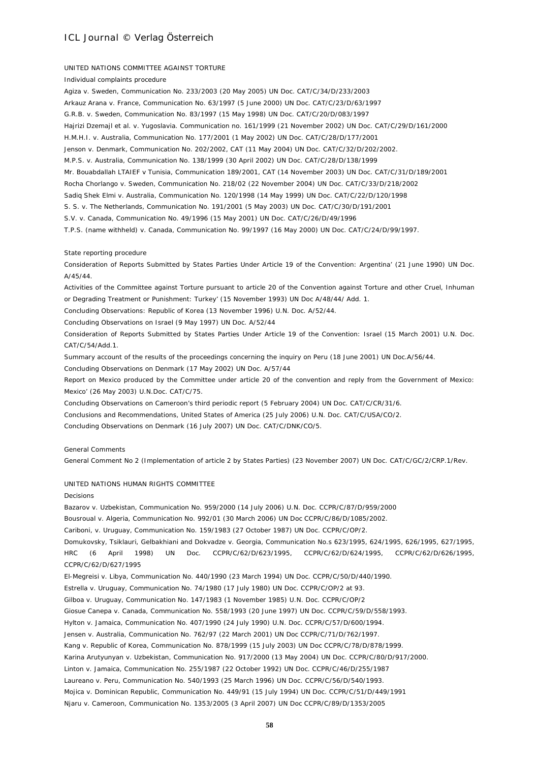#### UNITED NATIONS COMMITTEE AGAINST TORTURE

Individual complaints procedure

Agiza v. Sweden, Communication No. 233/2003 (20 May 2005) UN Doc. CAT/C/34/D/233/2003 Arkauz Arana v. France, Communication No. 63/1997 (5 June 2000) UN Doc. CAT/C/23/D/63/1997 G.R.B. v. Sweden, Communication No. 83/1997 (15 May 1998) UN Doc. CAT/C/20/D/083/1997 Hajrizi Dzemajl et al. v. Yugoslavia. Communication no. 161/1999 (21 November 2002) UN Doc. CAT/C/29/D/161/2000 H.M.H.I. v. Australia, Communication No. 177/2001 (1 May 2002) UN Doc. CAT/C/28/D/177/2001 Jenson v. Denmark, Communication No. 202/2002, CAT (11 May 2004) UN Doc. CAT/C/32/D/202/2002. M.P.S. v. Australia, Communication No. 138/1999 (30 April 2002) UN Doc. CAT/C/28/D/138/1999 Mr. Bouabdallah LTAIEF v Tunisia, Communication 189/2001, CAT (14 November 2003) UN Doc. CAT/C/31/D/189/2001 Rocha Chorlango v. Sweden, Communication No. 218/02 (22 November 2004) UN Doc. CAT/C/33/D/218/2002 Sadiq Shek Elmi v. Australia, Communication No. 120/1998 (14 May 1999) UN Doc. CAT/C/22/D/120/1998 S. S. v. The Netherlands, Communication No. 191/2001 (5 May 2003) UN Doc. CAT/C/30/D/191/2001 S.V. v. Canada, Communication No. 49/1996 (15 May 2001) UN Doc. CAT/C/26/D/49/1996 T.P.S. (name withheld) v. Canada, Communication No. 99/1997 (16 May 2000) UN Doc. CAT/C/24/D/99/1997.

#### State reporting procedure

Consideration of Reports Submitted by States Parties Under Article 19 of the Convention: Argentina' (21 June 1990) UN Doc. A/45/44.

Activities of the Committee against Torture pursuant to article 20 of the Convention against Torture and other Cruel, Inhuman or Degrading Treatment or Punishment: Turkey' (15 November 1993) UN Doc A/48/44/ Add. 1.

Concluding Observations: Republic of Korea (13 November 1996) U.N. Doc. A/52/44.

Concluding Observations on Israel (9 May 1997) UN Doc. A/52/44

Consideration of Reports Submitted by States Parties Under Article 19 of the Convention: Israel (15 March 2001) U.N. Doc. CAT/C/54/Add.1.

Summary account of the results of the proceedings concerning the inquiry on Peru (18 June 2001) UN Doc.A/56/44.

Concluding Observations on Denmark (17 May 2002) UN Doc. A/57/44

Report on Mexico produced by the Committee under article 20 of the convention and reply from the Government of Mexico: Mexico' (26 May 2003) U.N.Doc. CAT/C/75.

Concluding Observations on Cameroon's third periodic report (5 February 2004) UN Doc. CAT/C/CR/31/6.

Conclusions and Recommendations, United States of America (25 July 2006) U.N. Doc. CAT/C/USA/CO/2.

Concluding Observations on Denmark (16 July 2007) UN Doc. CAT/C/DNK/CO/5.

General Comments

General Comment No 2 (Implementation of article 2 by States Parties) (23 November 2007) UN Doc. CAT/C/GC/2/CRP.1/Rev.

#### UNITED NATIONS HUMAN RIGHTS COMMITTEE

#### Decisions

Bazarov v. Uzbekistan, Communication No. 959/2000 (14 July 2006) U.N. Doc. CCPR/C/87/D/959/2000 Bousroual v. Algeria, Communication No. 992/01 (30 March 2006) UN Doc CCPR/C/86/D/1085/2002. Cariboni, v. Uruguay, Communication No. 159/1983 (27 October 1987) UN Doc. CCPR/C/OP/2. Domukovsky, Tsiklauri, Gelbakhiani and Dokvadze v. Georgia, Communication No.s 623/1995, 624/1995, 626/1995, 627/1995, HRC (6 April 1998) UN Doc. CCPR/C/62/D/623/1995, CCPR/C/62/D/624/1995, CCPR/C/62/D/626/1995, CCPR/C/62/D/627/1995 El-Megreisi v. Libya, Communication No. 440/1990 (23 March 1994) UN Doc. CCPR/C/50/D/440/1990. Estrella v. Uruguay, Communication No. 74/1980 (17 July 1980) UN Doc. CCPR/C/OP/2 at 93. Gilboa v. Uruguay, Communication No. 147/1983 (1 November 1985) U.N. Doc. CCPR/C/OP/2 Giosue Canepa v. Canada, Communication No. 558/1993 (20 June 1997) UN Doc. CCPR/C/59/D/558/1993. Hylton v. Jamaica, Communication No. 407/1990 (24 July 1990) U.N. Doc. CCPR/C/57/D/600/1994. Jensen v. Australia, Communication No. 762/97 (22 March 2001) UN Doc CCPR/C/71/D/762/1997. Kang v. Republic of Korea, Communication No. 878/1999 (15 July 2003) UN Doc CCPR/C/78/D/878/1999. Karina Arutyunyan v. Uzbekistan, Communication No. 917/2000 (13 May 2004) UN Doc. CCPR/C/80/D/917/2000. Linton v. Jamaica, Communication No. 255/1987 (22 October 1992) UN Doc. CCPR/C/46/D/255/1987

Laureano v. Peru, Communication No. 540/1993 (25 March 1996) UN Doc. CCPR/C/56/D/540/1993.

Mojica v. Dominican Republic, Communication No. 449/91 (15 July 1994) UN Doc. CCPR/C/51/D/449/1991

Njaru v. Cameroon, Communication No. 1353/2005 (3 April 2007) UN Doc CCPR/C/89/D/1353/2005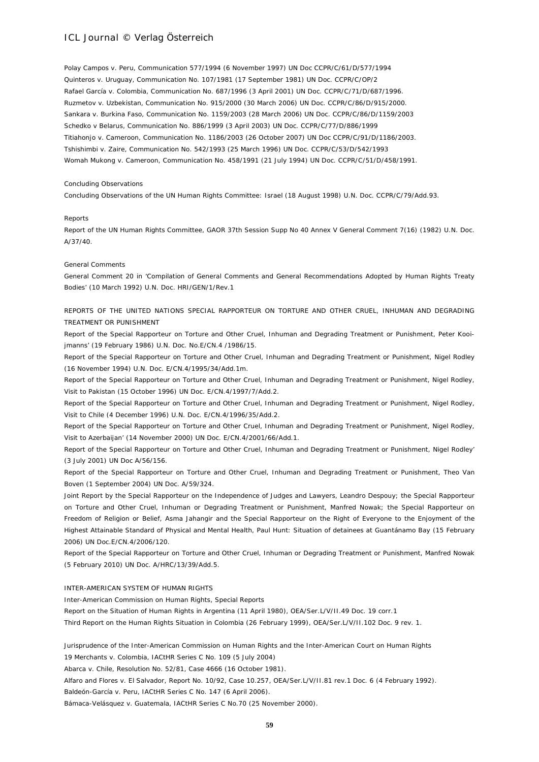Polay Campos v. Peru, Communication 577/1994 (6 November 1997) UN Doc CCPR/C/61/D/577/1994 Quinteros v. Uruguay, Communication No. 107/1981 (17 September 1981) UN Doc. CCPR/C/OP/2 Rafael García v. Colombia, Communication No. 687/1996 (3 April 2001) UN Doc. CCPR/C/71/D/687/1996. Ruzmetov v. Uzbekistan, Communication No. 915/2000 (30 March 2006) UN Doc. CCPR/C/86/D/915/2000. Sankara v. Burkina Faso, Communication No. 1159/2003 (28 March 2006) UN Doc. CCPR/C/86/D/1159/2003 Schedko v Belarus, Communication No. 886/1999 (3 April 2003) UN Doc. CCPR/C/77/D/886/1999 Titiahonjo v. Cameroon, Communication No. 1186/2003 (26 October 2007) UN Doc CCPR/C/91/D/1186/2003. Tshishimbi v. Zaire, Communication No. 542/1993 (25 March 1996) UN Doc. CCPR/C/53/D/542/1993 Womah Mukong v. Cameroon, Communication No. 458/1991 (21 July 1994) UN Doc. CCPR/C/51/D/458/1991.

#### Concluding Observations

Concluding Observations of the UN Human Rights Committee: Israel (18 August 1998) U.N. Doc. CCPR/C/79/Add.93.

#### Reports

Report of the UN Human Rights Committee, GAOR 37th Session Supp No 40 Annex V General Comment 7(16) (1982) U.N. Doc. A/37/40.

#### General Comments

General Comment 20 in 'Compilation of General Comments and General Recommendations Adopted by Human Rights Treaty Bodies' (10 March 1992) U.N. Doc. HRI/GEN/1/Rev.1

### REPORTS OF THE UNITED NATIONS SPECIAL RAPPORTEUR ON TORTURE AND OTHER CRUEL, INHUMAN AND DEGRADING TREATMENT OR PUNISHMENT

Report of the Special Rapporteur on Torture and Other Cruel, Inhuman and Degrading Treatment or Punishment, Peter Kooijmanns' (19 February 1986) U.N. Doc. No.E/CN.4 /1986/15.

Report of the Special Rapporteur on Torture and Other Cruel, Inhuman and Degrading Treatment or Punishment, Nigel Rodley (16 November 1994) U.N. Doc. E/CN.4/1995/34/Add.1m.

Report of the Special Rapporteur on Torture and Other Cruel, Inhuman and Degrading Treatment or Punishment, Nigel Rodley, Visit to Pakistan (15 October 1996) UN Doc. E/CN.4/1997/7/Add.2.

Report of the Special Rapporteur on Torture and Other Cruel, Inhuman and Degrading Treatment or Punishment, Nigel Rodley, Visit to Chile (4 December 1996) U.N. Doc. E/CN.4/1996/35/Add.2.

Report of the Special Rapporteur on Torture and Other Cruel, Inhuman and Degrading Treatment or Punishment, Nigel Rodley, Visit to Azerbaijan' (14 November 2000) UN Doc. E/CN.4/2001/66/Add.1.

Report of the Special Rapporteur on Torture and Other Cruel, Inhuman and Degrading Treatment or Punishment, Nigel Rodley' (3 July 2001) UN Doc A/56/156.

Report of the Special Rapporteur on Torture and Other Cruel, Inhuman and Degrading Treatment or Punishment, Theo Van Boven (1 September 2004) UN Doc. A/59/324.

Joint Report by the Special Rapporteur on the Independence of Judges and Lawyers, Leandro Despouy; the Special Rapporteur on Torture and Other Cruel, Inhuman or Degrading Treatment or Punishment, Manfred Nowak; the Special Rapporteur on Freedom of Religion or Belief, Asma Jahangir and the Special Rapporteur on the Right of Everyone to the Enjoyment of the Highest Attainable Standard of Physical and Mental Health, Paul Hunt: Situation of detainees at Guantánamo Bay (15 February 2006) UN Doc.E/CN.4/2006/120.

Report of the Special Rapporteur on Torture and Other Cruel, Inhuman or Degrading Treatment or Punishment, Manfred Nowak (5 February 2010) UN Doc. A/HRC/13/39/Add.5.

#### INTER-AMERICAN SYSTEM OF HUMAN RIGHTS

Inter-American Commission on Human Rights, Special Reports

Report on the Situation of Human Rights in Argentina (11 April 1980), OEA/Ser.L/V/II.49 Doc. 19 corr.1

Third Report on the Human Rights Situation in Colombia (26 February 1999), OEA/Ser.L/V/II.102 Doc. 9 rev. 1.

Jurisprudence of the Inter-American Commission on Human Rights and the Inter-American Court on Human Rights 19 Merchants v. Colombia, IACtHR Series C No. 109 (5 July 2004)

Abarca v. Chile, Resolution No. 52/81, Case 4666 (16 October 1981).

Alfaro and Flores v. El Salvador, Report No. 10/92, Case 10.257, OEA/Ser.L/V/II.81 rev.1 Doc. 6 (4 February 1992). Baldeón-García v. Peru, IACtHR Series C No. 147 (6 April 2006).

Bámaca-Velásquez v. Guatemala, IACtHR Series C No.70 (25 November 2000).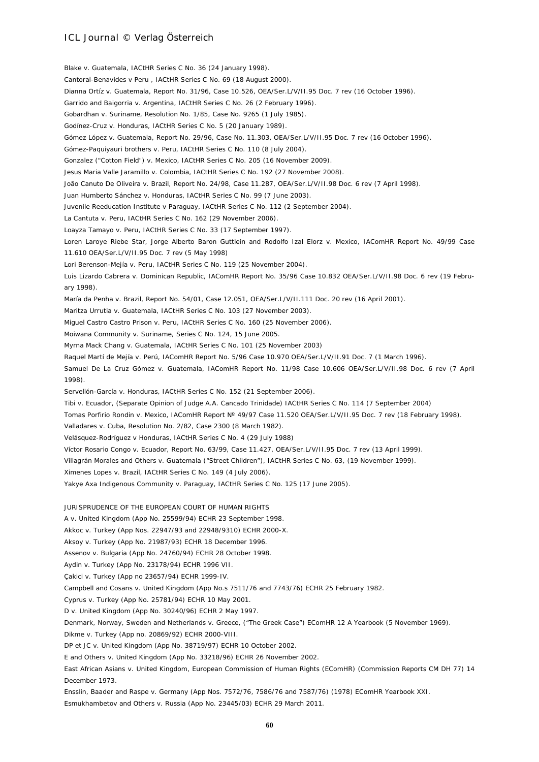Blake v. Guatemala, IACtHR Series C No. 36 (24 January 1998). Cantoral-Benavides v Peru , IACtHR Series C No. 69 (18 August 2000). Dianna Ortíz v. Guatemala, Report No. 31/96, Case 10.526, OEA/Ser.L/V/II.95 Doc. 7 rev (16 October 1996). Garrido and Baigorria v. Argentina, IACtHR Series C No. 26 (2 February 1996). Gobardhan v. Suriname, Resolution No. 1/85, Case No. 9265 (1 July 1985). Godínez-Cruz v. Honduras, IACtHR Series C No. 5 (20 January 1989). Gómez López v. Guatemala, Report No. 29/96, Case No. 11.303, OEA/Ser.L/V/II.95 Doc. 7 rev (16 October 1996). Gómez-Paquiyauri brothers v. Peru, IACtHR Series C No. 110 (8 July 2004). Gonzalez ("Cotton Field") v. Mexico, IACtHR Series C No. 205 (16 November 2009). Jesus Maria Valle Jaramillo v. Colombia, IACtHR Series C No. 192 (27 November 2008). João Canuto De Oliveira v. Brazil, Report No. 24/98, Case 11.287, OEA/Ser.L/V/II.98 Doc. 6 rev (7 April 1998). Juan Humberto Sánchez v. Honduras, IACtHR Series C No. 99 (7 June 2003). Juvenile Reeducation Institute v Paraguay, IACtHR Series C No. 112 (2 September 2004). La Cantuta v. Peru, IACtHR Series C No. 162 (29 November 2006). Loayza Tamayo v. Peru, IACtHR Series C No. 33 (17 September 1997). Loren Laroye Riebe Star, Jorge Alberto Baron Guttlein and Rodolfo Izal Elorz v. Mexico, IAComHR Report No. 49/99 Case 11.610 OEA/Ser.L/V/II.95 Doc. 7 rev (5 May 1998) Lori Berenson-Mejía v. Peru, IACtHR Series C No. 119 (25 November 2004). Luis Lizardo Cabrera v. Dominican Republic, IAComHR Report No. 35/96 Case 10.832 OEA/Ser.L/V/II.98 Doc. 6 rev (19 February 1998). María da Penha v. Brazil, Report No. 54/01, Case 12.051, OEA/Ser.L/V/II.111 Doc. 20 rev (16 April 2001). Maritza Urrutia v. Guatemala, IACtHR Series C No. 103 (27 November 2003). Miguel Castro Castro Prison v. Peru, IACtHR Series C No. 160 (25 November 2006). Moiwana Community v. Suriname, Series C No. 124, 15 June 2005. Myrna Mack Chang v. Guatemala, IACtHR Series C No. 101 (25 November 2003) Raquel Martí de Mejía v. Perú, IAComHR Report No. 5/96 Case 10.970 OEA/Ser.L/V/II.91 Doc. 7 (1 March 1996). Samuel De La Cruz Gómez v. Guatemala, IAComHR Report No. 11/98 Case 10.606 OEA/Ser.L/V/II.98 Doc. 6 rev (7 April 1998). Servellón-García v. Honduras, IACtHR Series C No. 152 (21 September 2006). Tibi v. Ecuador, (Separate Opinion of Judge A.A. Cancado Trinidade) IACtHR Series C No. 114 (7 September 2004) Tomas Porfirio Rondin v. Mexico, IAComHR Report Nº 49/97 Case 11.520 OEA/Ser.L/V/II.95 Doc. 7 rev (18 February 1998). Valladares v. Cuba, Resolution No. 2/82, Case 2300 (8 March 1982). Velásquez-Rodríguez v Honduras, IACtHR Series C No. 4 (29 July 1988) Víctor Rosario Congo v. Ecuador, Report No. 63/99, Case 11.427, OEA/Ser.L/V/II.95 Doc. 7 rev (13 April 1999). Villagrán Morales and Others v. Guatemala ("Street Children"), IACtHR Series C No. 63, (19 November 1999). Ximenes Lopes v. Brazil, IACtHR Series C No. 149 (4 July 2006). Yakye Axa Indigenous Community v. Paraguay, IACtHR Series C No. 125 (17 June 2005). JURISPRUDENCE OF THE EUROPEAN COURT OF HUMAN RIGHTS A v. United Kingdom (App No. 25599/94) ECHR 23 September 1998. Akkoc v. Turkey (App Nos. 22947/93 and 22948/9310) ECHR 2000-X. Aksoy v. Turkey (App No. 21987/93) ECHR 18 December 1996. Assenov v. Bulgaria (App No. 24760/94) ECHR 28 October 1998. Aydin v. Turkey (App No. 23178/94) ECHR 1996 VII. Çakici v. Turkey (App no 23657/94) ECHR 1999-IV. Campbell and Cosans v. United Kingdom (App No.s 7511/76 and 7743/76) ECHR 25 February 1982. Cyprus v. Turkey (App No. 25781/94) ECHR 10 May 2001. D v. United Kingdom (App No. 30240/96) ECHR 2 May 1997. Denmark, Norway, Sweden and Netherlands v. Greece, ("The Greek Case") EComHR 12 A Yearbook (5 November 1969). Dikme v. Turkey (App no. 20869/92) ECHR 2000-VIII. DP et JC v. United Kingdom (App No. 38719/97) ECHR 10 October 2002. E and Others v. United Kingdom (App No. 33218/96) ECHR 26 November 2002. East African Asians v. United Kingdom, European Commission of Human Rights (EComHR) (Commission Reports CM DH 77) 14

Ensslin, Baader and Raspe v. Germany (App Nos. 7572/76, 7586/76 and 7587/76) (1978) EComHR Yearbook XXI. Esmukhambetov and Others v. Russia (App No. 23445/03) ECHR 29 March 2011.

December 1973.